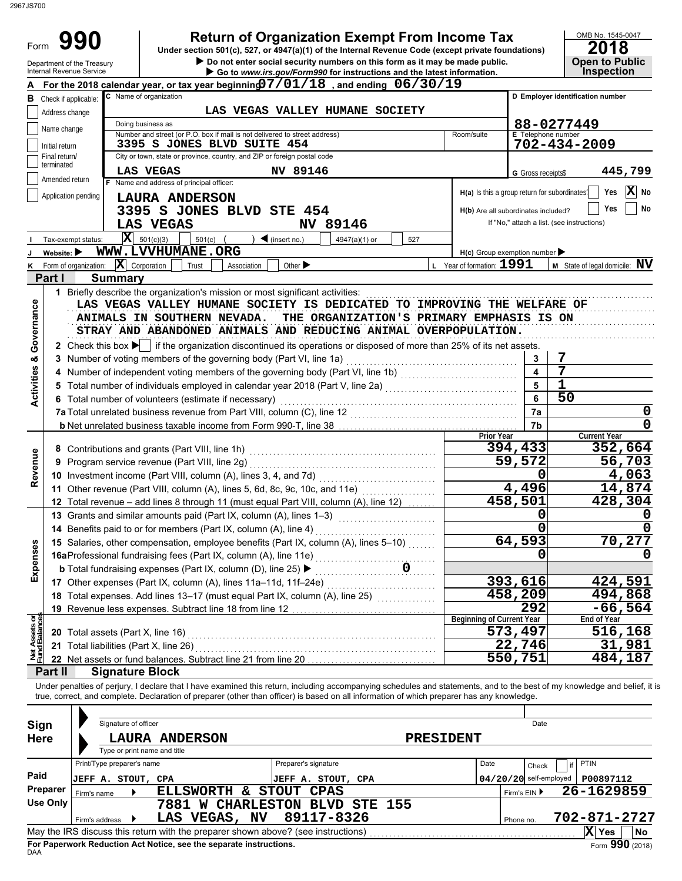| 37JS700                                                               |                                                                                                                                                                                                                                                                                                                                                              |                                                                                      |                          |                                                                         |
|-----------------------------------------------------------------------|--------------------------------------------------------------------------------------------------------------------------------------------------------------------------------------------------------------------------------------------------------------------------------------------------------------------------------------------------------------|--------------------------------------------------------------------------------------|--------------------------|-------------------------------------------------------------------------|
| 990<br>Form<br>Department of the Treasury<br>Internal Revenue Service | <b>Return of Organization Exempt From Income Tax</b><br>Under section 501(c), 527, or 4947(a)(1) of the Internal Revenue Code (except private foundations)<br>Do not enter social security numbers on this form as it may be made public.<br>Go to www.irs.gov/Form990 for instructions and the latest information.                                          |                                                                                      |                          | OMB No. 1545-0047<br>2018<br><b>Open to Public</b><br><b>Inspection</b> |
|                                                                       | For the 2018 calendar year, or tax year beginning $07/01/18$ , and ending $06/30/19$                                                                                                                                                                                                                                                                         |                                                                                      |                          |                                                                         |
| <b>B</b> Check if applicable:                                         | Name of organization                                                                                                                                                                                                                                                                                                                                         |                                                                                      |                          | D Employer identification number                                        |
| Address change                                                        | LAS VEGAS VALLEY HUMANE SOCIETY                                                                                                                                                                                                                                                                                                                              |                                                                                      |                          |                                                                         |
| Name change                                                           | Doing business as<br>Number and street (or P.O. box if mail is not delivered to street address)                                                                                                                                                                                                                                                              | Room/suite                                                                           | E Telephone number       | 88-0277449                                                              |
| Initial return                                                        | 3395 S JONES BLVD SUITE 454                                                                                                                                                                                                                                                                                                                                  |                                                                                      |                          | 702-434-2009                                                            |
| Final return/<br>terminated                                           | City or town, state or province, country, and ZIP or foreign postal code                                                                                                                                                                                                                                                                                     |                                                                                      |                          |                                                                         |
| Amended return                                                        | NV 89146<br>LAS VEGAS<br>F Name and address of principal officer:                                                                                                                                                                                                                                                                                            |                                                                                      | G Gross receipts\$       | 445,799                                                                 |
| Application pending                                                   | <b>LAURA ANDERSON</b><br>3395 S JONES BLVD STE 454<br><b>LAS VEGAS</b><br>NV 89146                                                                                                                                                                                                                                                                           | H(a) Is this a group return for subordinates?<br>H(b) Are all subordinates included? |                          | X No<br>Yes<br>Yes<br>No<br>If "No," attach a list. (see instructions)  |
| Tax-exempt status:<br>Website: $\blacktriangleright$                  | $ \mathbf{X} $ 501(c)(3)<br>$\blacktriangleleft$ (insert no.)<br>501(c)<br>4947(a)(1) or<br>527<br>WWW.LVVHUMANE.ORG                                                                                                                                                                                                                                         |                                                                                      |                          |                                                                         |
| Form of organization:<br>κ                                            | $ \mathbf{X} $ Corporation<br>Other $\blacktriangleright$<br>Association<br>Trust                                                                                                                                                                                                                                                                            | $H(c)$ Group exemption number<br>L Year of formation: 1991                           |                          | M State of legal domicile: NV                                           |
| Part I                                                                | <b>Summary</b>                                                                                                                                                                                                                                                                                                                                               |                                                                                      |                          |                                                                         |
| Governance                                                            | ANIMALS IN SOUTHERN NEVADA.<br>THE ORGANIZATION'S PRIMARY EMPHASIS IS ON<br>STRAY AND ABANDONED ANIMALS AND REDUCING ANIMAL OVERPOPULATION.<br>2 Check this box $\blacktriangleright$ if the organization discontinued its operations or disposed of more than 25% of its net assets.<br>3 Number of voting members of the governing body (Part VI, line 1a) |                                                                                      | 3                        | 7                                                                       |
|                                                                       | 4 Number of independent voting members of the governing body (Part VI, line 1b) [[[[[[[[[[[[[[[[[[[[[[[[[[[[[                                                                                                                                                                                                                                                |                                                                                      | $\overline{\mathbf{4}}$  | 7                                                                       |
| <b>Activities &amp;</b>                                               | Total number of individuals employed in calendar year 2018 (Part V, line 2a)<br>Total number of individuals employed in calendar year 2018 (Part V, line 2a)                                                                                                                                                                                                 |                                                                                      | 5                        | $\overline{\mathbf{1}}$                                                 |
|                                                                       | 6 Total number of volunteers (estimate if necessary)                                                                                                                                                                                                                                                                                                         |                                                                                      | 6                        | $\overline{50}$                                                         |
|                                                                       | 7a Total unrelated business revenue from Part VIII, column (C), line 12                                                                                                                                                                                                                                                                                      |                                                                                      | 7a                       | 0                                                                       |
|                                                                       | <b>b</b> Net unrelated business taxable income from Form 990-T, line 38 [100] Met unrelated business taxable income from Form 990-T, line 38                                                                                                                                                                                                                 |                                                                                      | 7 <sub>b</sub>           | 0                                                                       |
|                                                                       |                                                                                                                                                                                                                                                                                                                                                              | <b>Prior Year</b>                                                                    |                          | <b>Current Year</b>                                                     |
|                                                                       | 8 Contributions and grants (Part VIII, line 1h)                                                                                                                                                                                                                                                                                                              |                                                                                      | 394,433                  | 352,664                                                                 |
| Revenue                                                               | 9 Program service revenue (Part VIII, line 2g)                                                                                                                                                                                                                                                                                                               |                                                                                      | 59,572<br>$\mathbf{0}$   | 56,703                                                                  |
|                                                                       | 11 Other revenue (Part VIII, column (A), lines 5, 6d, 8c, 9c, 10c, and 11e)                                                                                                                                                                                                                                                                                  |                                                                                      | 4,496                    | 4,063<br>14,874                                                         |
|                                                                       | .<br>12 Total revenue - add lines 8 through 11 (must equal Part VIII, column (A), line 12)                                                                                                                                                                                                                                                                   |                                                                                      | 458,501                  | 428,304                                                                 |
|                                                                       | 13 Grants and similar amounts paid (Part IX, column (A), lines 1-3)                                                                                                                                                                                                                                                                                          |                                                                                      | 0                        |                                                                         |
|                                                                       | 14 Benefits paid to or for members (Part IX, column (A), line 4)                                                                                                                                                                                                                                                                                             |                                                                                      | 0                        | 0                                                                       |
|                                                                       | 15 Salaries, other compensation, employee benefits (Part IX, column (A), lines 5-10)                                                                                                                                                                                                                                                                         |                                                                                      | 64,593                   | 70,277                                                                  |
|                                                                       | 16aProfessional fundraising fees (Part IX, column (A), line 11e)                                                                                                                                                                                                                                                                                             |                                                                                      | 0                        |                                                                         |
| Expenses                                                              | <b>b</b> Total fundraising expenses (Part IX, column (D), line 25) ▶                                                                                                                                                                                                                                                                                         |                                                                                      |                          |                                                                         |
|                                                                       | 17 Other expenses (Part IX, column (A), lines 11a-11d, 11f-24e)                                                                                                                                                                                                                                                                                              |                                                                                      | 393,616                  | 424,591                                                                 |
|                                                                       | 18 Total expenses. Add lines 13-17 (must equal Part IX, column (A), line 25)                                                                                                                                                                                                                                                                                 |                                                                                      | 458,209                  | 494,868                                                                 |
|                                                                       | 19 Revenue less expenses. Subtract line 18 from line 12                                                                                                                                                                                                                                                                                                      | <b>Beginning of Current Year</b>                                                     | 292                      | $-66,564$<br>End of Year                                                |
|                                                                       | 20 Total assets (Part X, line 16)                                                                                                                                                                                                                                                                                                                            |                                                                                      | 573,497                  | 516, 168                                                                |
| let Assets or<br>und Balances                                         | 21 Total liabilities (Part X, line 26)                                                                                                                                                                                                                                                                                                                       |                                                                                      | 22,746                   | 31,981                                                                  |
|                                                                       | 22 Net assets or fund balances. Subtract line 21 from line 20                                                                                                                                                                                                                                                                                                |                                                                                      | 550,751                  | 484,187                                                                 |
| Part II                                                               | <b>Signature Block</b>                                                                                                                                                                                                                                                                                                                                       |                                                                                      |                          |                                                                         |
|                                                                       | Under penalties of perjury, I declare that I have examined this return, including accompanying schedules and statements, and to the best of my knowledge and belief, it is<br>true, correct, and complete. Declaration of preparer (other than officer) is based on all information of which preparer has any knowledge.                                     |                                                                                      |                          |                                                                         |
| Sign                                                                  | Signature of officer                                                                                                                                                                                                                                                                                                                                         |                                                                                      | Date                     |                                                                         |
| <b>Here</b>                                                           | <b>LAURA ANDERSON</b>                                                                                                                                                                                                                                                                                                                                        | <b>PRESIDENT</b>                                                                     |                          |                                                                         |
|                                                                       | Type or print name and title                                                                                                                                                                                                                                                                                                                                 |                                                                                      |                          |                                                                         |
| Paid                                                                  | Print/Type preparer's name<br>Preparer's signature                                                                                                                                                                                                                                                                                                           | Date                                                                                 | Check                    | <b>PTIN</b><br>if                                                       |
| Preparer                                                              | JEFF A. STOUT, CPA<br>JEFF A. STOUT, CPA<br>ELLSWORTH & STOUT CPAS                                                                                                                                                                                                                                                                                           |                                                                                      | $04/20/20$ self-employed | P00897112<br>26-1629859                                                 |
| Firm's name<br><b>Use Only</b>                                        | 7881 W CHARLESTON BLVD STE 155                                                                                                                                                                                                                                                                                                                               |                                                                                      | Firm's EIN ▶             |                                                                         |
| Firm's address                                                        | 89117-8326<br>LAS VEGAS, NV                                                                                                                                                                                                                                                                                                                                  |                                                                                      | Phone no.                | 702-871-2727                                                            |
|                                                                       | May the IRS discuss this return with the preparer shown above? (see instructions)                                                                                                                                                                                                                                                                            |                                                                                      |                          | X Yes<br><b>No</b>                                                      |

| Sign        |                                                                                       | Signature of officer         |                                                                                   |                                |      |                          | Date        |                 |           |  |  |  |
|-------------|---------------------------------------------------------------------------------------|------------------------------|-----------------------------------------------------------------------------------|--------------------------------|------|--------------------------|-------------|-----------------|-----------|--|--|--|
| <b>Here</b> |                                                                                       | Type or print name and title | <b>LAURA ANDERSON</b>                                                             | <b>PRESIDENT</b>               |      |                          |             |                 |           |  |  |  |
|             | Print/Type preparer's name                                                            |                              |                                                                                   | Preparer's signature           | Date |                          | if<br>Check | <b>PTIN</b>     |           |  |  |  |
| Paid        | JEFF A. STOUT, CPA                                                                    |                              |                                                                                   | JEFF A. STOUT, CPA             |      | $04/20/20$ self-employed | P00897112   |                 |           |  |  |  |
| Preparer    | Firm's name                                                                           |                              | <b>ELLSWORTH</b><br>δ.                                                            | STOUT<br><b>CPAS</b>           |      | Firm's $EIN$             |             | 26-1629859      |           |  |  |  |
| Use Only    |                                                                                       |                              | 7881<br>W                                                                         | <b>CHARLESTON BLVD STE 155</b> |      |                          |             |                 |           |  |  |  |
|             | Firm's address                                                                        |                              | LAS VEGAS,<br><b>NV</b>                                                           | 89117-8326                     |      | Phone no.                |             | 702-871-2727    |           |  |  |  |
|             |                                                                                       |                              | May the IRS discuss this return with the preparer shown above? (see instructions) |                                |      |                          |             | x<br><b>Yes</b> | <b>No</b> |  |  |  |
|             | Form 990 (2018)<br>For Paperwork Reduction Act Notice, see the separate instructions. |                              |                                                                                   |                                |      |                          |             |                 |           |  |  |  |

. . . rap<br>DAA **I**ce, see the sepa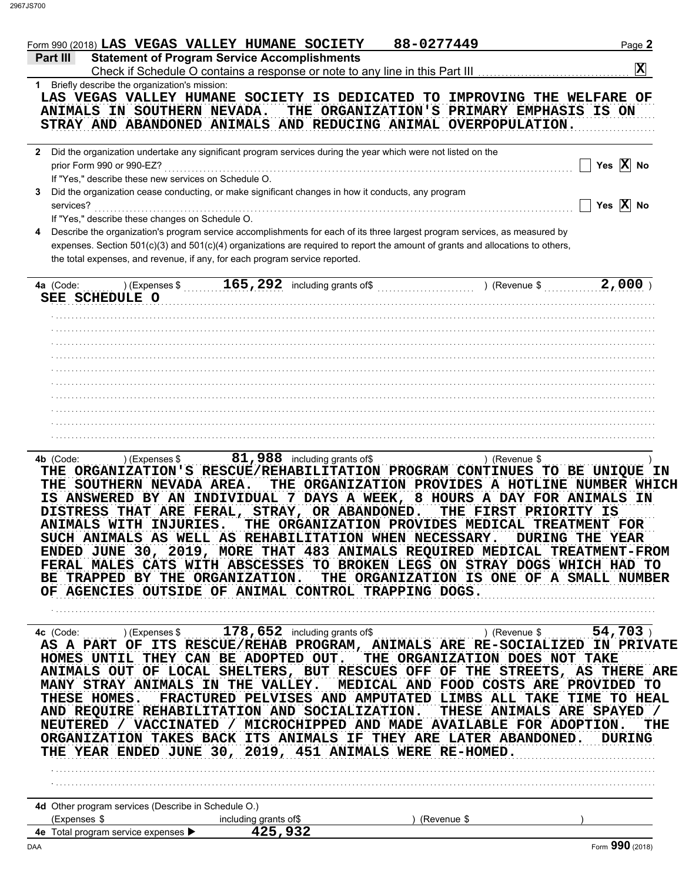| Part III                                                                                                                         | Form 990 (2018) LAS VEGAS VALLEY HUMANE SOCIETY<br><b>Statement of Program Service Accomplishments</b>                                                                                                                                                                                                                                                                                                                                                                                                                      | 88-0277449  |                                                                                              | Page 2                         |
|----------------------------------------------------------------------------------------------------------------------------------|-----------------------------------------------------------------------------------------------------------------------------------------------------------------------------------------------------------------------------------------------------------------------------------------------------------------------------------------------------------------------------------------------------------------------------------------------------------------------------------------------------------------------------|-------------|----------------------------------------------------------------------------------------------|--------------------------------|
|                                                                                                                                  | Check if Schedule O contains a response or note to any line in this Part III                                                                                                                                                                                                                                                                                                                                                                                                                                                |             |                                                                                              | $ \mathbf{X} $                 |
| 1 Briefly describe the organization's mission:                                                                                   |                                                                                                                                                                                                                                                                                                                                                                                                                                                                                                                             |             |                                                                                              |                                |
| ANIMALS IN SOUTHERN NEVADA.                                                                                                      | LAS VEGAS VALLEY HUMANE SOCIETY IS DEDICATED TO IMPROVING THE WELFARE OF<br>STRAY AND ABANDONED ANIMALS AND REDUCING ANIMAL OVERPOPULATION.                                                                                                                                                                                                                                                                                                                                                                                 |             | THE ORGANIZATION'S PRIMARY EMPHASIS IS ON                                                    |                                |
| 2 Did the organization undertake any significant program services during the year which were not listed on the                   |                                                                                                                                                                                                                                                                                                                                                                                                                                                                                                                             |             |                                                                                              |                                |
| prior Form 990 or 990-EZ?<br>If "Yes," describe these new services on Schedule O.                                                |                                                                                                                                                                                                                                                                                                                                                                                                                                                                                                                             |             |                                                                                              | Yes $\overline{X}$ No          |
| 3<br>services?<br>If "Yes," describe these changes on Schedule O.                                                                | Did the organization cease conducting, or make significant changes in how it conducts, any program                                                                                                                                                                                                                                                                                                                                                                                                                          |             |                                                                                              | Yes $\overline{X}$ No          |
| the total expenses, and revenue, if any, for each program service reported.                                                      | Describe the organization's program service accomplishments for each of its three largest program services, as measured by<br>expenses. Section 501(c)(3) and 501(c)(4) organizations are required to report the amount of grants and allocations to others,                                                                                                                                                                                                                                                                |             |                                                                                              |                                |
| ) (Expenses \$<br>4a (Code:<br>SEE SCHEDULE O                                                                                    | 165, 292 including grants of \$                                                                                                                                                                                                                                                                                                                                                                                                                                                                                             |             | ) (Revenue \$                                                                                | 2,000                          |
|                                                                                                                                  |                                                                                                                                                                                                                                                                                                                                                                                                                                                                                                                             |             |                                                                                              |                                |
|                                                                                                                                  |                                                                                                                                                                                                                                                                                                                                                                                                                                                                                                                             |             |                                                                                              |                                |
|                                                                                                                                  |                                                                                                                                                                                                                                                                                                                                                                                                                                                                                                                             |             |                                                                                              |                                |
|                                                                                                                                  |                                                                                                                                                                                                                                                                                                                                                                                                                                                                                                                             |             |                                                                                              |                                |
|                                                                                                                                  |                                                                                                                                                                                                                                                                                                                                                                                                                                                                                                                             |             |                                                                                              |                                |
|                                                                                                                                  |                                                                                                                                                                                                                                                                                                                                                                                                                                                                                                                             |             |                                                                                              |                                |
|                                                                                                                                  |                                                                                                                                                                                                                                                                                                                                                                                                                                                                                                                             |             |                                                                                              |                                |
|                                                                                                                                  |                                                                                                                                                                                                                                                                                                                                                                                                                                                                                                                             |             |                                                                                              |                                |
| ) (Expenses \$                                                                                                                   | $81$ , $988$ including grants of\$<br>THE ORGANIZATION'S RESCUE/REHABILITATION PROGRAM CONTINUES TO BE UNIQUE IN                                                                                                                                                                                                                                                                                                                                                                                                            |             | ) (Revenue \$                                                                                |                                |
| 4b (Code:<br>THE SOUTHERN NEVADA AREA.<br>ANIMALS WITH INJURIES.<br>BE TRAPPED BY THE ORGANIZATION.                              | THE ORGANIZATION PROVIDES A HOTLINE NUMBER WHICH<br>IS ANSWERED BY AN INDIVIDUAL 7 DAYS A WEEK, 8 HOURS A DAY FOR ANIMALS IN<br>DISTRESS THAT ARE FERAL, STRAY, OR ABANDONED.<br>THE ORGANIZATION PROVIDES MEDICAL TREATMENT FOR<br>SUCH ANIMALS AS WELL AS REHABILITATION WHEN NECESSARY.<br>ENDED JUNE 30, 2019, MORE THAT 483 ANIMALS REQUIRED MEDICAL TREATMENT-FROM<br>FERAL MALES CATS WITH ABSCESSES TO BROKEN LEGS ON STRAY DOGS WHICH HAD TO<br>OF AGENCIES OUTSIDE OF ANIMAL CONTROL TRAPPING DOGS.               |             | THE FIRST PRIORITY IS<br><b>DURING THE YEAR</b><br>THE ORGANIZATION IS ONE OF A SMALL NUMBER |                                |
|                                                                                                                                  |                                                                                                                                                                                                                                                                                                                                                                                                                                                                                                                             |             |                                                                                              |                                |
| AS A PART OF ITS RESCUE/REHAB PROGRAM, ANIMALS ARE RE-SOCIALIZED IN PRIVATE<br>MANY STRAY ANIMALS IN THE VALLEY.<br>THESE HOMES. | $\overline{178,652}$ including grants of \$<br>HOMES UNTIL THEY CAN BE ADOPTED OUT. THE ORGANIZATION DOES NOT TAKE<br>ANIMALS OUT OF LOCAL SHELTERS, BUT RESCUES OFF OF THE STREETS, AS THERE ARE<br>FRACTURED PELVISES AND AMPUTATED LIMBS ALL TAKE TIME TO HEAL<br>AND REQUIRE REHABILITATION AND SOCIALIZATION.<br>NEUTERED / VACCINATED / MICROCHIPPED AND MADE AVAILABLE FOR ADOPTION.<br>ORGANIZATION TAKES BACK ITS ANIMALS IF THEY ARE LATER ABANDONED.<br>THE YEAR ENDED JUNE 30, 2019, 451 ANIMALS WERE RE-HOMED. |             | ) (Revenue \$<br>MEDICAL AND FOOD COSTS ARE PROVIDED TO<br>THESE ANIMALS ARE SPAYED /        |                                |
| 4c (Code: ) (Expenses \$                                                                                                         |                                                                                                                                                                                                                                                                                                                                                                                                                                                                                                                             |             |                                                                                              | 54,703<br>THE<br><b>DURING</b> |
| 4d Other program services (Describe in Schedule O.)                                                                              |                                                                                                                                                                                                                                                                                                                                                                                                                                                                                                                             |             |                                                                                              |                                |
| (Expenses \$<br>4e Total program service expenses                                                                                | including grants of\$<br>425,932                                                                                                                                                                                                                                                                                                                                                                                                                                                                                            | (Revenue \$ |                                                                                              |                                |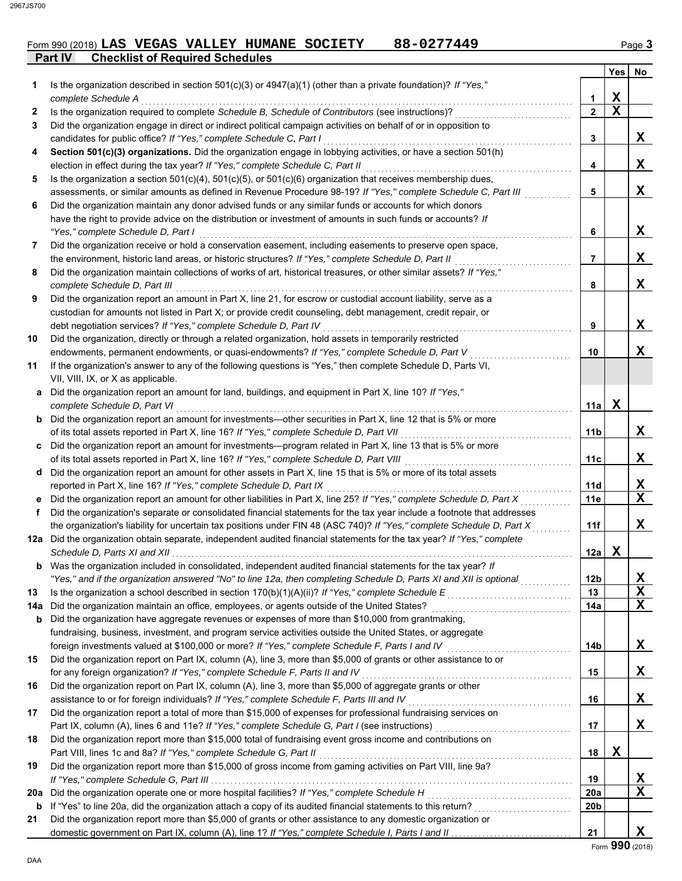# Form 990 (2018) LAS VEGAS VALLEY HUMANE SOCIETY 88-0277449 Page 3

**Part IV Checklist of Required Schedules**

|     |                                                                                                                                                                                                         |              | <b>Yes</b>  | No |
|-----|---------------------------------------------------------------------------------------------------------------------------------------------------------------------------------------------------------|--------------|-------------|----|
| 1   | Is the organization described in section $501(c)(3)$ or $4947(a)(1)$ (other than a private foundation)? If "Yes,"                                                                                       |              |             |    |
|     | complete Schedule A                                                                                                                                                                                     | 1            | X           |    |
| 2   | Is the organization required to complete Schedule B, Schedule of Contributors (see instructions)?                                                                                                       | $\mathbf{2}$ | $\mathbf x$ |    |
| 3   | Did the organization engage in direct or indirect political campaign activities on behalf of or in opposition to                                                                                        |              |             |    |
|     | candidates for public office? If "Yes," complete Schedule C, Part I                                                                                                                                     | 3            |             | X. |
| 4   | Section 501(c)(3) organizations. Did the organization engage in lobbying activities, or have a section 501(h)                                                                                           |              |             |    |
|     | election in effect during the tax year? If "Yes," complete Schedule C, Part II                                                                                                                          | 4            |             | X  |
| 5   | Is the organization a section $501(c)(4)$ , $501(c)(5)$ , or $501(c)(6)$ organization that receives membership dues,                                                                                    |              |             |    |
|     | assessments, or similar amounts as defined in Revenue Procedure 98-19? If "Yes," complete Schedule C, Part III                                                                                          | 5            |             | X  |
| 6   | Did the organization maintain any donor advised funds or any similar funds or accounts for which donors                                                                                                 |              |             |    |
|     | have the right to provide advice on the distribution or investment of amounts in such funds or accounts? If                                                                                             |              |             |    |
|     | "Yes," complete Schedule D, Part I                                                                                                                                                                      | 6            |             | X  |
| 7   | Did the organization receive or hold a conservation easement, including easements to preserve open space,                                                                                               |              |             |    |
|     | the environment, historic land areas, or historic structures? If "Yes," complete Schedule D, Part II                                                                                                    | 7            |             | X  |
| 8   | Did the organization maintain collections of works of art, historical treasures, or other similar assets? If "Yes,"                                                                                     |              |             |    |
|     | complete Schedule D, Part III                                                                                                                                                                           | 8            |             | X  |
| 9   | Did the organization report an amount in Part X, line 21, for escrow or custodial account liability, serve as a                                                                                         |              |             |    |
|     | custodian for amounts not listed in Part X; or provide credit counseling, debt management, credit repair, or<br>debt negotiation services? If "Yes," complete Schedule D, Part IV                       | 9            |             | X  |
| 10  | Did the organization, directly or through a related organization, hold assets in temporarily restricted                                                                                                 |              |             |    |
|     | endowments, permanent endowments, or quasi-endowments? If "Yes," complete Schedule D, Part V                                                                                                            | 10           |             | X  |
| 11  | If the organization's answer to any of the following questions is "Yes," then complete Schedule D, Parts VI,                                                                                            |              |             |    |
|     | VII, VIII, IX, or X as applicable.                                                                                                                                                                      |              |             |    |
| a   | Did the organization report an amount for land, buildings, and equipment in Part X, line 10? If "Yes,"                                                                                                  |              |             |    |
|     | complete Schedule D, Part VI                                                                                                                                                                            | 11a          | X           |    |
| b   | Did the organization report an amount for investments—other securities in Part X, line 12 that is 5% or more                                                                                            |              |             |    |
|     | of its total assets reported in Part X, line 16? If "Yes," complete Schedule D, Part VII                                                                                                                | 11b          |             | X  |
|     | Did the organization report an amount for investments—program related in Part X, line 13 that is 5% or more                                                                                             |              |             |    |
|     | of its total assets reported in Part X, line 16? If "Yes," complete Schedule D, Part VIII [[[[[[[[[[[[[[[[[[[                                                                                           | 11c          |             | X  |
|     | d Did the organization report an amount for other assets in Part X, line 15 that is 5% or more of its total assets                                                                                      |              |             |    |
|     | reported in Part X, line 16? If "Yes," complete Schedule D, Part IX                                                                                                                                     | 11d          |             | X. |
|     | Did the organization report an amount for other liabilities in Part X, line 25? If "Yes," complete Schedule D, Part X                                                                                   | 11e          |             | X  |
| f   | Did the organization's separate or consolidated financial statements for the tax year include a footnote that addresses                                                                                 |              |             |    |
|     | the organization's liability for uncertain tax positions under FIN 48 (ASC 740)? If "Yes," complete Schedule D, Part X                                                                                  | 11f          |             | X  |
|     | 12a Did the organization obtain separate, independent audited financial statements for the tax year? If "Yes," complete                                                                                 |              |             |    |
|     |                                                                                                                                                                                                         | 12a          | X           |    |
| b   | Was the organization included in consolidated, independent audited financial statements for the tax year? If                                                                                            |              |             |    |
|     | "Yes," and if the organization answered "No" to line 12a, then completing Schedule D, Parts XI and XII is optional                                                                                      | 12b          |             | X  |
| 13  | Is the organization a school described in section 170(b)(1)(A)(ii)? If "Yes," complete Schedule E                                                                                                       | 13           |             | X  |
| 14a | Did the organization maintain an office, employees, or agents outside of the United States?                                                                                                             | 14a          |             | X  |
| b   | Did the organization have aggregate revenues or expenses of more than \$10,000 from grantmaking,                                                                                                        |              |             |    |
|     | fundraising, business, investment, and program service activities outside the United States, or aggregate                                                                                               |              |             |    |
|     | foreign investments valued at \$100,000 or more? If "Yes," complete Schedule F, Parts I and IV [[[[[[[[[[[[[[[                                                                                          | 14b          |             | X  |
| 15  | Did the organization report on Part IX, column (A), line 3, more than \$5,000 of grants or other assistance to or                                                                                       |              |             |    |
|     | for any foreign organization? If "Yes," complete Schedule F, Parts II and IV                                                                                                                            | 15           |             | X  |
| 16  | Did the organization report on Part IX, column (A), line 3, more than \$5,000 of aggregate grants or other<br>assistance to or for foreign individuals? If "Yes," complete Schedule F, Parts III and IV |              |             |    |
|     | Did the organization report a total of more than \$15,000 of expenses for professional fundraising services on                                                                                          | 16           |             | X  |
| 17  |                                                                                                                                                                                                         | 17           |             |    |
| 18  | Did the organization report more than \$15,000 total of fundraising event gross income and contributions on                                                                                             |              |             | X  |
|     | Part VIII, lines 1c and 8a? If "Yes," complete Schedule G, Part II                                                                                                                                      | 18           | X           |    |
| 19  | Did the organization report more than \$15,000 of gross income from gaming activities on Part VIII, line 9a?                                                                                            |              |             |    |
|     |                                                                                                                                                                                                         | 19           |             | X  |
| 20a |                                                                                                                                                                                                         | <b>20a</b>   |             | X  |
| b   |                                                                                                                                                                                                         | 20b          |             |    |
| 21  | Did the organization report more than \$5,000 of grants or other assistance to any domestic organization or                                                                                             |              |             |    |
|     |                                                                                                                                                                                                         | 21           |             | X  |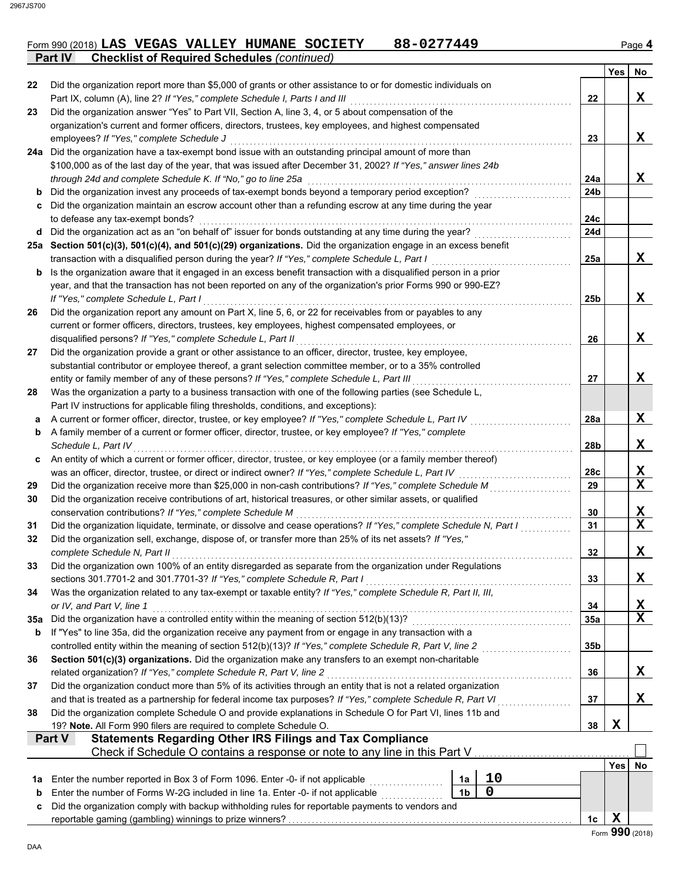## Form 990 (2018) LAS VEGAS VALLEY HUMANE SOCIETY 88-0277449 Page 4 **Part IV Checklist of Required Schedules** *(continued)*

|          |                                                                                                                                                                                                                          |                |    |                 | Yes        | No          |
|----------|--------------------------------------------------------------------------------------------------------------------------------------------------------------------------------------------------------------------------|----------------|----|-----------------|------------|-------------|
| 22       | Did the organization report more than \$5,000 of grants or other assistance to or for domestic individuals on                                                                                                            |                |    |                 |            |             |
|          | Part IX, column (A), line 2? If "Yes," complete Schedule I, Parts I and III                                                                                                                                              |                |    | 22              |            | X           |
| 23       | Did the organization answer "Yes" to Part VII, Section A, line 3, 4, or 5 about compensation of the                                                                                                                      |                |    |                 |            |             |
|          | organization's current and former officers, directors, trustees, key employees, and highest compensated                                                                                                                  |                |    |                 |            |             |
|          | employees? If "Yes," complete Schedule J                                                                                                                                                                                 |                |    | 23              |            | X           |
|          | 24a Did the organization have a tax-exempt bond issue with an outstanding principal amount of more than<br>\$100,000 as of the last day of the year, that was issued after December 31, 2002? If "Yes," answer lines 24b |                |    |                 |            |             |
|          | through 24d and complete Schedule K. If "No," go to line 25a                                                                                                                                                             |                |    | 24a             |            | X           |
| b        | Did the organization invest any proceeds of tax-exempt bonds beyond a temporary period exception?                                                                                                                        |                |    | 24b             |            |             |
| c        | Did the organization maintain an escrow account other than a refunding escrow at any time during the year                                                                                                                |                |    |                 |            |             |
|          | to defease any tax-exempt bonds?                                                                                                                                                                                         |                |    | 24c             |            |             |
| d        | Did the organization act as an "on behalf of" issuer for bonds outstanding at any time during the year?                                                                                                                  |                |    | 24d             |            |             |
|          | 25a Section 501(c)(3), 501(c)(4), and 501(c)(29) organizations. Did the organization engage in an excess benefit                                                                                                         |                |    |                 |            |             |
|          | transaction with a disqualified person during the year? If "Yes," complete Schedule L, Part I                                                                                                                            |                |    | 25a             |            | X           |
| b        | Is the organization aware that it engaged in an excess benefit transaction with a disqualified person in a prior                                                                                                         |                |    |                 |            |             |
|          | year, and that the transaction has not been reported on any of the organization's prior Forms 990 or 990-EZ?                                                                                                             |                |    |                 |            |             |
|          | If "Yes," complete Schedule L, Part I                                                                                                                                                                                    |                |    | 25 <sub>b</sub> |            | X           |
| 26       | Did the organization report any amount on Part X, line 5, 6, or 22 for receivables from or payables to any                                                                                                               |                |    |                 |            |             |
|          | current or former officers, directors, trustees, key employees, highest compensated employees, or                                                                                                                        |                |    |                 |            |             |
|          | disqualified persons? If "Yes," complete Schedule L, Part II                                                                                                                                                             |                |    | 26              |            | X           |
| 27       | Did the organization provide a grant or other assistance to an officer, director, trustee, key employee,                                                                                                                 |                |    |                 |            |             |
|          | substantial contributor or employee thereof, a grant selection committee member, or to a 35% controlled                                                                                                                  |                |    |                 |            |             |
|          | entity or family member of any of these persons? If "Yes," complete Schedule L, Part III                                                                                                                                 |                |    | 27              |            | X           |
| 28       | Was the organization a party to a business transaction with one of the following parties (see Schedule L,                                                                                                                |                |    |                 |            |             |
|          | Part IV instructions for applicable filing thresholds, conditions, and exceptions):                                                                                                                                      |                |    |                 |            |             |
| а        | A current or former officer, director, trustee, or key employee? If "Yes," complete Schedule L, Part IV                                                                                                                  |                |    | 28a             |            | X           |
| b        | A family member of a current or former officer, director, trustee, or key employee? If "Yes," complete                                                                                                                   |                |    |                 |            |             |
|          | Schedule L, Part IV                                                                                                                                                                                                      |                |    | 28b             |            | X           |
| c        | An entity of which a current or former officer, director, trustee, or key employee (or a family member thereof)                                                                                                          |                |    |                 |            | x           |
|          | was an officer, director, trustee, or direct or indirect owner? If "Yes," complete Schedule L, Part IV<br>Did the organization receive more than \$25,000 in non-cash contributions? If "Yes," complete Schedule M       |                |    | 28c<br>29       |            | $\mathbf x$ |
| 29<br>30 | Did the organization receive contributions of art, historical treasures, or other similar assets, or qualified                                                                                                           |                |    |                 |            |             |
|          | conservation contributions? If "Yes," complete Schedule M                                                                                                                                                                |                |    | 30              |            | X           |
| 31       | Did the organization liquidate, terminate, or dissolve and cease operations? If "Yes," complete Schedule N, Part I                                                                                                       |                |    | 31              |            | $\mathbf x$ |
| 32       | Did the organization sell, exchange, dispose of, or transfer more than 25% of its net assets? If "Yes,"                                                                                                                  |                |    |                 |            |             |
|          | complete Schedule N, Part II                                                                                                                                                                                             |                |    | 32              |            | X           |
| 33       | Did the organization own 100% of an entity disregarded as separate from the organization under Regulations                                                                                                               |                |    |                 |            |             |
|          | sections 301.7701-2 and 301.7701-3? If "Yes," complete Schedule R, Part I                                                                                                                                                |                |    | 33              |            | X           |
| 34       | Was the organization related to any tax-exempt or taxable entity? If "Yes," complete Schedule R, Part II, III,                                                                                                           |                |    |                 |            |             |
|          | or IV, and Part V, line 1                                                                                                                                                                                                |                |    | 34              |            | x           |
| 35а      | Did the organization have a controlled entity within the meaning of section 512(b)(13)?                                                                                                                                  |                |    | <b>35a</b>      |            | $\mathbf x$ |
| b        | If "Yes" to line 35a, did the organization receive any payment from or engage in any transaction with a                                                                                                                  |                |    |                 |            |             |
|          | controlled entity within the meaning of section 512(b)(13)? If "Yes," complete Schedule R, Part V, line 2                                                                                                                |                |    | 35b             |            |             |
| 36       | Section 501(c)(3) organizations. Did the organization make any transfers to an exempt non-charitable                                                                                                                     |                |    |                 |            |             |
|          | related organization? If "Yes," complete Schedule R, Part V, line 2                                                                                                                                                      |                |    | 36              |            | X           |
| 37       | Did the organization conduct more than 5% of its activities through an entity that is not a related organization                                                                                                         |                |    |                 |            |             |
|          | and that is treated as a partnership for federal income tax purposes? If "Yes," complete Schedule R, Part VI                                                                                                             |                |    | 37              |            | x           |
| 38       | Did the organization complete Schedule O and provide explanations in Schedule O for Part VI, lines 11b and                                                                                                               |                |    |                 |            |             |
|          | 19? Note. All Form 990 filers are required to complete Schedule O.                                                                                                                                                       |                |    | 38              | X          |             |
|          | <b>Statements Regarding Other IRS Filings and Tax Compliance</b><br>Part V<br>Check if Schedule O contains a response or note to any line in this Part V                                                                 |                |    |                 |            |             |
|          |                                                                                                                                                                                                                          |                |    |                 | <b>Yes</b> | No          |
| 1a       | Enter the number reported in Box 3 of Form 1096. Enter -0- if not applicable                                                                                                                                             | 1a             | 10 |                 |            |             |
| b        | Enter the number of Forms W-2G included in line 1a. Enter -0- if not applicable                                                                                                                                          | 1 <sub>b</sub> | 0  |                 |            |             |
| c        | Did the organization comply with backup withholding rules for reportable payments to vendors and                                                                                                                         |                |    |                 |            |             |
|          |                                                                                                                                                                                                                          |                |    | 1c              | X          |             |
|          |                                                                                                                                                                                                                          |                |    |                 |            |             |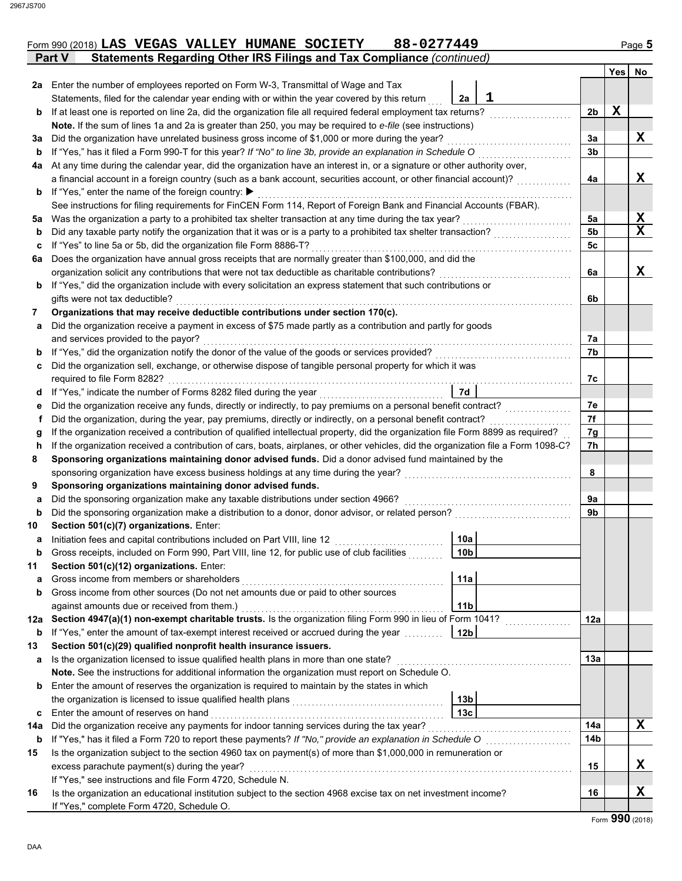|     | Statements Regarding Other IRS Filings and Tax Compliance (continued)<br><b>Part V</b>                                                                                                                                               |                |             |    |
|-----|--------------------------------------------------------------------------------------------------------------------------------------------------------------------------------------------------------------------------------------|----------------|-------------|----|
|     |                                                                                                                                                                                                                                      |                | <b>Yes</b>  | No |
| 2a  | Enter the number of employees reported on Form W-3, Transmittal of Wage and Tax                                                                                                                                                      |                |             |    |
|     | 1<br>Statements, filed for the calendar year ending with or within the year covered by this return<br>2a                                                                                                                             |                |             |    |
| b   | If at least one is reported on line 2a, did the organization file all required federal employment tax returns?                                                                                                                       | 2 <sub>b</sub> | $\mathbf x$ |    |
|     | Note. If the sum of lines 1a and 2a is greater than 250, you may be required to e-file (see instructions)                                                                                                                            |                |             |    |
| За  | Did the organization have unrelated business gross income of \$1,000 or more during the year?                                                                                                                                        | 3a             |             | X  |
| b   | If "Yes," has it filed a Form 990-T for this year? If "No" to line 3b, provide an explanation in Schedule O                                                                                                                          | 3b             |             |    |
| 4a  | At any time during the calendar year, did the organization have an interest in, or a signature or other authority over,                                                                                                              |                |             |    |
|     | a financial account in a foreign country (such as a bank account, securities account, or other financial account)?                                                                                                                   | 4a             |             | X  |
| b   | If "Yes," enter the name of the foreign country: ▶                                                                                                                                                                                   |                |             |    |
|     | See instructions for filing requirements for FinCEN Form 114, Report of Foreign Bank and Financial Accounts (FBAR).                                                                                                                  |                |             |    |
| 5a  | Was the organization a party to a prohibited tax shelter transaction at any time during the tax year?                                                                                                                                | 5a             |             | X  |
| b   | Did any taxable party notify the organization that it was or is a party to a prohibited tax shelter transaction?                                                                                                                     | 5 <sub>b</sub> |             | X  |
| c   | If "Yes" to line 5a or 5b, did the organization file Form 8886-T?                                                                                                                                                                    | 5 <sub>c</sub> |             |    |
| 6a  | Does the organization have annual gross receipts that are normally greater than \$100,000, and did the                                                                                                                               |                |             |    |
|     | organization solicit any contributions that were not tax deductible as charitable contributions?                                                                                                                                     | 6a             |             | X  |
| b   | If "Yes," did the organization include with every solicitation an express statement that such contributions or                                                                                                                       |                |             |    |
|     | gifts were not tax deductible?                                                                                                                                                                                                       | 6b             |             |    |
| 7   | Organizations that may receive deductible contributions under section 170(c).                                                                                                                                                        |                |             |    |
| а   | Did the organization receive a payment in excess of \$75 made partly as a contribution and partly for goods                                                                                                                          |                |             |    |
|     | and services provided to the payor?<br>.                                                                                                                                                                                             | 7а             |             |    |
| b   | If "Yes," did the organization notify the donor of the value of the goods or services provided?                                                                                                                                      | 7b             |             |    |
| c   | Did the organization sell, exchange, or otherwise dispose of tangible personal property for which it was                                                                                                                             |                |             |    |
|     | required to file Form 8282?                                                                                                                                                                                                          | 7c             |             |    |
| a   | If "Yes," indicate the number of Forms 8282 filed during the year<br>7d                                                                                                                                                              |                |             |    |
| е   | Did the organization receive any funds, directly or indirectly, to pay premiums on a personal benefit contract?                                                                                                                      | 7e             |             |    |
| Ť.  | Did the organization, during the year, pay premiums, directly or indirectly, on a personal benefit contract?                                                                                                                         | 7f             |             |    |
| g   | If the organization received a contribution of qualified intellectual property, did the organization file Form 8899 as required?                                                                                                     | 7g             |             |    |
| h   | If the organization received a contribution of cars, boats, airplanes, or other vehicles, did the organization file a Form 1098-C?                                                                                                   | 7h             |             |    |
| 8   | Sponsoring organizations maintaining donor advised funds. Did a donor advised fund maintained by the                                                                                                                                 |                |             |    |
|     | sponsoring organization have excess business holdings at any time during the year?                                                                                                                                                   | 8              |             |    |
| 9   | Sponsoring organizations maintaining donor advised funds.                                                                                                                                                                            |                |             |    |
|     | Did the sponsoring organization make any taxable distributions under section 4966?                                                                                                                                                   | 9а             |             |    |
| а   | Did the sponsoring organization make a distribution to a donor, donor advisor, or related person?                                                                                                                                    | 9b             |             |    |
| b   | Section 501(c)(7) organizations. Enter:                                                                                                                                                                                              |                |             |    |
| 10  |                                                                                                                                                                                                                                      |                |             |    |
| а   | Initiation fees and capital contributions included on Part VIII, line 12<br>10a                                                                                                                                                      |                |             |    |
| b   | Gross receipts, included on Form 990, Part VIII, line 12, for public use of club facilities<br>10 <sub>b</sub>                                                                                                                       |                |             |    |
| 11  | Section 501(c)(12) organizations. Enter:                                                                                                                                                                                             |                |             |    |
| а   | 11a<br>Gross income from members or shareholders                                                                                                                                                                                     |                |             |    |
| b   | Gross income from other sources (Do not net amounts due or paid to other sources                                                                                                                                                     |                |             |    |
|     | against amounts due or received from them.)<br>11 <sub>b</sub>                                                                                                                                                                       |                |             |    |
| 12a | Section 4947(a)(1) non-exempt charitable trusts. Is the organization filing Form 990 in lieu of Form 1041?<br><u> 1999 - Alexandr Alexandr Alexandr Alexandr Alexandr Alexandr Alexandr Alexandr Alexandr Alexandr Alexandr Alex</u> | 12a            |             |    |
| b   | If "Yes," enter the amount of tax-exempt interest received or accrued during the year<br>12 <sub>b</sub>                                                                                                                             |                |             |    |
| 13  | Section 501(c)(29) qualified nonprofit health insurance issuers.                                                                                                                                                                     |                |             |    |
| а   | Is the organization licensed to issue qualified health plans in more than one state?                                                                                                                                                 | 13a            |             |    |
|     | Note. See the instructions for additional information the organization must report on Schedule O.                                                                                                                                    |                |             |    |
| b   | Enter the amount of reserves the organization is required to maintain by the states in which                                                                                                                                         |                |             |    |
|     | 13 <sub>b</sub>                                                                                                                                                                                                                      |                |             |    |
| c   | 13 <sub>c</sub><br>Enter the amount of reserves on hand                                                                                                                                                                              |                |             |    |
| 14a | Did the organization receive any payments for indoor tanning services during the tax year?                                                                                                                                           | 14a            |             | X  |
| b   |                                                                                                                                                                                                                                      | 14b            |             |    |
| 15  | Is the organization subject to the section 4960 tax on payment(s) of more than \$1,000,000 in remuneration or                                                                                                                        |                |             |    |
|     | excess parachute payment(s) during the year?                                                                                                                                                                                         | 15             |             | Х  |
|     | If "Yes," see instructions and file Form 4720, Schedule N.                                                                                                                                                                           |                |             |    |
| 16  | Is the organization an educational institution subject to the section 4968 excise tax on net investment income?                                                                                                                      | 16             |             | Х  |

If "Yes," complete Form 4720, Schedule O.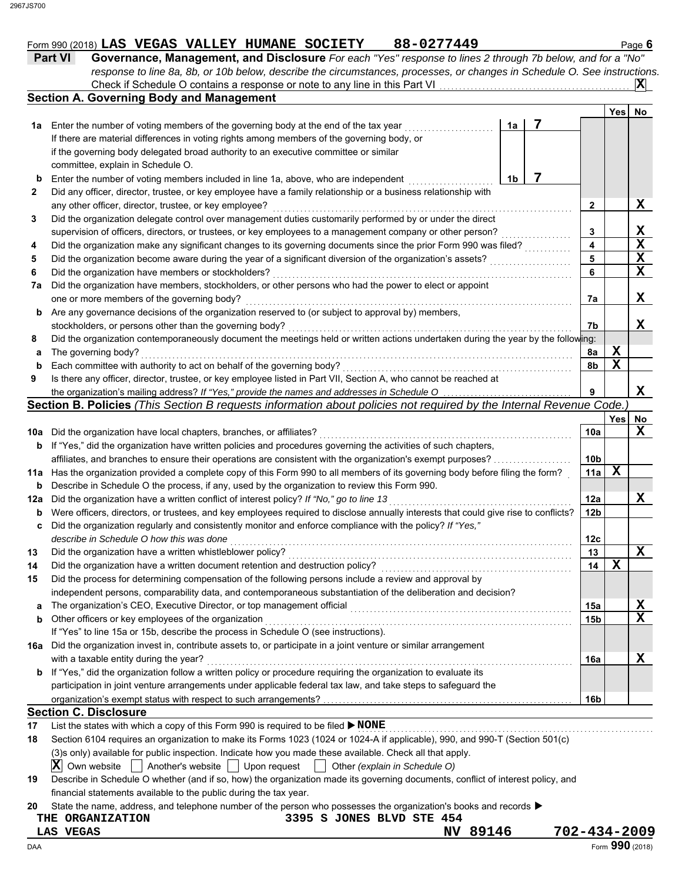|                |  |  | Form 990 (2018) LAS VEGAS VALLEY HUMANE SOCIETY | 88-0277449                                                                                                 | Page 6 |
|----------------|--|--|-------------------------------------------------|------------------------------------------------------------------------------------------------------------|--------|
| <b>Part VI</b> |  |  |                                                 | Governance, Management, and Disclosure For each "Yes" response to lines 2 through 7b below, and for a "No" |        |

| . | <b>OUVERTIGHC, Management, and Disclustife</b> For each Test response to intes z influight to below, and for a type       |
|---|---------------------------------------------------------------------------------------------------------------------------|
|   | response to line 8a, 8b, or 10b below, describe the circumstances, processes, or changes in Schedule O. See instructions. |
|   | Check if Schedule O contains a response or note to any line in this Part VI                                               |
|   |                                                                                                                           |

|              | <b>Section A. Governing Body and Management</b>                                                                                     |    |   |                 |     |             |
|--------------|-------------------------------------------------------------------------------------------------------------------------------------|----|---|-----------------|-----|-------------|
|              |                                                                                                                                     |    |   |                 | Yes | <b>No</b>   |
| 1а           | Enter the number of voting members of the governing body at the end of the tax year                                                 | 1a |   |                 |     |             |
|              | If there are material differences in voting rights among members of the governing body, or                                          |    |   |                 |     |             |
|              | if the governing body delegated broad authority to an executive committee or similar                                                |    |   |                 |     |             |
|              | committee, explain in Schedule O.                                                                                                   |    |   |                 |     |             |
| b            | Enter the number of voting members included in line 1a, above, who are independent                                                  | 1b | 7 |                 |     |             |
| $\mathbf{2}$ | Did any officer, director, trustee, or key employee have a family relationship or a business relationship with                      |    |   |                 |     |             |
|              | any other officer, director, trustee, or key employee?                                                                              |    |   | 2               |     | X           |
| 3            | Did the organization delegate control over management duties customarily performed by or under the direct                           |    |   |                 |     |             |
|              | supervision of officers, directors, or trustees, or key employees to a management company or other person?                          |    |   | 3               |     | X           |
| 4            | Did the organization make any significant changes to its governing documents since the prior Form 990 was filed?                    |    |   | 4               |     | $\mathbf x$ |
| 5            | Did the organization become aware during the year of a significant diversion of the organization's assets?                          |    |   | 5               |     | X           |
| 6            | Did the organization have members or stockholders?                                                                                  |    |   | 6               |     | X           |
| 7а           | Did the organization have members, stockholders, or other persons who had the power to elect or appoint                             |    |   |                 |     |             |
|              | one or more members of the governing body?                                                                                          |    |   | 7a              |     | x           |
| b            | Are any governance decisions of the organization reserved to (or subject to approval by) members,                                   |    |   |                 |     |             |
|              | stockholders, or persons other than the governing body?                                                                             |    |   | 7b              |     | X.          |
| 8            | Did the organization contemporaneously document the meetings held or written actions undertaken during the year by the following:   |    |   |                 |     |             |
| а            | The governing body?                                                                                                                 |    |   | 8a              | X   |             |
| b            | Each committee with authority to act on behalf of the governing body?                                                               |    |   | 8b              | X   |             |
| 9            | Is there any officer, director, trustee, or key employee listed in Part VII, Section A, who cannot be reached at                    |    |   |                 |     |             |
|              | the organization's mailing address? If "Yes," provide the names and addresses in Schedule O                                         |    |   | 9               |     | X           |
|              | Section B. Policies (This Section B requests information about policies not required by the Internal Revenue Code.                  |    |   |                 |     |             |
|              |                                                                                                                                     |    |   |                 | Yes | No.         |
| 10a          | Did the organization have local chapters, branches, or affiliates?                                                                  |    |   | 10a             |     | X           |
| b            | If "Yes," did the organization have written policies and procedures governing the activities of such chapters,                      |    |   |                 |     |             |
|              | affiliates, and branches to ensure their operations are consistent with the organization's exempt purposes?                         |    |   | 10 <sub>b</sub> |     |             |
| 11a          | Has the organization provided a complete copy of this Form 990 to all members of its governing body before filing the form?         |    |   | 11a             | X   |             |
| b            | Describe in Schedule O the process, if any, used by the organization to review this Form 990.                                       |    |   |                 |     |             |
| 12a          | Did the organization have a written conflict of interest policy? If "No," go to line 13                                             |    |   | 12a             |     | x           |
| b            | Were officers, directors, or trustees, and key employees required to disclose annually interests that could give rise to conflicts? |    |   | 12b             |     |             |
| c            | Did the organization regularly and consistently monitor and enforce compliance with the policy? If "Yes,"                           |    |   |                 |     |             |
|              | describe in Schedule O how this was done                                                                                            |    |   | 12c             |     |             |
| 13           | Did the organization have a written whistleblower policy?                                                                           |    |   | 13              |     | X           |
| 14           | Did the organization have a written document retention and destruction policy?                                                      |    |   | 14              | X   |             |
| 15           | Did the process for determining compensation of the following persons include a review and approval by                              |    |   |                 |     |             |
|              | independent persons, comparability data, and contemporaneous substantiation of the deliberation and decision?                       |    |   |                 |     |             |
| a            | The organization's CEO, Executive Director, or top management official                                                              |    |   | 15a             |     | х           |
| b            | Other officers or key employees of the organization                                                                                 |    |   | 15 <sub>b</sub> |     | X           |
|              | If "Yes" to line 15a or 15b, describe the process in Schedule O (see instructions).                                                 |    |   |                 |     |             |
|              | Did the organization invest in, contribute assets to, or participate in a joint venture or similar arrangement                      |    |   |                 |     |             |
| 16a          |                                                                                                                                     |    |   |                 |     | X           |
|              | with a taxable entity during the year?                                                                                              |    |   | <b>16a</b>      |     |             |
|              | b If "Yes," did the organization follow a written policy or procedure requiring the organization to evaluate its                    |    |   |                 |     |             |
|              | participation in joint venture arrangements under applicable federal tax law, and take steps to safeguard the                       |    |   |                 |     |             |
|              |                                                                                                                                     |    |   | 16 <sub>b</sub> |     |             |
|              | <b>Section C. Disclosure</b>                                                                                                        |    |   |                 |     |             |
| 17           | List the states with which a copy of this Form 990 is required to be filed ▶ NONE                                                   |    |   |                 |     |             |
| 18           | Section 6104 requires an organization to make its Forms 1023 (1024 or 1024-A if applicable), 990, and 990-T (Section 501(c)         |    |   |                 |     |             |

(3)s only) available for public inspection. Indicate how you made these available. Check all that apply.

 $\overline{\textbf{X}}$  Own website  $\begin{bmatrix} 1 & 2 \end{bmatrix}$  Another's website  $\begin{bmatrix} 1 & 0 \end{bmatrix}$  Upon request  $\begin{bmatrix} 1 & 0 \end{bmatrix}$  Other *(explain in Schedule O)* 

| 19 Describe in Schedule O whether (and if so, how) the organization made its governing documents, conflict of interest policy, and |
|------------------------------------------------------------------------------------------------------------------------------------|
| financial statements available to the public during the tax year.                                                                  |

**20** State the name, address, and telephone number of the person who possesses the organization's books and records ▶

# **THE ORGANIZATION 3395 S JONES BLVD STE 454**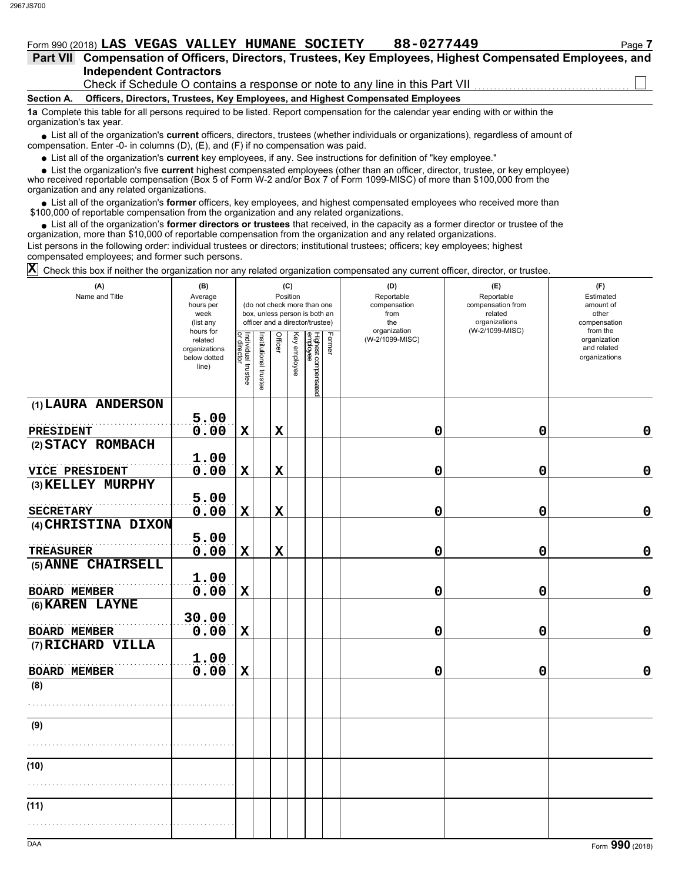|                          |                                |  | Form 990 (2018) LAS VEGAS VALLEY HUMANE SOCIETY | 88-0277449                                                                                                                        | Page 7                                                                                                    |
|--------------------------|--------------------------------|--|-------------------------------------------------|-----------------------------------------------------------------------------------------------------------------------------------|-----------------------------------------------------------------------------------------------------------|
|                          |                                |  |                                                 |                                                                                                                                   | Part VII Compensation of Officers, Directors, Trustees, Key Employees, Highest Compensated Employees, and |
|                          | <b>Independent Contractors</b> |  |                                                 |                                                                                                                                   |                                                                                                           |
|                          |                                |  |                                                 | Check if Schedule O contains a response or note to any line in this Part VII                                                      |                                                                                                           |
| Section A.               |                                |  |                                                 | Officers, Directors, Trustees, Key Employees, and Highest Compensated Employees                                                   |                                                                                                           |
| organization's tax year. |                                |  |                                                 | 1a Complete this table for all persons required to be listed. Report compensation for the calendar year ending with or within the |                                                                                                           |

■ List all of the organization's **current** officers, directors, trustees (whether individuals or organizations), regardless of amount of compensation. Enter -0- in columns (D), (E), and (F) if no compensation was paid.

List all of the organization's **current** key employees, if any. See instructions for definition of "key employee."

■ List all of the organization's **current** key employees, if any. See instructions for definition of "key employee."<br>■ List the organization's five **current** highest compensated employees (other than an officer, director,

who received reportable compensation (Box 5 of Form W-2 and/or Box 7 of Form 1099-MISC) of more than \$100,000 from the organization and any related organizations.

List all of the organization's **former** officers, key employees, and highest compensated employees who received more than • List all of the organization's **former** officers, key employees, and highest compensate \$100,000 of reportable compensation from the organization and any related organizations.

• List all of the organization's **former directors or trustees** that received, in the capacity as a former director or trustee of the organization, more than \$10,000 of reportable compensation from the organization and any related organizations. List persons in the following order: individual trustees or directors; institutional trustees; officers; key employees; highest compensated employees; and former such persons.

 $\bar{\bm{\mathrm{X}}}$  Check this box if neither the organization nor any related organization compensated any current officer, director, or trustee.

| (A)<br>Name and Title | (B)<br>Average<br>hours per<br>week<br>(list any<br>hours for |                                   |                       |                | (C)<br>Position | (do not check more than one<br>box, unless person is both an<br>officer and a director/trustee) |        | (D)<br>Reportable<br>compensation<br>from<br>the<br>organization | (E)<br>Reportable<br>compensation from<br>related<br>organizations<br>(W-2/1099-MISC) | (F)<br>Estimated<br>amount of<br>other<br>compensation<br>from the |
|-----------------------|---------------------------------------------------------------|-----------------------------------|-----------------------|----------------|-----------------|-------------------------------------------------------------------------------------------------|--------|------------------------------------------------------------------|---------------------------------------------------------------------------------------|--------------------------------------------------------------------|
|                       | related<br>organizations<br>below dotted<br>line)             | Individual trustee<br>or director | Institutional trustee | <b>Officer</b> | Key employee    | Highest compensated<br>employee                                                                 | Former | (W-2/1099-MISC)                                                  |                                                                                       | organization<br>and related<br>organizations                       |
| (1) LAURA ANDERSON    | 5.00                                                          |                                   |                       |                |                 |                                                                                                 |        |                                                                  |                                                                                       |                                                                    |
| PRESIDENT             | 0.00                                                          | $\mathbf x$                       |                       | $\mathbf x$    |                 |                                                                                                 |        | 0                                                                | 0                                                                                     | 0                                                                  |
| (2) STACY ROMBACH     |                                                               |                                   |                       |                |                 |                                                                                                 |        |                                                                  |                                                                                       |                                                                    |
|                       | 1.00                                                          |                                   |                       |                |                 |                                                                                                 |        |                                                                  |                                                                                       |                                                                    |
| VICE PRESIDENT        | 0.00                                                          | $\mathbf x$                       |                       | $\mathbf x$    |                 |                                                                                                 |        | 0                                                                | 0                                                                                     | $\mathbf 0$                                                        |
| (3) KELLEY MURPHY     |                                                               |                                   |                       |                |                 |                                                                                                 |        |                                                                  |                                                                                       |                                                                    |
|                       | 5.00                                                          |                                   |                       |                |                 |                                                                                                 |        |                                                                  |                                                                                       |                                                                    |
| <b>SECRETARY</b>      | 0.00                                                          | $\mathbf x$                       |                       | $\mathbf x$    |                 |                                                                                                 |        | 0                                                                | 0                                                                                     | $\pmb{0}$                                                          |
| (4) CHRISTINA DIXON   | 5.00                                                          |                                   |                       |                |                 |                                                                                                 |        |                                                                  |                                                                                       |                                                                    |
| <b>TREASURER</b>      | 0.00                                                          | $\mathbf x$                       |                       | $\mathbf x$    |                 |                                                                                                 |        | 0                                                                | 0                                                                                     | 0                                                                  |
| (5) ANNE CHAIRSELL    |                                                               |                                   |                       |                |                 |                                                                                                 |        |                                                                  |                                                                                       |                                                                    |
|                       | 1.00                                                          |                                   |                       |                |                 |                                                                                                 |        |                                                                  |                                                                                       |                                                                    |
| <b>BOARD MEMBER</b>   | 0.00                                                          | $\mathbf x$                       |                       |                |                 |                                                                                                 |        | 0                                                                | 0                                                                                     | $\mathbf 0$                                                        |
| (6) KAREN LAYNE       |                                                               |                                   |                       |                |                 |                                                                                                 |        |                                                                  |                                                                                       |                                                                    |
|                       | 30.00                                                         |                                   |                       |                |                 |                                                                                                 |        |                                                                  |                                                                                       |                                                                    |
| <b>BOARD MEMBER</b>   | 0.00                                                          | $\mathbf x$                       |                       |                |                 |                                                                                                 |        | 0                                                                | 0                                                                                     | $\mathbf 0$                                                        |
| (7) RICHARD VILLA     | 1.00                                                          |                                   |                       |                |                 |                                                                                                 |        |                                                                  |                                                                                       |                                                                    |
| <b>BOARD MEMBER</b>   | 0.00                                                          | $\mathbf x$                       |                       |                |                 |                                                                                                 |        | 0                                                                | 0                                                                                     | 0                                                                  |
| (8)                   |                                                               |                                   |                       |                |                 |                                                                                                 |        |                                                                  |                                                                                       |                                                                    |
|                       |                                                               |                                   |                       |                |                 |                                                                                                 |        |                                                                  |                                                                                       |                                                                    |
| (9)                   |                                                               |                                   |                       |                |                 |                                                                                                 |        |                                                                  |                                                                                       |                                                                    |
|                       |                                                               |                                   |                       |                |                 |                                                                                                 |        |                                                                  |                                                                                       |                                                                    |
| (10)                  |                                                               |                                   |                       |                |                 |                                                                                                 |        |                                                                  |                                                                                       |                                                                    |
|                       |                                                               |                                   |                       |                |                 |                                                                                                 |        |                                                                  |                                                                                       |                                                                    |
| (11)                  |                                                               |                                   |                       |                |                 |                                                                                                 |        |                                                                  |                                                                                       |                                                                    |
|                       |                                                               |                                   |                       |                |                 |                                                                                                 |        |                                                                  |                                                                                       |                                                                    |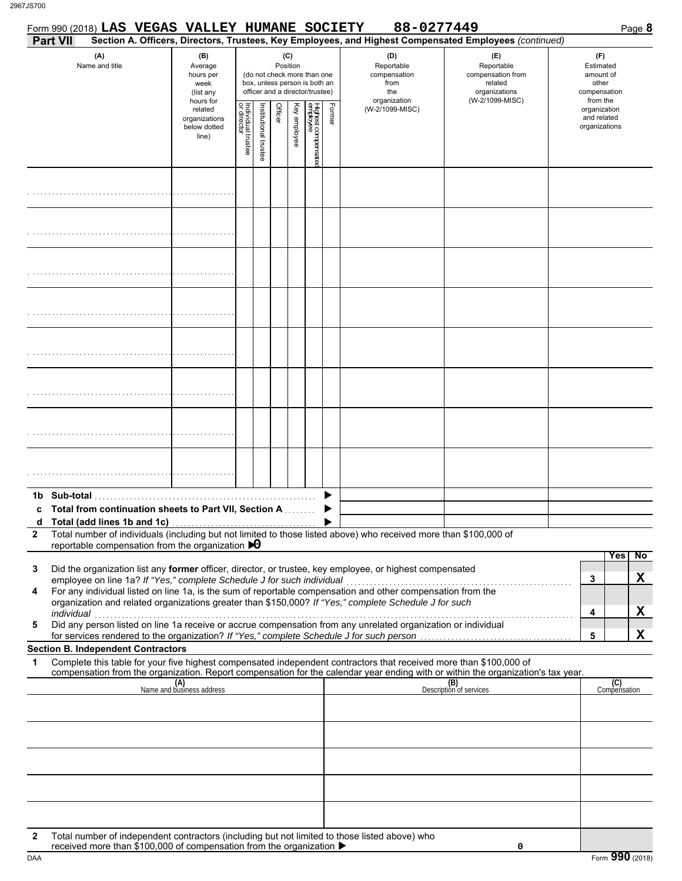|              | Form 990 (2018) LAS VEGAS VALLEY HUMANE SOCIETY<br><b>Part VII</b>                                                                                                                                                                                                                                                                                                                                                                                                                                                                        |                                                                |                                                                                                                    |                       |         |              |                                 |        | 88-0277449                                                       | Section A. Officers, Directors, Trustees, Key Employees, and Highest Compensated Employees (continued)                                                             | Page 8                                                             |
|--------------|-------------------------------------------------------------------------------------------------------------------------------------------------------------------------------------------------------------------------------------------------------------------------------------------------------------------------------------------------------------------------------------------------------------------------------------------------------------------------------------------------------------------------------------------|----------------------------------------------------------------|--------------------------------------------------------------------------------------------------------------------|-----------------------|---------|--------------|---------------------------------|--------|------------------------------------------------------------------|--------------------------------------------------------------------------------------------------------------------------------------------------------------------|--------------------------------------------------------------------|
|              | (A)<br>Name and title                                                                                                                                                                                                                                                                                                                                                                                                                                                                                                                     | (B)<br>Average<br>hours per<br>week<br>(list any               | (C)<br>Position<br>(do not check more than one<br>box, unless person is both an<br>officer and a director/trustee) |                       |         |              |                                 |        | (D)<br>Reportable<br>compensation<br>from<br>the<br>organization | (E)<br>Reportable<br>compensation from<br>related<br>organizations<br>(W-2/1099-MISC)                                                                              | (F)<br>Estimated<br>amount of<br>other<br>compensation<br>from the |
|              |                                                                                                                                                                                                                                                                                                                                                                                                                                                                                                                                           | hours for<br>related<br>organizations<br>below dotted<br>line) | Individual trustee<br>or director                                                                                  | Institutional trustee | Officer | Key employee | Highest compensatec<br>employee | Former | (W-2/1099-MISC)                                                  |                                                                                                                                                                    | organization<br>and related<br>organizations                       |
|              |                                                                                                                                                                                                                                                                                                                                                                                                                                                                                                                                           |                                                                |                                                                                                                    |                       |         |              |                                 |        |                                                                  |                                                                                                                                                                    |                                                                    |
|              |                                                                                                                                                                                                                                                                                                                                                                                                                                                                                                                                           |                                                                |                                                                                                                    |                       |         |              |                                 |        |                                                                  |                                                                                                                                                                    |                                                                    |
|              |                                                                                                                                                                                                                                                                                                                                                                                                                                                                                                                                           |                                                                |                                                                                                                    |                       |         |              |                                 |        |                                                                  |                                                                                                                                                                    |                                                                    |
|              |                                                                                                                                                                                                                                                                                                                                                                                                                                                                                                                                           |                                                                |                                                                                                                    |                       |         |              |                                 |        |                                                                  |                                                                                                                                                                    |                                                                    |
|              |                                                                                                                                                                                                                                                                                                                                                                                                                                                                                                                                           |                                                                |                                                                                                                    |                       |         |              |                                 |        |                                                                  |                                                                                                                                                                    |                                                                    |
|              |                                                                                                                                                                                                                                                                                                                                                                                                                                                                                                                                           |                                                                |                                                                                                                    |                       |         |              |                                 |        |                                                                  |                                                                                                                                                                    |                                                                    |
|              |                                                                                                                                                                                                                                                                                                                                                                                                                                                                                                                                           |                                                                |                                                                                                                    |                       |         |              |                                 |        |                                                                  |                                                                                                                                                                    |                                                                    |
|              |                                                                                                                                                                                                                                                                                                                                                                                                                                                                                                                                           |                                                                |                                                                                                                    |                       |         |              |                                 |        |                                                                  |                                                                                                                                                                    |                                                                    |
|              | 1b Sub-total<br>Total from continuation sheets to Part VII, Section A                                                                                                                                                                                                                                                                                                                                                                                                                                                                     |                                                                |                                                                                                                    |                       |         |              |                                 |        |                                                                  |                                                                                                                                                                    |                                                                    |
| $\mathbf{2}$ | Total number of individuals (including but not limited to those listed above) who received more than \$100,000 of<br>reportable compensation from the organization $\bigtriangledown 0$                                                                                                                                                                                                                                                                                                                                                   |                                                                |                                                                                                                    |                       |         |              |                                 |        |                                                                  |                                                                                                                                                                    | Yes<br>No                                                          |
| 3<br>4<br>5  | Did the organization list any former officer, director, or trustee, key employee, or highest compensated<br>employee on line 1a? If "Yes," complete Schedule J for such individual<br>For any individual listed on line 1a, is the sum of reportable compensation and other compensation from the<br>organization and related organizations greater than \$150,000? If "Yes," complete Schedule J for such<br>individual<br>Did any person listed on line 1a receive or accrue compensation from any unrelated organization or individual |                                                                |                                                                                                                    |                       |         |              |                                 |        |                                                                  |                                                                                                                                                                    | X<br>3<br>X<br>4                                                   |
|              | for services rendered to the organization? If "Yes," complete Schedule J for such person<br><b>Section B. Independent Contractors</b>                                                                                                                                                                                                                                                                                                                                                                                                     |                                                                |                                                                                                                    |                       |         |              |                                 |        |                                                                  |                                                                                                                                                                    | X<br>5                                                             |
| 1            | Complete this table for your five highest compensated independent contractors that received more than \$100,000 of                                                                                                                                                                                                                                                                                                                                                                                                                        | (A)<br>Name and business address                               |                                                                                                                    |                       |         |              |                                 |        |                                                                  | compensation from the organization. Report compensation for the calendar year ending with or within the organization's tax year.<br>(B)<br>Description of services | (C)<br>Compensation                                                |
|              |                                                                                                                                                                                                                                                                                                                                                                                                                                                                                                                                           |                                                                |                                                                                                                    |                       |         |              |                                 |        |                                                                  |                                                                                                                                                                    |                                                                    |
|              |                                                                                                                                                                                                                                                                                                                                                                                                                                                                                                                                           |                                                                |                                                                                                                    |                       |         |              |                                 |        |                                                                  |                                                                                                                                                                    |                                                                    |
|              |                                                                                                                                                                                                                                                                                                                                                                                                                                                                                                                                           |                                                                |                                                                                                                    |                       |         |              |                                 |        |                                                                  |                                                                                                                                                                    |                                                                    |
| $\mathbf{2}$ | Total number of independent contractors (including but not limited to those listed above) who<br>received more than \$100,000 of compensation from the organization ▶                                                                                                                                                                                                                                                                                                                                                                     |                                                                |                                                                                                                    |                       |         |              |                                 |        |                                                                  | 0                                                                                                                                                                  |                                                                    |
| DAA          |                                                                                                                                                                                                                                                                                                                                                                                                                                                                                                                                           |                                                                |                                                                                                                    |                       |         |              |                                 |        |                                                                  |                                                                                                                                                                    | Form 990 (2018)                                                    |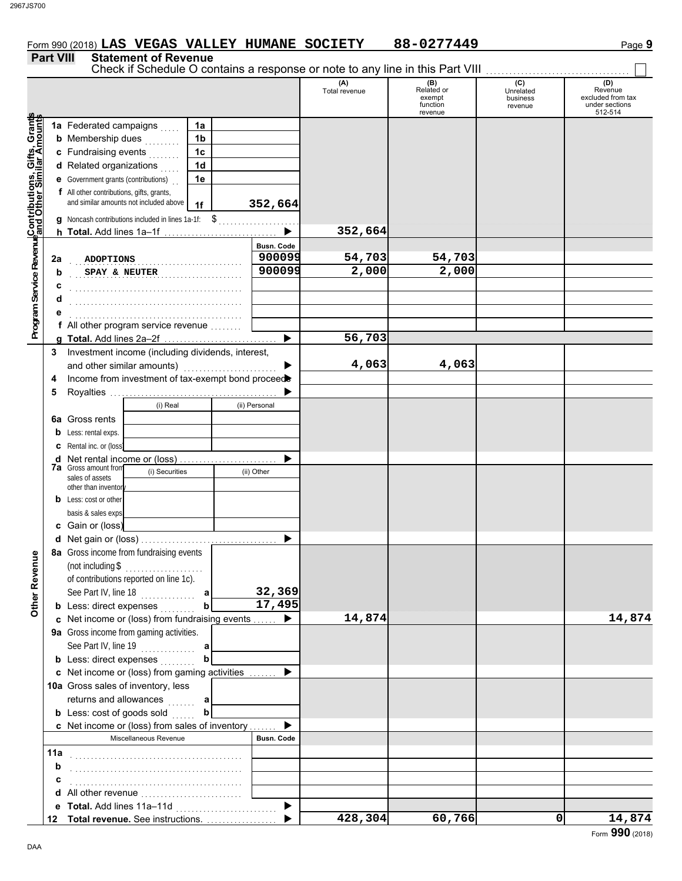**Part VIII Statement of Revenue**

|                                                                                                                                      |         | Check if Schedule O contains a response or note to any line in this Part VIII       |                |   |                      |                      |                                                    |                                         |                                                                  |
|--------------------------------------------------------------------------------------------------------------------------------------|---------|-------------------------------------------------------------------------------------|----------------|---|----------------------|----------------------|----------------------------------------------------|-----------------------------------------|------------------------------------------------------------------|
|                                                                                                                                      |         |                                                                                     |                |   |                      | (A)<br>Total revenue | (B)<br>Related or<br>exempt<br>function<br>revenue | (C)<br>Unrelated<br>business<br>revenue | (D)<br>Revenue<br>excluded from tax<br>under sections<br>512-514 |
|                                                                                                                                      |         | 1a Federated campaigns                                                              | 1a             |   |                      |                      |                                                    |                                         |                                                                  |
|                                                                                                                                      |         | <b>b</b> Membership dues                                                            | 1 <sub>b</sub> |   |                      |                      |                                                    |                                         |                                                                  |
|                                                                                                                                      |         | c Fundraising events                                                                | 1 <sub>c</sub> |   |                      |                      |                                                    |                                         |                                                                  |
|                                                                                                                                      |         | d Related organizations                                                             | 1 <sub>d</sub> |   |                      |                      |                                                    |                                         |                                                                  |
|                                                                                                                                      |         | Government grants (contributions)                                                   | 1e             |   |                      |                      |                                                    |                                         |                                                                  |
| Program Service Revenu <mark>¢Contributions, Gifts, Grant</mark> s<br>Program Service Revenu¢and Other Similar Amount <mark>s</mark> |         | f All other contributions, gifts, grants,<br>and similar amounts not included above | 1f             |   | 352,664              |                      |                                                    |                                         |                                                                  |
|                                                                                                                                      |         | Noncash contributions included in lines 1a-1f: \$                                   |                |   |                      |                      |                                                    |                                         |                                                                  |
|                                                                                                                                      | h.      |                                                                                     |                |   |                      | 352,664              |                                                    |                                         |                                                                  |
|                                                                                                                                      |         |                                                                                     |                |   | Busn. Code<br>900099 | 54,703               | 54,703                                             |                                         |                                                                  |
|                                                                                                                                      | 2a<br>b | <b>ADOPTIONS</b>                                                                    |                |   | 900099               | 2,000                | 2,000                                              |                                         |                                                                  |
|                                                                                                                                      |         | SPAY & NEUTER                                                                       | .              |   |                      |                      |                                                    |                                         |                                                                  |
|                                                                                                                                      | c<br>d  |                                                                                     |                |   |                      |                      |                                                    |                                         |                                                                  |
|                                                                                                                                      |         |                                                                                     |                |   |                      |                      |                                                    |                                         |                                                                  |
|                                                                                                                                      |         | f All other program service revenue                                                 |                |   |                      |                      |                                                    |                                         |                                                                  |
|                                                                                                                                      |         |                                                                                     |                |   |                      | 56,703               |                                                    |                                         |                                                                  |
|                                                                                                                                      | 3       | Investment income (including dividends, interest,                                   |                |   |                      |                      |                                                    |                                         |                                                                  |
|                                                                                                                                      |         | and other similar amounts)                                                          |                |   |                      | 4,063                | 4,063                                              |                                         |                                                                  |
|                                                                                                                                      | 4       | Income from investment of tax-exempt bond proceed                                   |                | . |                      |                      |                                                    |                                         |                                                                  |
|                                                                                                                                      | 5       |                                                                                     |                |   |                      |                      |                                                    |                                         |                                                                  |
|                                                                                                                                      |         | (i) Real                                                                            |                |   | (ii) Personal        |                      |                                                    |                                         |                                                                  |
|                                                                                                                                      | 6a      | Gross rents                                                                         |                |   |                      |                      |                                                    |                                         |                                                                  |
|                                                                                                                                      | b       | Less: rental exps.                                                                  |                |   |                      |                      |                                                    |                                         |                                                                  |
|                                                                                                                                      |         | Rental inc. or (loss)                                                               |                |   |                      |                      |                                                    |                                         |                                                                  |
|                                                                                                                                      | d       |                                                                                     |                |   |                      |                      |                                                    |                                         |                                                                  |
|                                                                                                                                      |         | <b>7a</b> Gross amount from<br>(i) Securities                                       |                |   | (ii) Other           |                      |                                                    |                                         |                                                                  |
|                                                                                                                                      |         | sales of assets<br>other than inventor                                              |                |   |                      |                      |                                                    |                                         |                                                                  |
|                                                                                                                                      | b       | Less: cost or other                                                                 |                |   |                      |                      |                                                    |                                         |                                                                  |
|                                                                                                                                      |         | basis & sales exps.                                                                 |                |   |                      |                      |                                                    |                                         |                                                                  |
|                                                                                                                                      | С       | Gain or (loss)                                                                      |                |   |                      |                      |                                                    |                                         |                                                                  |
|                                                                                                                                      |         |                                                                                     |                |   |                      |                      |                                                    |                                         |                                                                  |
| gur                                                                                                                                  |         | 8a Gross income from fundraising events                                             |                |   |                      |                      |                                                    |                                         |                                                                  |
|                                                                                                                                      |         | (not including \$                                                                   |                |   |                      |                      |                                                    |                                         |                                                                  |
|                                                                                                                                      |         | of contributions reported on line 1c).                                              |                |   |                      |                      |                                                    |                                         |                                                                  |
|                                                                                                                                      |         | See Part IV, line 18                                                                | a              |   | 32,369               |                      |                                                    |                                         |                                                                  |
| Other Rever                                                                                                                          |         | <b>b</b> Less: direct expenses                                                      | b              |   | 17,495               |                      |                                                    |                                         |                                                                  |
|                                                                                                                                      |         | c Net income or (loss) from fundraising events                                      |                |   |                      | 14,874               |                                                    |                                         | 14,874                                                           |
|                                                                                                                                      |         | 9a Gross income from gaming activities.                                             |                |   |                      |                      |                                                    |                                         |                                                                  |
|                                                                                                                                      |         | See Part IV, line 19                                                                | a              |   |                      |                      |                                                    |                                         |                                                                  |
|                                                                                                                                      |         | <b>b</b> Less: direct expenses                                                      | b              |   |                      |                      |                                                    |                                         |                                                                  |
|                                                                                                                                      |         | <b>c</b> Net income or (loss) from gaming activities                                |                |   |                      |                      |                                                    |                                         |                                                                  |
|                                                                                                                                      |         | 10a Gross sales of inventory, less                                                  |                |   |                      |                      |                                                    |                                         |                                                                  |
|                                                                                                                                      |         | returns and allowances<br>.                                                         | a              |   |                      |                      |                                                    |                                         |                                                                  |
|                                                                                                                                      |         | <b>b</b> Less: cost of goods sold                                                   | b              |   |                      |                      |                                                    |                                         |                                                                  |
|                                                                                                                                      |         | c Net income or (loss) from sales of inventory                                      |                |   |                      |                      |                                                    |                                         |                                                                  |
|                                                                                                                                      |         | Miscellaneous Revenue                                                               |                |   | <b>Busn. Code</b>    |                      |                                                    |                                         |                                                                  |
|                                                                                                                                      | 11a     |                                                                                     |                |   |                      |                      |                                                    |                                         |                                                                  |
|                                                                                                                                      | b       |                                                                                     |                |   |                      |                      |                                                    |                                         |                                                                  |
|                                                                                                                                      | с       |                                                                                     |                |   |                      |                      |                                                    |                                         |                                                                  |
|                                                                                                                                      | d       | All other revenue                                                                   |                |   |                      |                      |                                                    |                                         |                                                                  |
|                                                                                                                                      | е       | Total. Add lines 11a-11d                                                            |                |   |                      |                      |                                                    |                                         |                                                                  |
|                                                                                                                                      | 12      | Total revenue. See instructions.                                                    |                |   |                      | 428,304              | 60,766                                             |                                         | 14,874<br>0                                                      |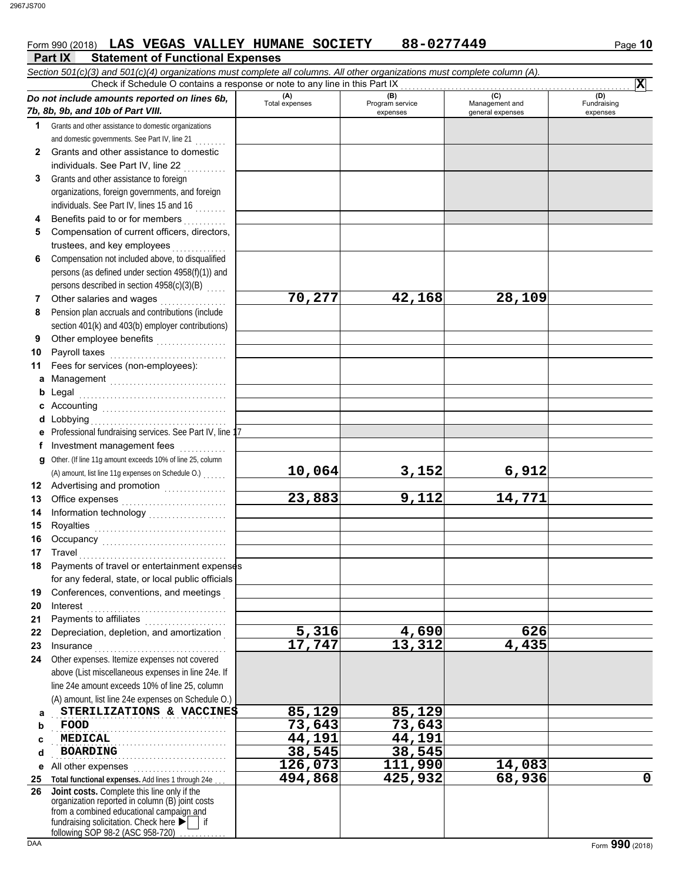### **Part IX Statement of Functional Expenses** Form 990 (2018) **LAS VEGAS VALLEY HUMANE SOCIETY** 88-0277449 Page 10

|          | Check if Schedule O contains a response or note to any line in this Part IX                                                                     |                       |                        |                       | $\overline{\mathbf{x}}$ |
|----------|-------------------------------------------------------------------------------------------------------------------------------------------------|-----------------------|------------------------|-----------------------|-------------------------|
|          | Do not include amounts reported on lines 6b,                                                                                                    | (A)<br>Total expenses | (B)<br>Program service | (C)<br>Management and | (D)<br>Fundraising      |
|          | 7b, 8b, 9b, and 10b of Part VIII.                                                                                                               |                       | expenses               | general expenses      | expenses                |
| 1.       | Grants and other assistance to domestic organizations                                                                                           |                       |                        |                       |                         |
|          | and domestic governments. See Part IV, line 21                                                                                                  |                       |                        |                       |                         |
| 2        | Grants and other assistance to domestic                                                                                                         |                       |                        |                       |                         |
|          | individuals. See Part IV, line 22                                                                                                               |                       |                        |                       |                         |
| 3        | Grants and other assistance to foreign                                                                                                          |                       |                        |                       |                         |
|          | organizations, foreign governments, and foreign                                                                                                 |                       |                        |                       |                         |
|          | individuals. See Part IV, lines 15 and 16                                                                                                       |                       |                        |                       |                         |
| 4        | Benefits paid to or for members                                                                                                                 |                       |                        |                       |                         |
| 5        | Compensation of current officers, directors,                                                                                                    |                       |                        |                       |                         |
|          | trustees, and key employees                                                                                                                     |                       |                        |                       |                         |
| 6        | Compensation not included above, to disqualified                                                                                                |                       |                        |                       |                         |
|          | persons (as defined under section 4958(f)(1)) and                                                                                               |                       |                        |                       |                         |
|          | persons described in section 4958(c)(3)(B)                                                                                                      |                       |                        |                       |                         |
| 7        | Other salaries and wages                                                                                                                        | 70,277                | 42,168                 | 28,109                |                         |
| 8        | Pension plan accruals and contributions (include                                                                                                |                       |                        |                       |                         |
|          | section 401(k) and 403(b) employer contributions)                                                                                               |                       |                        |                       |                         |
| 9        | Other employee benefits                                                                                                                         |                       |                        |                       |                         |
| 10       | Payroll taxes                                                                                                                                   |                       |                        |                       |                         |
| 11       | Fees for services (non-employees):                                                                                                              |                       |                        |                       |                         |
| а        | Management                                                                                                                                      |                       |                        |                       |                         |
| b        |                                                                                                                                                 |                       |                        |                       |                         |
|          |                                                                                                                                                 |                       |                        |                       |                         |
| d        |                                                                                                                                                 |                       |                        |                       |                         |
|          | Professional fundraising services. See Part IV, line 17                                                                                         |                       |                        |                       |                         |
| f        | Investment management fees                                                                                                                      |                       |                        |                       |                         |
| g        | Other. (If line 11g amount exceeds 10% of line 25, column                                                                                       | 10,064                | 3,152                  | 6,912                 |                         |
|          | (A) amount, list line 11g expenses on Schedule O.)                                                                                              |                       |                        |                       |                         |
| 12       | Advertising and promotion [11] [11] Advertising and promotion                                                                                   | 23,883                | 9,112                  | 14,771                |                         |
| 13<br>14 |                                                                                                                                                 |                       |                        |                       |                         |
| 15       |                                                                                                                                                 |                       |                        |                       |                         |
| 16       |                                                                                                                                                 |                       |                        |                       |                         |
| 17       | Travel                                                                                                                                          |                       |                        |                       |                         |
| 18       | Payments of travel or entertainment expenses                                                                                                    |                       |                        |                       |                         |
|          | for any federal, state, or local public officials                                                                                               |                       |                        |                       |                         |
| 19       | Conferences, conventions, and meetings                                                                                                          |                       |                        |                       |                         |
| 20       | Interest                                                                                                                                        |                       |                        |                       |                         |
| 21       |                                                                                                                                                 |                       |                        |                       |                         |
| 22       | Depreciation, depletion, and amortization                                                                                                       | 5,316                 | 4,690                  | 626                   |                         |
| 23       | Insurance                                                                                                                                       | 17,747                | 13,312                 | 4,435                 |                         |
| 24       | Other expenses. Itemize expenses not covered                                                                                                    |                       |                        |                       |                         |
|          | above (List miscellaneous expenses in line 24e. If                                                                                              |                       |                        |                       |                         |
|          | line 24e amount exceeds 10% of line 25, column                                                                                                  |                       |                        |                       |                         |
|          | (A) amount, list line 24e expenses on Schedule O.)                                                                                              |                       |                        |                       |                         |
| а        | STERILIZATIONS & VACCINES                                                                                                                       | 85,129                | 85,129                 |                       |                         |
| b        | <b>FOOD</b>                                                                                                                                     | 73,643                | 73,643                 |                       |                         |
| C        | MEDICAL                                                                                                                                         | 44,191                | 44,191                 |                       |                         |
| d        | <b>BOARDING</b>                                                                                                                                 | 38,545                | 38,545                 |                       |                         |
| е        | All other expenses                                                                                                                              | 126,073               | 111,990                | 14,083                |                         |
| 25       | Total functional expenses. Add lines 1 through 24e                                                                                              | 494,868               | 425,932                | 68,936                | 0                       |
| 26       | Joint costs. Complete this line only if the<br>organization reported in column (B) joint costs                                                  |                       |                        |                       |                         |
|          | from a combined educational campaign and<br>fundraising solicitation. Check here $\blacktriangleright$   if<br>following SOP 98-2 (ASC 958-720) |                       |                        |                       |                         |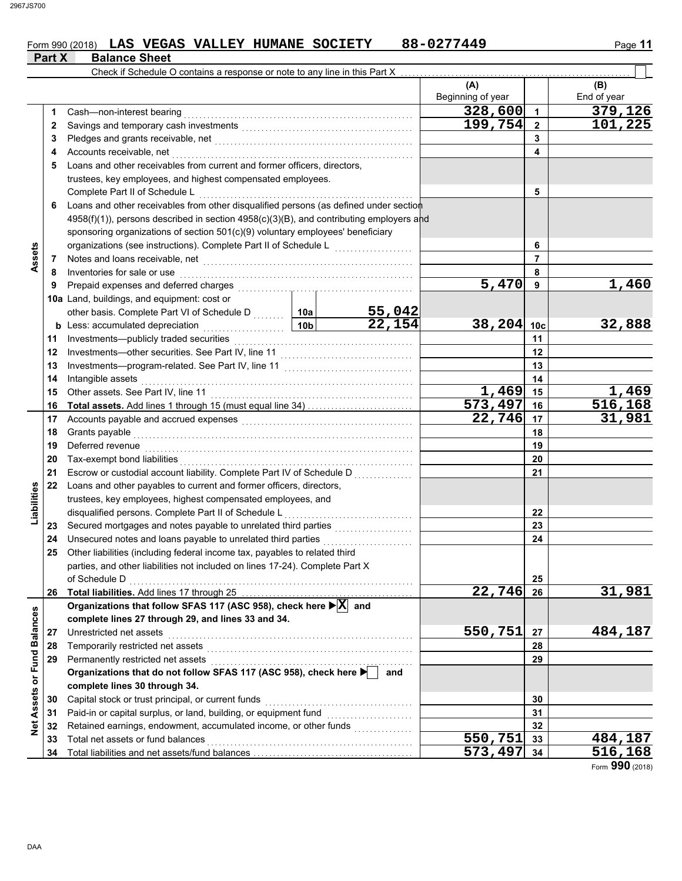## Form 990 (2018) LAS VEGAS VALLEY HUMANE SOCIETY 88-0277449 Page 11 **Part X** Balance Sheet

|                             |    | Check if Schedule O contains a response or note to any line in this Part X                             |      |        |                          |                 |                    |
|-----------------------------|----|--------------------------------------------------------------------------------------------------------|------|--------|--------------------------|-----------------|--------------------|
|                             |    |                                                                                                        |      |        | (A)<br>Beginning of year |                 | (B)<br>End of year |
|                             | 1  | Cash-non-interest bearing                                                                              |      |        | 328,600                  | $\overline{1}$  | 379,126            |
|                             | 2  |                                                                                                        |      |        | 199,754                  | $\overline{2}$  | 101,225            |
|                             | 3  |                                                                                                        |      |        |                          | 3               |                    |
|                             | 4  | Accounts receivable, net                                                                               |      |        | 4                        |                 |                    |
|                             | 5  | Loans and other receivables from current and former officers, directors,                               |      |        |                          |                 |                    |
|                             |    | trustees, key employees, and highest compensated employees.                                            |      |        |                          |                 |                    |
|                             |    | Complete Part II of Schedule L                                                                         |      | 5      |                          |                 |                    |
|                             | 6  | Loans and other receivables from other disqualified persons (as defined under section                  |      |        |                          |                 |                    |
|                             |    | 4958(f)(1)), persons described in section 4958(c)(3)(B), and contributing employers and                |      |        |                          |                 |                    |
|                             |    | sponsoring organizations of section 501(c)(9) voluntary employees' beneficiary                         |      |        |                          |                 |                    |
|                             |    | organizations (see instructions). Complete Part II of Schedule L                                       |      |        |                          | 6               |                    |
| Assets                      | 7  |                                                                                                        |      |        |                          | $\overline{7}$  |                    |
|                             | 8  | Inventories for sale or use                                                                            |      |        |                          | 8               |                    |
|                             | 9  | Prepaid expenses and deferred charges                                                                  |      |        | 5,470                    | 9               | 1,460              |
|                             |    | 10a Land, buildings, and equipment: cost or                                                            |      |        |                          |                 |                    |
|                             |    | other basis. Complete Part VI of Schedule D  10a                                                       |      | 55,042 |                          |                 |                    |
|                             |    | <b>b</b> Less: accumulated depreciation                                                                | 10bl | 22,154 | 38,204                   | 10 <sub>c</sub> | 32,888             |
|                             | 11 | Investments-publicly traded securities                                                                 |      |        |                          | 11              |                    |
|                             | 12 | Investments-other securities. See Part IV, line 11                                                     |      |        |                          | 12              |                    |
|                             | 13 |                                                                                                        |      |        |                          | 13              |                    |
|                             | 14 | Intangible assets                                                                                      |      |        |                          | 14              |                    |
|                             | 15 | Other assets. See Part IV, line 11                                                                     |      |        | 1,469                    | 15              | 1,469              |
|                             | 16 |                                                                                                        |      |        | 573,497                  | 16              | 516,168            |
|                             | 17 |                                                                                                        |      |        | $\overline{22,746}$ 17   |                 | 31,981             |
|                             | 18 | Grants payable                                                                                         |      |        |                          | 18              |                    |
|                             | 19 | Deferred revenue                                                                                       |      |        |                          | 19              |                    |
|                             | 20 | Tax-exempt bond liabilities                                                                            |      |        |                          | 20              |                    |
|                             | 21 | Escrow or custodial account liability. Complete Part IV of Schedule D                                  |      |        |                          | 21              |                    |
|                             | 22 | Loans and other payables to current and former officers, directors,                                    |      |        |                          |                 |                    |
| Liabilities                 |    | trustees, key employees, highest compensated employees, and                                            |      |        |                          |                 |                    |
|                             |    | disqualified persons. Complete Part II of Schedule L                                                   |      |        |                          | 22              |                    |
|                             | 23 |                                                                                                        |      |        |                          | 23              |                    |
|                             | 24 | Unsecured notes and loans payable to unrelated third parties                                           |      |        |                          | 24              |                    |
|                             | 25 | Other liabilities (including federal income tax, payables to related third                             |      |        |                          |                 |                    |
|                             |    | parties, and other liabilities not included on lines 17-24). Complete Part X                           |      |        |                          |                 |                    |
|                             |    | of Schedule D                                                                                          |      |        |                          | 25              |                    |
|                             | 26 |                                                                                                        |      |        | 22,746                   | 26              | 31,981             |
|                             |    | Organizations that follow SFAS 117 (ASC 958), check here $\blacktriangleright$ $\boxed{\text{X}}$ and  |      |        |                          |                 |                    |
|                             |    | complete lines 27 through 29, and lines 33 and 34.                                                     |      |        | 550,751                  |                 |                    |
|                             | 27 | Unrestricted net assets                                                                                |      |        |                          | 27              | 484,187            |
|                             | 28 | Temporarily restricted net assets                                                                      |      |        |                          | 28              |                    |
|                             | 29 | Permanently restricted net assets<br>Organizations that do not follow SFAS 117 (ASC 958), check here M |      | and    |                          | 29              |                    |
|                             |    |                                                                                                        |      |        |                          |                 |                    |
| Net Assets or Fund Balances |    | complete lines 30 through 34.                                                                          |      |        |                          |                 |                    |
|                             | 30 | Capital stock or trust principal, or current funds                                                     |      |        |                          | 30              |                    |
|                             | 31 | Paid-in or capital surplus, or land, building, or equipment fund                                       |      |        |                          | 31              |                    |
|                             | 32 | Retained earnings, endowment, accumulated income, or other funds<br>Total net assets or fund balances  |      |        | 550,751                  | 32<br>33        | 484,187            |
|                             | 33 |                                                                                                        |      |        | 573,497                  | 34              | 516, 168           |
|                             | 34 |                                                                                                        |      |        |                          |                 |                    |

Form **990** (2018)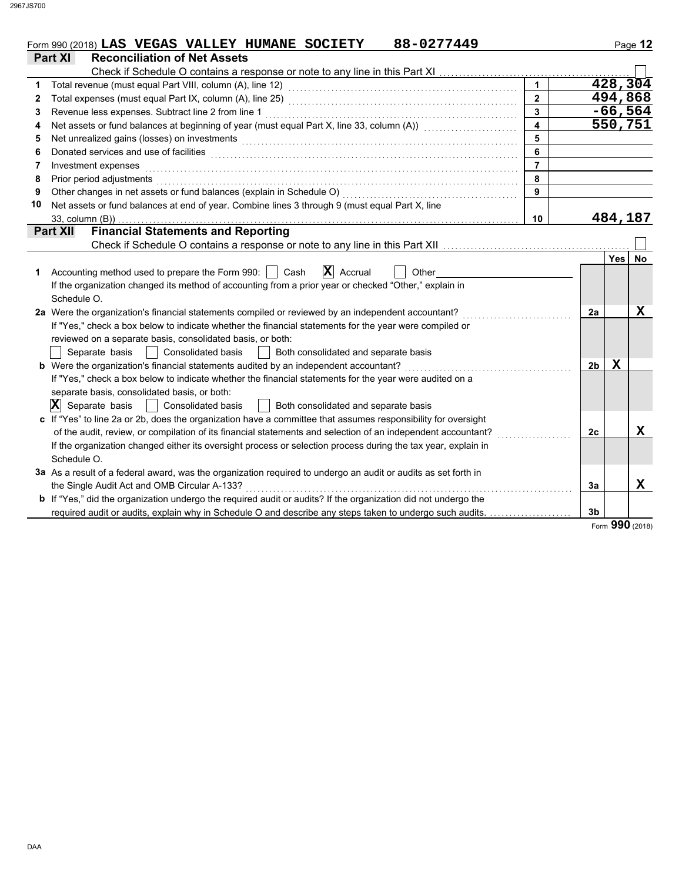| Form 990 (2018) LAS VEGAS VALLEY HUMANE SOCIETY<br><b>Part XI</b><br><b>Reconciliation of Net Assets</b><br>$\overline{1}$<br>1<br>$\overline{2}$<br>2<br>$\mathbf{3}$<br>Revenue less expenses. Subtract line 2 from line 1<br>3<br>Net assets or fund balances at beginning of year (must equal Part X, line 33, column (A)) [[[[[[[[[[[[[[[[[[[<br>$\overline{\mathbf{4}}$<br>4<br>5<br>Net unrealized gains (losses) on investments [11] with an intervention of the state of the state of the state of the state of the state of the state of the state of the state of the state of the state of the state of the s<br>5<br>6<br>6<br>$\overline{7}$<br>Investment expenses<br>7 |                | 428,304<br>$-66,564$<br>550,751 | 494,868     |
|----------------------------------------------------------------------------------------------------------------------------------------------------------------------------------------------------------------------------------------------------------------------------------------------------------------------------------------------------------------------------------------------------------------------------------------------------------------------------------------------------------------------------------------------------------------------------------------------------------------------------------------------------------------------------------------|----------------|---------------------------------|-------------|
|                                                                                                                                                                                                                                                                                                                                                                                                                                                                                                                                                                                                                                                                                        |                |                                 |             |
|                                                                                                                                                                                                                                                                                                                                                                                                                                                                                                                                                                                                                                                                                        |                |                                 |             |
|                                                                                                                                                                                                                                                                                                                                                                                                                                                                                                                                                                                                                                                                                        |                |                                 |             |
|                                                                                                                                                                                                                                                                                                                                                                                                                                                                                                                                                                                                                                                                                        |                |                                 |             |
|                                                                                                                                                                                                                                                                                                                                                                                                                                                                                                                                                                                                                                                                                        |                |                                 |             |
|                                                                                                                                                                                                                                                                                                                                                                                                                                                                                                                                                                                                                                                                                        |                |                                 |             |
|                                                                                                                                                                                                                                                                                                                                                                                                                                                                                                                                                                                                                                                                                        |                |                                 |             |
|                                                                                                                                                                                                                                                                                                                                                                                                                                                                                                                                                                                                                                                                                        |                |                                 |             |
|                                                                                                                                                                                                                                                                                                                                                                                                                                                                                                                                                                                                                                                                                        |                |                                 |             |
| 8<br>Prior period adjustments entertainments and a series of the contract of the contract of the contract of the contract of the contract of the contract of the contract of the contract of the contract of the contract of the co<br>8                                                                                                                                                                                                                                                                                                                                                                                                                                               |                |                                 |             |
| $\mathbf{9}$<br>9                                                                                                                                                                                                                                                                                                                                                                                                                                                                                                                                                                                                                                                                      |                |                                 |             |
| Net assets or fund balances at end of year. Combine lines 3 through 9 (must equal Part X, line<br>10                                                                                                                                                                                                                                                                                                                                                                                                                                                                                                                                                                                   |                |                                 |             |
| 33, column (B))<br>10                                                                                                                                                                                                                                                                                                                                                                                                                                                                                                                                                                                                                                                                  |                | 484,187                         |             |
| <b>Financial Statements and Reporting</b><br><b>Part XII</b>                                                                                                                                                                                                                                                                                                                                                                                                                                                                                                                                                                                                                           |                |                                 |             |
|                                                                                                                                                                                                                                                                                                                                                                                                                                                                                                                                                                                                                                                                                        |                |                                 |             |
|                                                                                                                                                                                                                                                                                                                                                                                                                                                                                                                                                                                                                                                                                        |                | <b>Yes</b>                      | No          |
| $ \mathbf{X} $ Accrual<br>Accounting method used to prepare the Form 990:<br>Cash<br>Other<br>1                                                                                                                                                                                                                                                                                                                                                                                                                                                                                                                                                                                        |                |                                 |             |
| If the organization changed its method of accounting from a prior year or checked "Other," explain in                                                                                                                                                                                                                                                                                                                                                                                                                                                                                                                                                                                  |                |                                 |             |
| Schedule O.                                                                                                                                                                                                                                                                                                                                                                                                                                                                                                                                                                                                                                                                            |                |                                 |             |
| 2a Were the organization's financial statements compiled or reviewed by an independent accountant?                                                                                                                                                                                                                                                                                                                                                                                                                                                                                                                                                                                     | 2a             |                                 | X           |
| If "Yes," check a box below to indicate whether the financial statements for the year were compiled or                                                                                                                                                                                                                                                                                                                                                                                                                                                                                                                                                                                 |                |                                 |             |
| reviewed on a separate basis, consolidated basis, or both:                                                                                                                                                                                                                                                                                                                                                                                                                                                                                                                                                                                                                             |                |                                 |             |
| Separate basis<br><b>Consolidated basis</b><br>Both consolidated and separate basis                                                                                                                                                                                                                                                                                                                                                                                                                                                                                                                                                                                                    |                |                                 |             |
| <b>b</b> Were the organization's financial statements audited by an independent accountant?                                                                                                                                                                                                                                                                                                                                                                                                                                                                                                                                                                                            | 2 <sub>b</sub> | X                               |             |
| If "Yes," check a box below to indicate whether the financial statements for the year were audited on a                                                                                                                                                                                                                                                                                                                                                                                                                                                                                                                                                                                |                |                                 |             |
| separate basis, consolidated basis, or both:                                                                                                                                                                                                                                                                                                                                                                                                                                                                                                                                                                                                                                           |                |                                 |             |
| $ \mathbf{X} $ Separate basis<br>  Consolidated basis<br>  Both consolidated and separate basis                                                                                                                                                                                                                                                                                                                                                                                                                                                                                                                                                                                        |                |                                 |             |
| c If "Yes" to line 2a or 2b, does the organization have a committee that assumes responsibility for oversight                                                                                                                                                                                                                                                                                                                                                                                                                                                                                                                                                                          |                |                                 |             |
| of the audit, review, or compilation of its financial statements and selection of an independent accountant?                                                                                                                                                                                                                                                                                                                                                                                                                                                                                                                                                                           | 2c             |                                 | $\mathbf X$ |
| If the organization changed either its oversight process or selection process during the tax year, explain in                                                                                                                                                                                                                                                                                                                                                                                                                                                                                                                                                                          |                |                                 |             |
| Schedule O.                                                                                                                                                                                                                                                                                                                                                                                                                                                                                                                                                                                                                                                                            |                |                                 |             |
| 3a As a result of a federal award, was the organization required to undergo an audit or audits as set forth in                                                                                                                                                                                                                                                                                                                                                                                                                                                                                                                                                                         |                |                                 |             |
| the Single Audit Act and OMB Circular A-133?                                                                                                                                                                                                                                                                                                                                                                                                                                                                                                                                                                                                                                           | 3a             |                                 | x           |
| <b>b</b> If "Yes," did the organization undergo the required audit or audits? If the organization did not undergo the                                                                                                                                                                                                                                                                                                                                                                                                                                                                                                                                                                  |                |                                 |             |
| required audit or audits, explain why in Schedule O and describe any steps taken to undergo such audits.                                                                                                                                                                                                                                                                                                                                                                                                                                                                                                                                                                               | 3 <sub>b</sub> |                                 |             |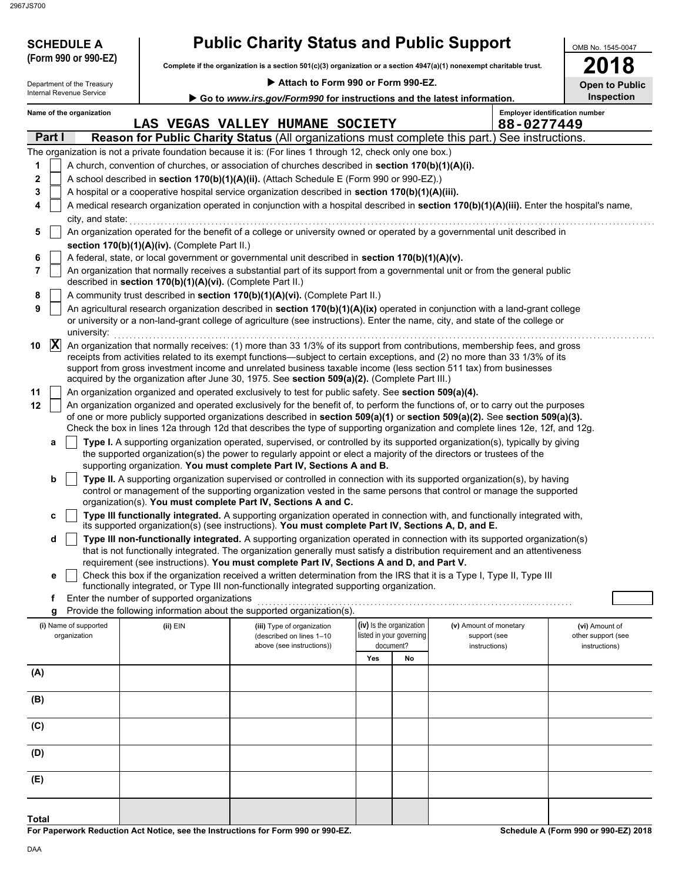2967JS700

|  |  |  | <b>Public Charity Status and Public Support</b> |
|--|--|--|-------------------------------------------------|
|  |  |  |                                                 |

**Complete if the organization is a section 501(c)(3) organization or a section 4947(a)(1) nonexempt charitable trust. (Form 990 or 990-EZ)**

Department of the Treasury

**SCHEDULE A** 

 **Attach to Form 990 or Form 990-EZ.**

| 2018                  |
|-----------------------|
| <b>Open to Public</b> |
|                       |

OMB No. 1545-0047

|                                                  | Internal Revenue Service<br><b>Inspection</b><br>Go to www.irs.gov/Form990 for instructions and the latest information.                                                                                                                                                                                                                                                                                                                                                               |                          |  |                                                            |                                                                                                                                                                                                                                                           |     |                          |                        |            |                                       |
|--------------------------------------------------|---------------------------------------------------------------------------------------------------------------------------------------------------------------------------------------------------------------------------------------------------------------------------------------------------------------------------------------------------------------------------------------------------------------------------------------------------------------------------------------|--------------------------|--|------------------------------------------------------------|-----------------------------------------------------------------------------------------------------------------------------------------------------------------------------------------------------------------------------------------------------------|-----|--------------------------|------------------------|------------|---------------------------------------|
|                                                  |                                                                                                                                                                                                                                                                                                                                                                                                                                                                                       | Name of the organization |  |                                                            | LAS VEGAS VALLEY HUMANE SOCIETY                                                                                                                                                                                                                           |     |                          |                        | 88-0277449 | <b>Employer identification number</b> |
|                                                  | Part I                                                                                                                                                                                                                                                                                                                                                                                                                                                                                |                          |  |                                                            | Reason for Public Charity Status (All organizations must complete this part.) See instructions.                                                                                                                                                           |     |                          |                        |            |                                       |
|                                                  |                                                                                                                                                                                                                                                                                                                                                                                                                                                                                       |                          |  |                                                            | The organization is not a private foundation because it is: (For lines 1 through 12, check only one box.)                                                                                                                                                 |     |                          |                        |            |                                       |
| 1                                                |                                                                                                                                                                                                                                                                                                                                                                                                                                                                                       |                          |  |                                                            | A church, convention of churches, or association of churches described in section 170(b)(1)(A)(i).                                                                                                                                                        |     |                          |                        |            |                                       |
| 2                                                |                                                                                                                                                                                                                                                                                                                                                                                                                                                                                       |                          |  |                                                            | A school described in section 170(b)(1)(A)(ii). (Attach Schedule E (Form 990 or 990-EZ).)                                                                                                                                                                 |     |                          |                        |            |                                       |
| 3                                                |                                                                                                                                                                                                                                                                                                                                                                                                                                                                                       |                          |  |                                                            | A hospital or a cooperative hospital service organization described in section 170(b)(1)(A)(iii).                                                                                                                                                         |     |                          |                        |            |                                       |
| 4                                                | A medical research organization operated in conjunction with a hospital described in section 170(b)(1)(A)(iii). Enter the hospital's name,                                                                                                                                                                                                                                                                                                                                            |                          |  |                                                            |                                                                                                                                                                                                                                                           |     |                          |                        |            |                                       |
|                                                  | city, and state:                                                                                                                                                                                                                                                                                                                                                                                                                                                                      |                          |  |                                                            |                                                                                                                                                                                                                                                           |     |                          |                        |            |                                       |
| 5                                                | An organization operated for the benefit of a college or university owned or operated by a governmental unit described in                                                                                                                                                                                                                                                                                                                                                             |                          |  |                                                            |                                                                                                                                                                                                                                                           |     |                          |                        |            |                                       |
|                                                  |                                                                                                                                                                                                                                                                                                                                                                                                                                                                                       |                          |  | section 170(b)(1)(A)(iv). (Complete Part II.)              |                                                                                                                                                                                                                                                           |     |                          |                        |            |                                       |
| 6                                                |                                                                                                                                                                                                                                                                                                                                                                                                                                                                                       |                          |  |                                                            | A federal, state, or local government or governmental unit described in section 170(b)(1)(A)(v).                                                                                                                                                          |     |                          |                        |            |                                       |
| 7                                                |                                                                                                                                                                                                                                                                                                                                                                                                                                                                                       |                          |  | described in section 170(b)(1)(A)(vi). (Complete Part II.) | An organization that normally receives a substantial part of its support from a governmental unit or from the general public                                                                                                                              |     |                          |                        |            |                                       |
| 8                                                |                                                                                                                                                                                                                                                                                                                                                                                                                                                                                       |                          |  |                                                            | A community trust described in section 170(b)(1)(A)(vi). (Complete Part II.)                                                                                                                                                                              |     |                          |                        |            |                                       |
| 9                                                |                                                                                                                                                                                                                                                                                                                                                                                                                                                                                       |                          |  |                                                            | An agricultural research organization described in section 170(b)(1)(A)(ix) operated in conjunction with a land-grant college                                                                                                                             |     |                          |                        |            |                                       |
|                                                  |                                                                                                                                                                                                                                                                                                                                                                                                                                                                                       | university:              |  |                                                            | or university or a non-land-grant college of agriculture (see instructions). Enter the name, city, and state of the college or                                                                                                                            |     |                          |                        |            |                                       |
| 10                                               | X<br>An organization that normally receives: (1) more than 33 1/3% of its support from contributions, membership fees, and gross<br>receipts from activities related to its exempt functions—subject to certain exceptions, and (2) no more than 33 1/3% of its<br>support from gross investment income and unrelated business taxable income (less section 511 tax) from businesses<br>acquired by the organization after June 30, 1975. See section 509(a)(2). (Complete Part III.) |                          |  |                                                            |                                                                                                                                                                                                                                                           |     |                          |                        |            |                                       |
| 11                                               |                                                                                                                                                                                                                                                                                                                                                                                                                                                                                       |                          |  |                                                            | An organization organized and operated exclusively to test for public safety. See section 509(a)(4).                                                                                                                                                      |     |                          |                        |            |                                       |
| 12                                               |                                                                                                                                                                                                                                                                                                                                                                                                                                                                                       |                          |  |                                                            | An organization organized and operated exclusively for the benefit of, to perform the functions of, or to carry out the purposes                                                                                                                          |     |                          |                        |            |                                       |
|                                                  |                                                                                                                                                                                                                                                                                                                                                                                                                                                                                       |                          |  |                                                            | of one or more publicly supported organizations described in section 509(a)(1) or section 509(a)(2). See section 509(a)(3).                                                                                                                               |     |                          |                        |            |                                       |
|                                                  |                                                                                                                                                                                                                                                                                                                                                                                                                                                                                       |                          |  |                                                            | Check the box in lines 12a through 12d that describes the type of supporting organization and complete lines 12e, 12f, and 12g.                                                                                                                           |     |                          |                        |            |                                       |
|                                                  | a                                                                                                                                                                                                                                                                                                                                                                                                                                                                                     |                          |  |                                                            | Type I. A supporting organization operated, supervised, or controlled by its supported organization(s), typically by giving                                                                                                                               |     |                          |                        |            |                                       |
|                                                  |                                                                                                                                                                                                                                                                                                                                                                                                                                                                                       |                          |  |                                                            | the supported organization(s) the power to regularly appoint or elect a majority of the directors or trustees of the<br>supporting organization. You must complete Part IV, Sections A and B.                                                             |     |                          |                        |            |                                       |
|                                                  | b                                                                                                                                                                                                                                                                                                                                                                                                                                                                                     |                          |  |                                                            | Type II. A supporting organization supervised or controlled in connection with its supported organization(s), by having                                                                                                                                   |     |                          |                        |            |                                       |
|                                                  |                                                                                                                                                                                                                                                                                                                                                                                                                                                                                       |                          |  |                                                            | control or management of the supporting organization vested in the same persons that control or manage the supported                                                                                                                                      |     |                          |                        |            |                                       |
|                                                  | c                                                                                                                                                                                                                                                                                                                                                                                                                                                                                     |                          |  |                                                            | organization(s). You must complete Part IV, Sections A and C.<br>Type III functionally integrated. A supporting organization operated in connection with, and functionally integrated with,                                                               |     |                          |                        |            |                                       |
|                                                  |                                                                                                                                                                                                                                                                                                                                                                                                                                                                                       |                          |  |                                                            | its supported organization(s) (see instructions). You must complete Part IV, Sections A, D, and E.                                                                                                                                                        |     |                          |                        |            |                                       |
|                                                  | d                                                                                                                                                                                                                                                                                                                                                                                                                                                                                     |                          |  |                                                            | Type III non-functionally integrated. A supporting organization operated in connection with its supported organization(s)<br>that is not functionally integrated. The organization generally must satisfy a distribution requirement and an attentiveness |     |                          |                        |            |                                       |
|                                                  |                                                                                                                                                                                                                                                                                                                                                                                                                                                                                       |                          |  |                                                            | requirement (see instructions). You must complete Part IV, Sections A and D, and Part V.                                                                                                                                                                  |     |                          |                        |            |                                       |
|                                                  | е                                                                                                                                                                                                                                                                                                                                                                                                                                                                                     |                          |  |                                                            | Check this box if the organization received a written determination from the IRS that it is a Type I, Type II, Type III<br>functionally integrated, or Type III non-functionally integrated supporting organization.                                      |     |                          |                        |            |                                       |
| Enter the number of supported organizations<br>f |                                                                                                                                                                                                                                                                                                                                                                                                                                                                                       |                          |  |                                                            |                                                                                                                                                                                                                                                           |     |                          |                        |            |                                       |
|                                                  | g                                                                                                                                                                                                                                                                                                                                                                                                                                                                                     |                          |  |                                                            | Provide the following information about the supported organization(s).                                                                                                                                                                                    |     |                          |                        |            |                                       |
|                                                  |                                                                                                                                                                                                                                                                                                                                                                                                                                                                                       | (i) Name of supported    |  | (ii) EIN                                                   | (iii) Type of organization                                                                                                                                                                                                                                |     | (iv) Is the organization | (v) Amount of monetary |            | (vi) Amount of                        |
|                                                  |                                                                                                                                                                                                                                                                                                                                                                                                                                                                                       | organization             |  |                                                            | (described on lines 1-10                                                                                                                                                                                                                                  |     | listed in your governing | support (see           |            | other support (see                    |
|                                                  |                                                                                                                                                                                                                                                                                                                                                                                                                                                                                       |                          |  |                                                            | above (see instructions))                                                                                                                                                                                                                                 | Yes | document?                | instructions)          |            | instructions)                         |
|                                                  |                                                                                                                                                                                                                                                                                                                                                                                                                                                                                       |                          |  |                                                            |                                                                                                                                                                                                                                                           |     | No                       |                        |            |                                       |
| (A)                                              |                                                                                                                                                                                                                                                                                                                                                                                                                                                                                       |                          |  |                                                            |                                                                                                                                                                                                                                                           |     |                          |                        |            |                                       |
| (B)                                              |                                                                                                                                                                                                                                                                                                                                                                                                                                                                                       |                          |  |                                                            |                                                                                                                                                                                                                                                           |     |                          |                        |            |                                       |
| (C)                                              |                                                                                                                                                                                                                                                                                                                                                                                                                                                                                       |                          |  |                                                            |                                                                                                                                                                                                                                                           |     |                          |                        |            |                                       |
| (D)                                              |                                                                                                                                                                                                                                                                                                                                                                                                                                                                                       |                          |  |                                                            |                                                                                                                                                                                                                                                           |     |                          |                        |            |                                       |
| (E)                                              |                                                                                                                                                                                                                                                                                                                                                                                                                                                                                       |                          |  |                                                            |                                                                                                                                                                                                                                                           |     |                          |                        |            |                                       |

**For Paperwork Reduction Act Notice, see the Instructions for Form 990 or 990-EZ. Total**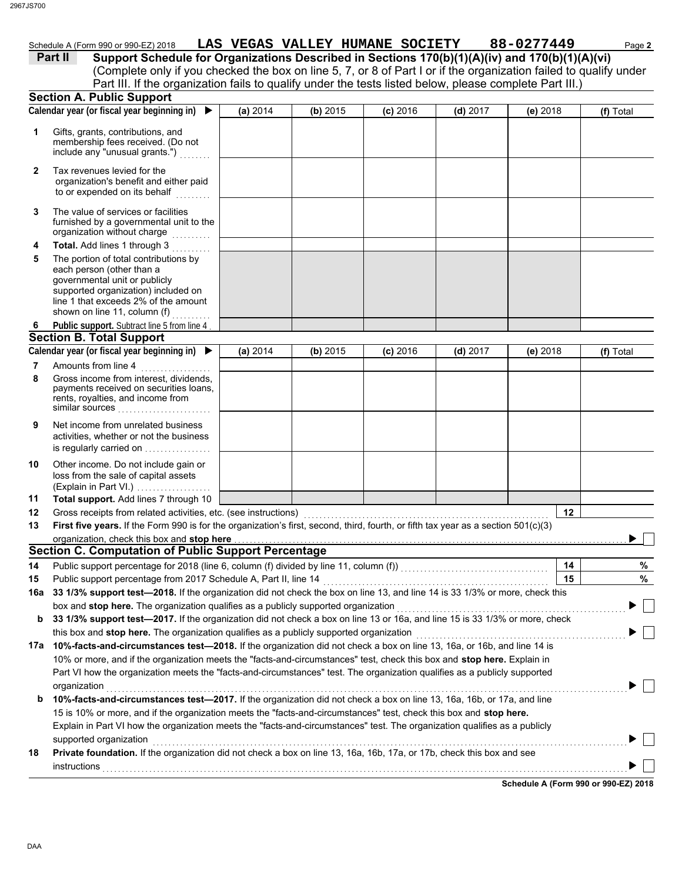|  | Schedule A (Form 990 or 990-EZ) 2018 |  |  |  | LAS VEGAS VALLEY HUMANE SOCIETY | 88-0277449 |
|--|--------------------------------------|--|--|--|---------------------------------|------------|
|--|--------------------------------------|--|--|--|---------------------------------|------------|

| Schedule A (Form 990 or 990-EZ) 2018                                                                     |                                                                                                                   |  |            | LAS VEGAS VALLEY HUMANE SOCIETY |  |            |            | 88-0277449 | Page 2    |
|----------------------------------------------------------------------------------------------------------|-------------------------------------------------------------------------------------------------------------------|--|------------|---------------------------------|--|------------|------------|------------|-----------|
| Part II                                                                                                  | Support Schedule for Organizations Described in Sections 170(b)(1)(A)(iv) and 170(b)(1)(A)(vi)                    |  |            |                                 |  |            |            |            |           |
|                                                                                                          | (Complete only if you checked the box on line 5, 7, or 8 of Part I or if the organization failed to qualify under |  |            |                                 |  |            |            |            |           |
| Part III. If the organization fails to qualify under the tests listed below, please complete Part III.)  |                                                                                                                   |  |            |                                 |  |            |            |            |           |
| <b>Section A. Public Support</b>                                                                         |                                                                                                                   |  |            |                                 |  |            |            |            |           |
| Calendar year (or fiscal year beginning in) $\blacktriangleright$                                        |                                                                                                                   |  | (a) $2014$ | (b) 2015                        |  | $(c)$ 2016 | $(d)$ 2017 | (e) $2018$ | (f) Total |
| Gifts, grants, contributions, and<br>membership fees received. (Do not<br>include any "unusual grants.") |                                                                                                                   |  |            |                                 |  |            |            |            |           |

| 2 | Tax revenues levied for the<br>organization's benefit and either paid<br>to or expended on its behalf |  |
|---|-------------------------------------------------------------------------------------------------------|--|
|   | The value of convices or facilities                                                                   |  |

| 3 | The value of services or facilities     |
|---|-----------------------------------------|
|   | furnished by a governmental unit to the |
|   | organization without charge             |

|   | <b>Total.</b> Add lines 1 through 3   |
|---|---------------------------------------|
| 5 | The portion of total contributions by |
|   | each person (other than a             |
|   | governmental unit or publicly         |
|   | supported organization) included on   |
|   | line 1 that exceeds 2% of the amount  |
|   |                                       |

**Public support.** Subtract line 5 from line 4 . **6** shown on line 11, column (f)  $\ldots \ldots \ldots$ 

#### **Section B. Total Support**

| Calendar year (or fiscal year beginning in) $\blacktriangleright$ |                                                                                                                                          | (a) 2014 | (b) 2015 | $(c)$ 2016 | $(d)$ 2017 | (e) 2018 | (f) Total |
|-------------------------------------------------------------------|------------------------------------------------------------------------------------------------------------------------------------------|----------|----------|------------|------------|----------|-----------|
|                                                                   | Amounts from line 4                                                                                                                      |          |          |            |            |          |           |
| 8                                                                 | Gross income from interest, dividends,<br>payments received on securities loans,<br>rents, royalties, and income from<br>similar sources |          |          |            |            |          |           |
| 9                                                                 | Net income from unrelated business<br>activities, whether or not the business<br>is regularly carried on                                 |          |          |            |            |          |           |
| $\overline{\phantom{a}}$                                          |                                                                                                                                          |          |          |            |            |          |           |

| 10 | Other income. Do not include gain or |
|----|--------------------------------------|
|    | loss from the sale of capital assets |
|    | (Explain in Part VI.) $\ldots$       |

| <b>11 Total support.</b> Add lines 7 through 10 |
|-------------------------------------------------|
|                                                 |

| 12 Gross receipts from related activities, etc. (see instructions)                                                                    | 12 |  |
|---------------------------------------------------------------------------------------------------------------------------------------|----|--|
| 13 First five years. If the Form 990 is for the organization's first, second, third, fourth, or fifth tax year as a section 501(c)(3) |    |  |
|                                                                                                                                       |    |  |
| <b>Section C. Computation of Public Support Percentage</b>                                                                            |    |  |

| 14  | Public support percentage for 2018 (line 6, column (f) divided by line 11, column (f))                                         | 14 | $\frac{0}{0}$ |  |  |  |  |  |
|-----|--------------------------------------------------------------------------------------------------------------------------------|----|---------------|--|--|--|--|--|
| 15  | Public support percentage from 2017 Schedule A, Part II, line 14                                                               |    |               |  |  |  |  |  |
| 16а | 33 1/3% support test-2018. If the organization did not check the box on line 13, and line 14 is 33 1/3% or more, check this    |    |               |  |  |  |  |  |
|     | box and <b>stop here.</b> The organization qualifies as a publicly supported organization                                      |    |               |  |  |  |  |  |
| b   | 33 1/3% support test—2017. If the organization did not check a box on line 13 or 16a, and line 15 is 33 1/3% or more, check    |    |               |  |  |  |  |  |
|     | this box and <b>stop here.</b> The organization qualifies as a publicly supported organization                                 |    |               |  |  |  |  |  |
| 17a | 10%-facts-and-circumstances test-2018. If the organization did not check a box on line 13, 16a, or 16b, and line 14 is         |    |               |  |  |  |  |  |
|     | 10% or more, and if the organization meets the "facts-and-circumstances" test, check this box and <b>stop here.</b> Explain in |    |               |  |  |  |  |  |
|     | Part VI how the organization meets the "facts-and-circumstances" test. The organization qualifies as a publicly supported      |    |               |  |  |  |  |  |
|     | organization                                                                                                                   |    |               |  |  |  |  |  |
| b   | 10%-facts-and-circumstances test-2017. If the organization did not check a box on line 13, 16a, 16b, or 17a, and line          |    |               |  |  |  |  |  |
|     | 15 is 10% or more, and if the organization meets the "facts-and-circumstances" test, check this box and <b>stop here.</b>      |    |               |  |  |  |  |  |
|     | Explain in Part VI how the organization meets the "facts-and-circumstances" test. The organization qualifies as a publicly     |    |               |  |  |  |  |  |

**Schedule A (Form 990 or 990-EZ) 2018**

 $\blacktriangleright$ 

 $\Box$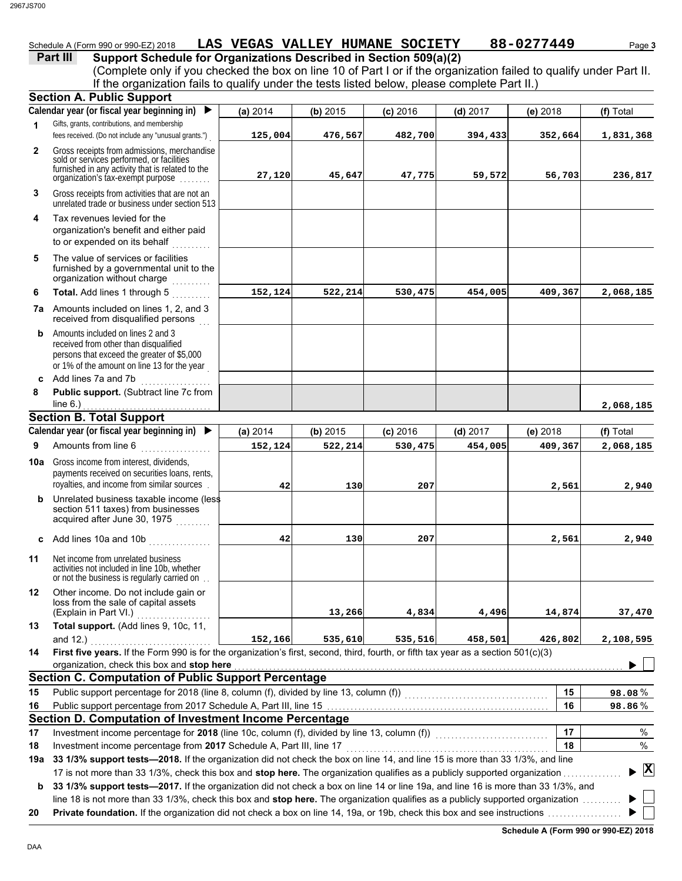#### Schedule A (Form 990 or 990-EZ) 2018 **LAS VEGAS VALLEY HUMANE SOCIETY 88-0277449** Page 3

| Part III | Support Schedule for Organizations Described in Section 509(a)(2)                                                  |
|----------|--------------------------------------------------------------------------------------------------------------------|
|          | (Complete only if you checked the box on line 10 of Part I or if the organization failed to qualify under Part II. |
|          | If the organization fails to qualify under the tests listed below, please complete Part II.)                       |
|          |                                                                                                                    |

|              | <b>Section A. Public Support</b>                                                                                                                                                                                                                                     |          |          |            |            |          |                                    |
|--------------|----------------------------------------------------------------------------------------------------------------------------------------------------------------------------------------------------------------------------------------------------------------------|----------|----------|------------|------------|----------|------------------------------------|
|              | Calendar year (or fiscal year beginning in)<br>▶                                                                                                                                                                                                                     | (a) 2014 | (b) 2015 | $(c)$ 2016 | $(d)$ 2017 | (e) 2018 | (f) Total                          |
| $\mathbf 1$  | Gifts, grants, contributions, and membership<br>fees received. (Do not include any "unusual grants.")                                                                                                                                                                | 125,004  | 476,567  | 482,700    | 394,433    | 352,664  | 1,831,368                          |
| $\mathbf{2}$ | Gross receipts from admissions, merchandise<br>sold or services performed, or facilities<br>furnished in any activity that is related to the<br>organization's tax-exempt purpose                                                                                    | 27,120   | 45,647   | 47,775     | 59,572     | 56,703   | 236,817                            |
| 3            | Gross receipts from activities that are not an<br>unrelated trade or business under section 513                                                                                                                                                                      |          |          |            |            |          |                                    |
| 4            | Tax revenues levied for the<br>organization's benefit and either paid<br>to or expended on its behalf<br>a a a a a a a                                                                                                                                               |          |          |            |            |          |                                    |
| 5            | The value of services or facilities<br>furnished by a governmental unit to the<br>organization without charge                                                                                                                                                        |          |          |            |            |          |                                    |
| 6            | Total. Add lines 1 through 5                                                                                                                                                                                                                                         | 152,124  | 522,214  | 530,475    | 454,005    | 409,367  | 2,068,185                          |
|              | 7a Amounts included on lines 1, 2, and 3<br>received from disqualified persons                                                                                                                                                                                       |          |          |            |            |          |                                    |
| b            | Amounts included on lines 2 and 3<br>received from other than disqualified<br>persons that exceed the greater of \$5,000<br>or 1% of the amount on line 13 for the year                                                                                              |          |          |            |            |          |                                    |
|              | c Add lines 7a and 7b                                                                                                                                                                                                                                                |          |          |            |            |          |                                    |
| 8            | Public support. (Subtract line 7c from                                                                                                                                                                                                                               |          |          |            |            |          |                                    |
|              | line $6.$ )<br><b>Section B. Total Support</b>                                                                                                                                                                                                                       |          |          |            |            |          | 2,068,185                          |
|              | Calendar year (or fiscal year beginning in) $\blacktriangleright$                                                                                                                                                                                                    |          |          |            |            |          |                                    |
| 9            |                                                                                                                                                                                                                                                                      | (a) 2014 | (b) 2015 | $(c)$ 2016 | $(d)$ 2017 | (e) 2018 | (f) Total                          |
|              | Amounts from line 6                                                                                                                                                                                                                                                  | 152,124  | 522,214  | 530,475    | 454,005    | 409,367  | 2,068,185                          |
| 10a          | Gross income from interest, dividends,<br>payments received on securities loans, rents,<br>royalties, and income from similar sources                                                                                                                                | 42       | 130      | 207        |            | 2,561    | 2,940                              |
| b            | Unrelated business taxable income (less<br>section 511 taxes) from businesses<br>acquired after June 30, 1975                                                                                                                                                        |          |          |            |            |          |                                    |
|              | c Add lines 10a and 10b                                                                                                                                                                                                                                              | 42       | 130      | 207        |            | 2,561    | 2,940                              |
| 11           | Net income from unrelated business<br>activities not included in line 10b, whether<br>or not the business is regularly carried on                                                                                                                                    |          |          |            |            |          |                                    |
| 12           | Other income. Do not include gain or<br>loss from the sale of capital assets<br>(Explain in Part VI.)                                                                                                                                                                |          | 13,266   | 4,834      | 4,496      | 14,874   | 37,470                             |
| 13           | Total support. (Add lines 9, 10c, 11,                                                                                                                                                                                                                                |          |          |            |            |          |                                    |
|              | and 12.)                                                                                                                                                                                                                                                             | 152,166  | 535,610  | 535,516    | 458,501    | 426,802  | 2,108,595                          |
| 14           | First five years. If the Form 990 is for the organization's first, second, third, fourth, or fifth tax year as a section 501(c)(3)                                                                                                                                   |          |          |            |            |          |                                    |
|              | organization, check this box and stop here                                                                                                                                                                                                                           |          |          |            |            |          |                                    |
|              | <b>Section C. Computation of Public Support Percentage</b>                                                                                                                                                                                                           |          |          |            |            |          |                                    |
| 15           | Public support percentage for 2018 (line 8, column (f), divided by line 13, column (f)) [[[[[[[[[[[[[[[[[[[[[                                                                                                                                                        |          |          |            |            | 15       | 98.08%                             |
| 16           |                                                                                                                                                                                                                                                                      |          |          |            |            | 16       | 98.86%                             |
|              | Section D. Computation of Investment Income Percentage                                                                                                                                                                                                               |          |          |            |            |          |                                    |
| 17           | Investment income percentage for 2018 (line 10c, column (f), divided by line 13, column (f))                                                                                                                                                                         |          |          |            |            | 17       | %                                  |
| 18           | Investment income percentage from 2017 Schedule A, Part III, line 17                                                                                                                                                                                                 |          |          |            |            | 18       | %                                  |
| 19a          | 33 1/3% support tests-2018. If the organization did not check the box on line 14, and line 15 is more than 33 1/3%, and line                                                                                                                                         |          |          |            |            |          | $\blacktriangleright$ $\mathbf{X}$ |
|              | 17 is not more than 33 1/3%, check this box and stop here. The organization qualifies as a publicly supported organization                                                                                                                                           |          |          |            |            |          |                                    |
| b            | 33 1/3% support tests—2017. If the organization did not check a box on line 14 or line 19a, and line 16 is more than 33 1/3%, and<br>line 18 is not more than 33 1/3%, check this box and stop here. The organization qualifies as a publicly supported organization |          |          |            |            |          |                                    |
| 20           |                                                                                                                                                                                                                                                                      |          |          |            |            |          |                                    |
|              |                                                                                                                                                                                                                                                                      |          |          |            |            |          |                                    |

**Schedule A (Form 990 or 990-EZ) 2018**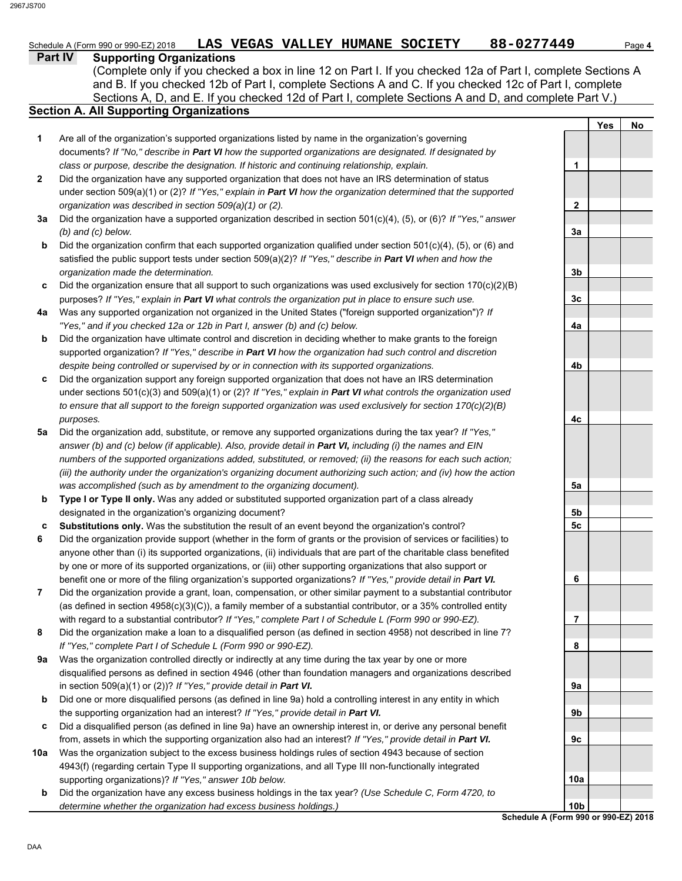# Schedule A (Form 990 or 990-EZ) 2018 **LAS VEGAS VALLEY HUMANE SOCIETY** 88-0277449 Page 4

#### **Part IV Supporting Organizations**

Sections A, D, and E. If you checked 12d of Part I, complete Sections A and D, and complete Part V.) (Complete only if you checked a box in line 12 on Part I. If you checked 12a of Part I, complete Sections A and B. If you checked 12b of Part I, complete Sections A and C. If you checked 12c of Part I, complete

## **Section A. All Supporting Organizations**

- Are all of the organization's supported organizations listed by name in the organization's governing documents? *If "No," describe in Part VI how the supported organizations are designated. If designated by class or purpose, describe the designation. If historic and continuing relationship, explain.* **1**
- Did the organization have any supported organization that does not have an IRS determination of status under section 509(a)(1) or (2)? *If "Yes," explain in Part VI how the organization determined that the supported organization was described in section 509(a)(1) or (2).* **2**
- **3a** Did the organization have a supported organization described in section 501(c)(4), (5), or (6)? *If "Yes," answer (b) and (c) below.*
- **b** Did the organization confirm that each supported organization qualified under section  $501(c)(4)$ ,  $(5)$ , or  $(6)$  and satisfied the public support tests under section 509(a)(2)? *If "Yes," describe in Part VI when and how the organization made the determination.*
- **c** Did the organization ensure that all support to such organizations was used exclusively for section  $170(c)(2)(B)$ purposes? *If "Yes," explain in Part VI what controls the organization put in place to ensure such use.*
- **4a** Was any supported organization not organized in the United States ("foreign supported organization")? *If "Yes," and if you checked 12a or 12b in Part I, answer (b) and (c) below.*
- **b** Did the organization have ultimate control and discretion in deciding whether to make grants to the foreign supported organization? *If "Yes," describe in Part VI how the organization had such control and discretion despite being controlled or supervised by or in connection with its supported organizations.*
- **c** Did the organization support any foreign supported organization that does not have an IRS determination under sections 501(c)(3) and 509(a)(1) or (2)? *If "Yes," explain in Part VI what controls the organization used to ensure that all support to the foreign supported organization was used exclusively for section 170(c)(2)(B) purposes.*
- **5a** Did the organization add, substitute, or remove any supported organizations during the tax year? *If "Yes," answer (b) and (c) below (if applicable). Also, provide detail in Part VI, including (i) the names and EIN numbers of the supported organizations added, substituted, or removed; (ii) the reasons for each such action; (iii) the authority under the organization's organizing document authorizing such action; and (iv) how the action was accomplished (such as by amendment to the organizing document).*
- **b Type I or Type II only.** Was any added or substituted supported organization part of a class already designated in the organization's organizing document?
- **c Substitutions only.** Was the substitution the result of an event beyond the organization's control?
- **6** Did the organization provide support (whether in the form of grants or the provision of services or facilities) to anyone other than (i) its supported organizations, (ii) individuals that are part of the charitable class benefited by one or more of its supported organizations, or (iii) other supporting organizations that also support or benefit one or more of the filing organization's supported organizations? *If "Yes," provide detail in Part VI.*
- **7** Did the organization provide a grant, loan, compensation, or other similar payment to a substantial contributor (as defined in section 4958(c)(3)(C)), a family member of a substantial contributor, or a 35% controlled entity with regard to a substantial contributor? *If "Yes," complete Part I of Schedule L (Form 990 or 990-EZ).*
- **8** Did the organization make a loan to a disqualified person (as defined in section 4958) not described in line 7? *If "Yes," complete Part I of Schedule L (Form 990 or 990-EZ).*
- **9a** Was the organization controlled directly or indirectly at any time during the tax year by one or more disqualified persons as defined in section 4946 (other than foundation managers and organizations described in section 509(a)(1) or (2))? *If "Yes," provide detail in Part VI.*
- **b** Did one or more disqualified persons (as defined in line 9a) hold a controlling interest in any entity in which the supporting organization had an interest? *If "Yes," provide detail in Part VI.*
- **c** Did a disqualified person (as defined in line 9a) have an ownership interest in, or derive any personal benefit from, assets in which the supporting organization also had an interest? *If "Yes," provide detail in Part VI.*
- **10a** Was the organization subject to the excess business holdings rules of section 4943 because of section 4943(f) (regarding certain Type II supporting organizations, and all Type III non-functionally integrated supporting organizations)? *If "Yes," answer 10b below.*
- **b** Did the organization have any excess business holdings in the tax year? *(Use Schedule C, Form 4720, to determine whether the organization had excess business holdings.)*

|                             | Yes | No |
|-----------------------------|-----|----|
| 1                           |     |    |
|                             |     |    |
| $\overline{2}$<br><u>3a</u> |     |    |
| 3 <sub>b</sub>              |     |    |
| <u>Зс</u>                   |     |    |
| <u>4a</u>                   |     |    |
| 4b                          |     |    |
|                             |     |    |
| 4c                          |     |    |
| <u>5a</u><br><u>5b</u>      |     |    |
| <u>5с</u>                   |     |    |
| 6<br>$\overline{I}$         |     |    |
| 8                           |     |    |
| <u>9a</u><br><u>9b</u>      |     |    |
| 9c                          |     |    |
| 10a                         |     |    |
| 10b                         |     |    |

**Schedule A (Form 990 or 990-EZ) 2018**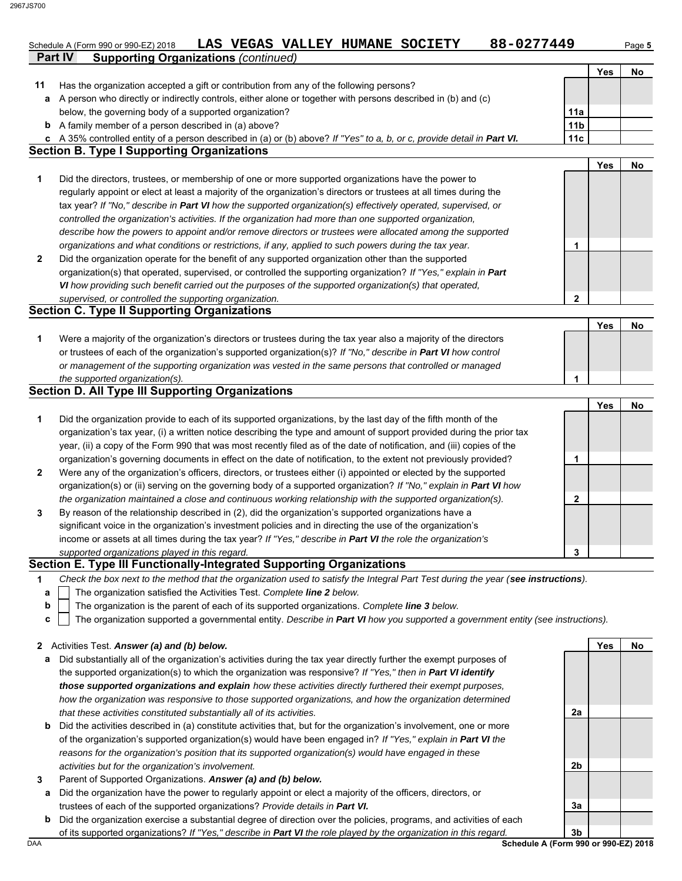|    | <b>Supporting Organizations (continued)</b><br>Part IV                                                                  |                 |            |    |
|----|-------------------------------------------------------------------------------------------------------------------------|-----------------|------------|----|
|    |                                                                                                                         |                 | Yes        | No |
| 11 | Has the organization accepted a gift or contribution from any of the following persons?                                 |                 |            |    |
| a  | A person who directly or indirectly controls, either alone or together with persons described in (b) and (c)            |                 |            |    |
|    | below, the governing body of a supported organization?                                                                  | 11a             |            |    |
|    | <b>b</b> A family member of a person described in (a) above?                                                            | 11 <sub>b</sub> |            |    |
|    | c A 35% controlled entity of a person described in (a) or (b) above? If "Yes" to a, b, or c, provide detail in Part VI. | 11c             |            |    |
|    | <b>Section B. Type I Supporting Organizations</b>                                                                       |                 |            |    |
|    |                                                                                                                         |                 | <b>Yes</b> |    |
|    | Did the directors, trustees, or membership of one or more supported organizations have the power to                     |                 |            |    |
|    | regularly appoint or elect at least a majority of the organization's directors or trustees at all times during the      |                 |            |    |
|    | tax year? If "No," describe in Part VI how the supported organization(s) effectively operated, supervised, or           |                 |            |    |
|    | controlled the organization's activities. If the organization had more than one supported organization,                 |                 |            |    |
|    | describe how the powers to appoint and/or remove directors or trustees were allocated among the supported               |                 |            |    |
|    |                                                                                                                         |                 |            |    |
|    | organizations and what conditions or restrictions, if any, applied to such powers during the tax year.                  | 1               |            |    |
|    | Did the organization operate for the benefit of any supported organization other than the supported                     |                 |            |    |
|    | organization(s) that operated, supervised, or controlled the supporting organization? If "Yes," explain in Part         |                 |            |    |
|    | VI how providing such benefit carried out the purposes of the supported organization(s) that operated,                  |                 |            |    |
|    | supervised, or controlled the supporting organization.<br><b>Section C. Type II Supporting Organizations</b>            | $\mathbf{2}$    |            |    |
|    |                                                                                                                         |                 |            |    |
|    |                                                                                                                         |                 | Yes        |    |
|    | Were a majority of the organization's directors or trustees during the tax year also a majority of the directors        |                 |            |    |
|    | or trustees of each of the organization's supported organization(s)? If "No," describe in Part VI how control           |                 |            |    |
|    | or management of the supporting organization was vested in the same persons that controlled or managed                  |                 |            |    |
|    | the supported organization(s).                                                                                          | 1               |            |    |
|    | <b>Section D. All Type III Supporting Organizations</b>                                                                 |                 |            |    |
|    |                                                                                                                         |                 | Yes        |    |
|    | Did the organization provide to each of its supported organizations, by the last day of the fifth month of the          |                 |            |    |
|    | organization's tax year, (i) a written notice describing the type and amount of support provided during the prior tax   |                 |            |    |
|    | year, (ii) a copy of the Form 990 that was most recently filed as of the date of notification, and (iii) copies of the  |                 |            |    |
|    | organization's governing documents in effect on the date of notification, to the extent not previously provided?        | 1               |            |    |
|    | Were any of the organization's officers, directors, or trustees either (i) appointed or elected by the supported        |                 |            |    |
|    | organization(s) or (ii) serving on the governing body of a supported organization? If "No," explain in Part VI how      |                 |            |    |
|    | the organization maintained a close and continuous working relationship with the supported organization(s).             | 2               |            |    |
|    | By reason of the relationship described in (2), did the organization's supported organizations have a                   |                 |            |    |
|    | significant voice in the organization's investment policies and in directing the use of the organization's              |                 |            |    |
|    | income or assets at all times during the tax year? If "Yes," describe in Part VI the role the organization's            | 3               |            |    |
|    | supported organizations played in this regard.                                                                          |                 |            |    |

- The organization satisfied the Activities Test. *Complete line 2 below.* **a**
- The organization is the parent of each of its supported organizations. *Complete line 3 below.* **b**
- The organization supported a governmental entity. *Describe in Part VI how you supported a government entity (see instructions).* **c**

|  |  |  | 2 Activities Test. Answer (a) and (b) below. |  |  |  |  |  |
|--|--|--|----------------------------------------------|--|--|--|--|--|
|--|--|--|----------------------------------------------|--|--|--|--|--|

- **a** Did substantially all of the organization's activities during the tax year directly further the exempt purposes of the supported organization(s) to which the organization was responsive? *If "Yes," then in Part VI identify those supported organizations and explain how these activities directly furthered their exempt purposes, how the organization was responsive to those supported organizations, and how the organization determined that these activities constituted substantially all of its activities.*
- **b** Did the activities described in (a) constitute activities that, but for the organization's involvement, one or more of the organization's supported organization(s) would have been engaged in? *If "Yes," explain in Part VI the reasons for the organization's position that its supported organization(s) would have engaged in these activities but for the organization's involvement.*
- **3** Parent of Supported Organizations. *Answer (a) and (b) below.*
- **a** Did the organization have the power to regularly appoint or elect a majority of the officers, directors, or trustees of each of the supported organizations? *Provide details in Part VI.*
- **b** Did the organization exercise a substantial degree of direction over the policies, programs, and activities of each of its supported organizations? *If "Yes," describe in Part VI the role played by the organization in this regard.*

DAA **Schedule A (Form 990 or 990-EZ) 2018 3b**

**2a**

**2b**

**3a**

Yes No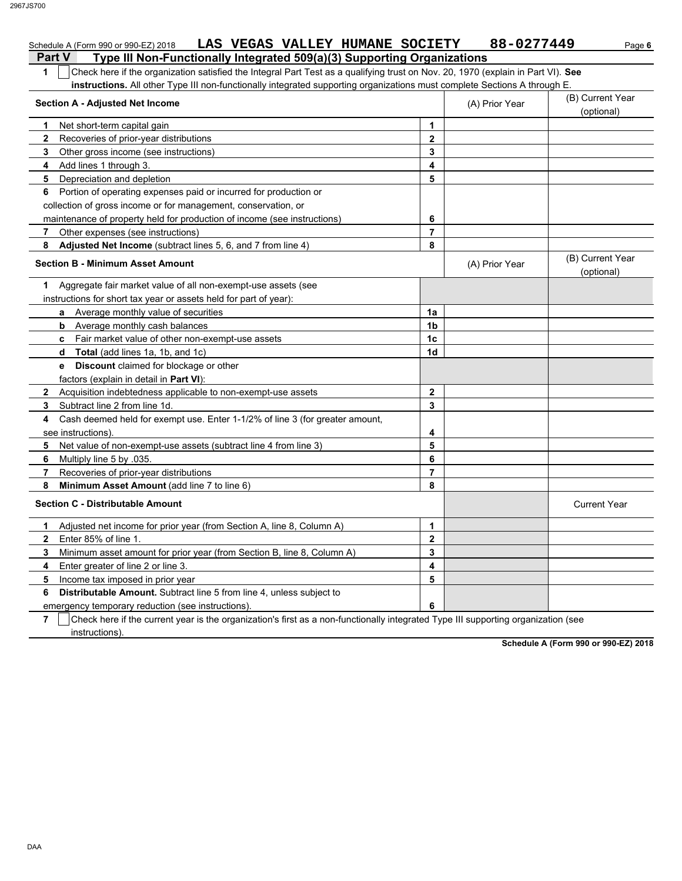|               | LAS VEGAS VALLEY HUMANE SOCIETY<br>Schedule A (Form 990 or 990-EZ) 2018                                                          |                | 88-0277449     | Page 6                         |
|---------------|----------------------------------------------------------------------------------------------------------------------------------|----------------|----------------|--------------------------------|
| <b>Part V</b> | Type III Non-Functionally Integrated 509(a)(3) Supporting Organizations                                                          |                |                |                                |
| $\mathbf 1$   | Check here if the organization satisfied the Integral Part Test as a qualifying trust on Nov. 20, 1970 (explain in Part VI). See |                |                |                                |
|               | instructions. All other Type III non-functionally integrated supporting organizations must complete Sections A through E.        |                |                |                                |
|               | <b>Section A - Adjusted Net Income</b>                                                                                           |                | (A) Prior Year | (B) Current Year               |
|               |                                                                                                                                  |                |                | (optional)                     |
| 1             | Net short-term capital gain                                                                                                      | 1              |                |                                |
| 2             | Recoveries of prior-year distributions                                                                                           | $\mathbf 2$    |                |                                |
| 3             | Other gross income (see instructions)                                                                                            | $\mathbf{3}$   |                |                                |
| 4             | Add lines 1 through 3.                                                                                                           | 4              |                |                                |
| 5             | Depreciation and depletion                                                                                                       | 5              |                |                                |
| 6             | Portion of operating expenses paid or incurred for production or                                                                 |                |                |                                |
|               | collection of gross income or for management, conservation, or                                                                   |                |                |                                |
|               | maintenance of property held for production of income (see instructions)                                                         | 6              |                |                                |
| 7             | Other expenses (see instructions)                                                                                                | $\overline{7}$ |                |                                |
| 8             | Adjusted Net Income (subtract lines 5, 6, and 7 from line 4)                                                                     | 8              |                |                                |
|               | <b>Section B - Minimum Asset Amount</b>                                                                                          |                | (A) Prior Year | (B) Current Year<br>(optional) |
| 1             | Aggregate fair market value of all non-exempt-use assets (see                                                                    |                |                |                                |
|               | instructions for short tax year or assets held for part of year):                                                                |                |                |                                |
|               | a Average monthly value of securities                                                                                            | 1a             |                |                                |
|               | Average monthly cash balances<br>b                                                                                               | 1b             |                |                                |
|               | c Fair market value of other non-exempt-use assets                                                                               | 1 <sub>c</sub> |                |                                |
|               | Total (add lines 1a, 1b, and 1c)<br>d                                                                                            | 1d             |                |                                |
|               | <b>e</b> Discount claimed for blockage or other                                                                                  |                |                |                                |
|               | factors (explain in detail in <b>Part VI)</b> :                                                                                  |                |                |                                |
| $\mathbf{2}$  | Acquisition indebtedness applicable to non-exempt-use assets                                                                     | $\mathbf{2}$   |                |                                |
| 3             | Subtract line 2 from line 1d.                                                                                                    | 3              |                |                                |
| 4             | Cash deemed held for exempt use. Enter 1-1/2% of line 3 (for greater amount,                                                     |                |                |                                |
|               | see instructions)                                                                                                                | 4              |                |                                |
| 5             | Net value of non-exempt-use assets (subtract line 4 from line 3)                                                                 | 5              |                |                                |
| 6             | Multiply line 5 by .035.                                                                                                         | 6              |                |                                |
| 7             | Recoveries of prior-year distributions                                                                                           | $\overline{7}$ |                |                                |
| 8             | Minimum Asset Amount (add line 7 to line 6)                                                                                      | 8              |                |                                |
|               | <b>Section C - Distributable Amount</b>                                                                                          |                |                | <b>Current Year</b>            |
| 1             | Adjusted net income for prior year (from Section A, line 8, Column A)                                                            | 1              |                |                                |
| $\mathbf{2}$  | Enter 85% of line 1.                                                                                                             | $\mathbf{2}$   |                |                                |
| 3             | Minimum asset amount for prior year (from Section B, line 8, Column A)                                                           | 3              |                |                                |
| 4             | Enter greater of line 2 or line 3.                                                                                               | 4              |                |                                |
| 5             | Income tax imposed in prior year                                                                                                 | 5              |                |                                |
| 6             | <b>Distributable Amount.</b> Subtract line 5 from line 4, unless subject to                                                      |                |                |                                |
|               | emergency temporary reduction (see instructions).                                                                                | 6              |                |                                |

**7**  $\,$   $\,$   $\,$   $\,$   $\,$   $\,$  Check here if the current year is the organization's first as a non-functionally integrated Type III supporting organization (see instructions).

**Schedule A (Form 990 or 990-EZ) 2018**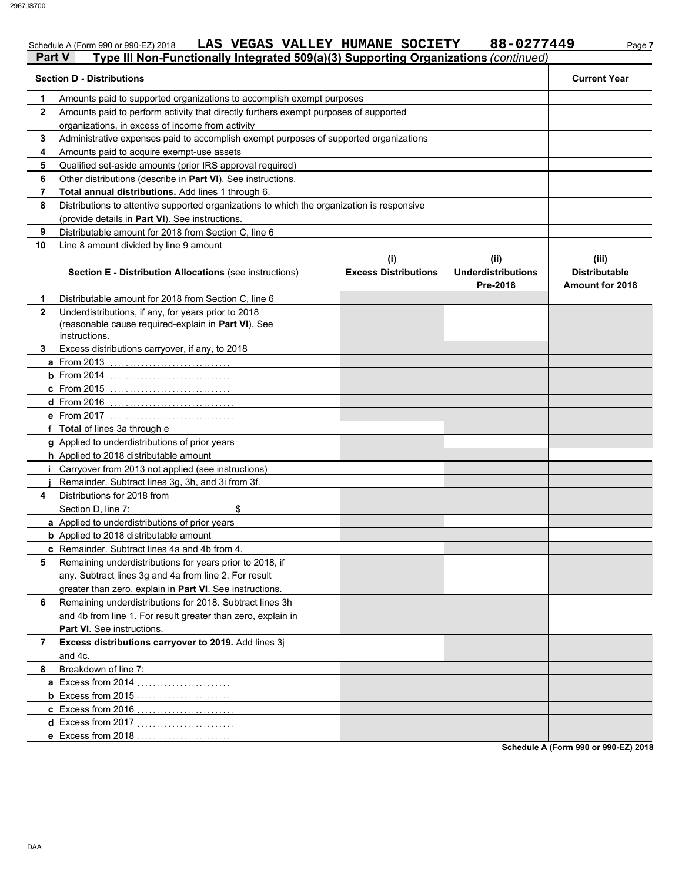#### Schedule A (Form 990 or 990-EZ) 2018 **LAS VEGAS VALLEY HUMANE SOCIETY 88-0277449** Page 7 **Part V Type III Non-Functionally Integrated 509(a)(3) Supporting Organizations** *(continued)* **Section D - Distributions Current Year 1 2 3 4 5 6 7 8 9 10** Amounts paid to supported organizations to accomplish exempt purposes Amounts paid to perform activity that directly furthers exempt purposes of supported organizations, in excess of income from activity Administrative expenses paid to accomplish exempt purposes of supported organizations Amounts paid to acquire exempt-use assets Qualified set-aside amounts (prior IRS approval required) Other distributions (describe in **Part VI**). See instructions. **Total annual distributions.** Add lines 1 through 6. Distributions to attentive supported organizations to which the organization is responsive (provide details in **Part VI**). See instructions. Distributable amount for 2018 from Section C, line 6 Line 8 amount divided by line 9 amount **Section E - Distribution Allocations** (see instructions) **Excess Distributions (i) (ii) Underdistributions Pre-2018 (iii) Distributable Amount for 2018 4 3 2 1 a** From 2013 . . . . . . . . . . . . . . . . . . . . . . . . . . . . . . . **b** From 2014 . . . . . . . . . . . . . . . . . . . . . . . . . . . . . . . **c** From 2015 . . . . . . . . . . . . . . . . . . . . . . . . . . . . . . . **d** From 2016 . . . . . . . . . . . . . . . . . . . . . . . . . . . . . . . . **e** From 2017 . . . . . . . . . . . . . . . . . . . . . . . . . . . . . . . . **f Total** of lines 3a through e **g** Applied to underdistributions of prior years **h** Applied to 2018 distributable amount **i** Carryover from 2013 not applied (see instructions) **j** Remainder. Subtract lines 3g, 3h, and 3i from 3f. **a** Applied to underdistributions of prior years **b** Applied to 2018 distributable amount **c** Remainder. Subtract lines 4a and 4b from 4. Distributable amount for 2018 from Section C, line 6 Underdistributions, if any, for years prior to 2018 (reasonable cause required-explain in **Part VI**). See Excess distributions carryover, if any, to 2018 Distributions for 2018 from Section D, line 7: \$ instructions.

**Schedule A (Form 990 or 990-EZ) 2018**

**8**

**7**

and 4c.

**5**

**6** Remaining underdistributions for 2018. Subtract lines 3h

**Excess distributions carryover to 2019.** Add lines 3j

and 4b from line 1. For result greater than zero, explain in

Remaining underdistributions for years prior to 2018, if any. Subtract lines 3g and 4a from line 2. For result greater than zero, explain in **Part VI**. See instructions.

**a** Excess from 2014 . . . . . . . . . . . . . . . . . . . . . . . . **b** Excess from 2015 . . . . . . . . . . . . . . . . . . . . . . . . **c** Excess from 2016 . . . . . . . . . . . . . . . . . . . . . . . . . **d** Excess from 2017 . . . . . . . . . . . . . . . . . . . . . . . . . **e** Excess from 2018 . . . . . . . . . . . . . . . . . . . . . . . . .

**Part VI**. See instructions.

Breakdown of line 7: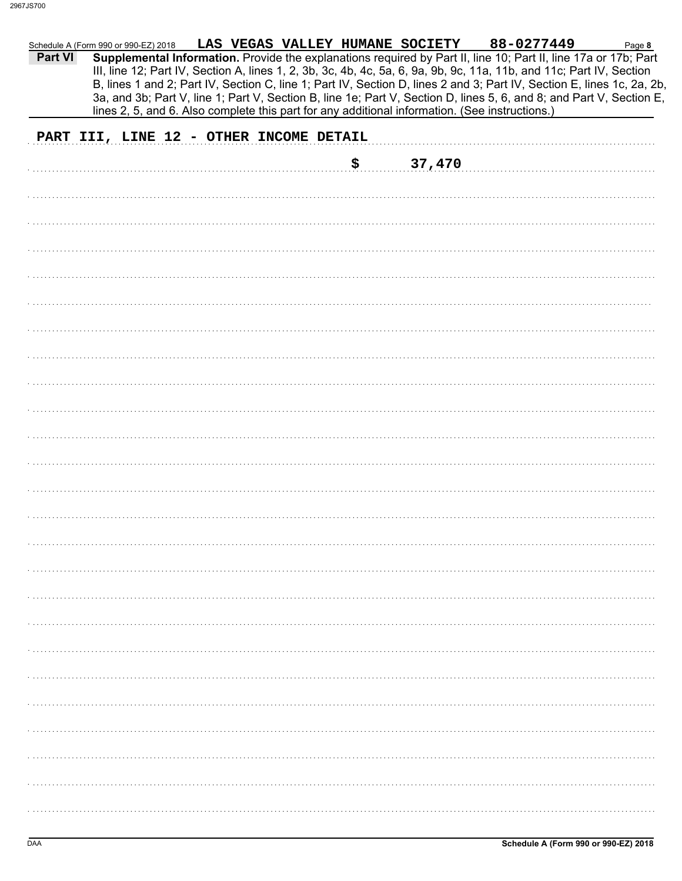| LAS VEGAS VALLEY HUMANE SOCIETY 88-0277449<br>Schedule A (Form 990 or 990-EZ) 2018<br>Page 8<br>Supplemental Information. Provide the explanations required by Part II, line 10; Part II, line 17a or 17b; Part<br>Part VI<br>III, line 12; Part IV, Section A, lines 1, 2, 3b, 3c, 4b, 4c, 5a, 6, 9a, 9b, 9c, 11a, 11b, and 11c; Part IV, Section<br>B, lines 1 and 2; Part IV, Section C, line 1; Part IV, Section D, lines 2 and 3; Part IV, Section E, lines 1c, 2a, 2b,<br>3a, and 3b; Part V, line 1; Part V, Section B, line 1e; Part V, Section D, lines 5, 6, and 8; and Part V, Section E,<br>lines 2, 5, and 6. Also complete this part for any additional information. (See instructions.) |
|--------------------------------------------------------------------------------------------------------------------------------------------------------------------------------------------------------------------------------------------------------------------------------------------------------------------------------------------------------------------------------------------------------------------------------------------------------------------------------------------------------------------------------------------------------------------------------------------------------------------------------------------------------------------------------------------------------|
| PART III, LINE 12 - OTHER INCOME DETAIL                                                                                                                                                                                                                                                                                                                                                                                                                                                                                                                                                                                                                                                                |
| \$<br>37,470                                                                                                                                                                                                                                                                                                                                                                                                                                                                                                                                                                                                                                                                                           |
|                                                                                                                                                                                                                                                                                                                                                                                                                                                                                                                                                                                                                                                                                                        |
|                                                                                                                                                                                                                                                                                                                                                                                                                                                                                                                                                                                                                                                                                                        |
|                                                                                                                                                                                                                                                                                                                                                                                                                                                                                                                                                                                                                                                                                                        |
|                                                                                                                                                                                                                                                                                                                                                                                                                                                                                                                                                                                                                                                                                                        |
|                                                                                                                                                                                                                                                                                                                                                                                                                                                                                                                                                                                                                                                                                                        |
|                                                                                                                                                                                                                                                                                                                                                                                                                                                                                                                                                                                                                                                                                                        |
|                                                                                                                                                                                                                                                                                                                                                                                                                                                                                                                                                                                                                                                                                                        |
|                                                                                                                                                                                                                                                                                                                                                                                                                                                                                                                                                                                                                                                                                                        |
|                                                                                                                                                                                                                                                                                                                                                                                                                                                                                                                                                                                                                                                                                                        |
|                                                                                                                                                                                                                                                                                                                                                                                                                                                                                                                                                                                                                                                                                                        |
|                                                                                                                                                                                                                                                                                                                                                                                                                                                                                                                                                                                                                                                                                                        |
|                                                                                                                                                                                                                                                                                                                                                                                                                                                                                                                                                                                                                                                                                                        |
|                                                                                                                                                                                                                                                                                                                                                                                                                                                                                                                                                                                                                                                                                                        |
|                                                                                                                                                                                                                                                                                                                                                                                                                                                                                                                                                                                                                                                                                                        |
|                                                                                                                                                                                                                                                                                                                                                                                                                                                                                                                                                                                                                                                                                                        |
|                                                                                                                                                                                                                                                                                                                                                                                                                                                                                                                                                                                                                                                                                                        |
|                                                                                                                                                                                                                                                                                                                                                                                                                                                                                                                                                                                                                                                                                                        |
|                                                                                                                                                                                                                                                                                                                                                                                                                                                                                                                                                                                                                                                                                                        |
|                                                                                                                                                                                                                                                                                                                                                                                                                                                                                                                                                                                                                                                                                                        |
|                                                                                                                                                                                                                                                                                                                                                                                                                                                                                                                                                                                                                                                                                                        |
|                                                                                                                                                                                                                                                                                                                                                                                                                                                                                                                                                                                                                                                                                                        |
|                                                                                                                                                                                                                                                                                                                                                                                                                                                                                                                                                                                                                                                                                                        |
|                                                                                                                                                                                                                                                                                                                                                                                                                                                                                                                                                                                                                                                                                                        |
|                                                                                                                                                                                                                                                                                                                                                                                                                                                                                                                                                                                                                                                                                                        |
|                                                                                                                                                                                                                                                                                                                                                                                                                                                                                                                                                                                                                                                                                                        |
|                                                                                                                                                                                                                                                                                                                                                                                                                                                                                                                                                                                                                                                                                                        |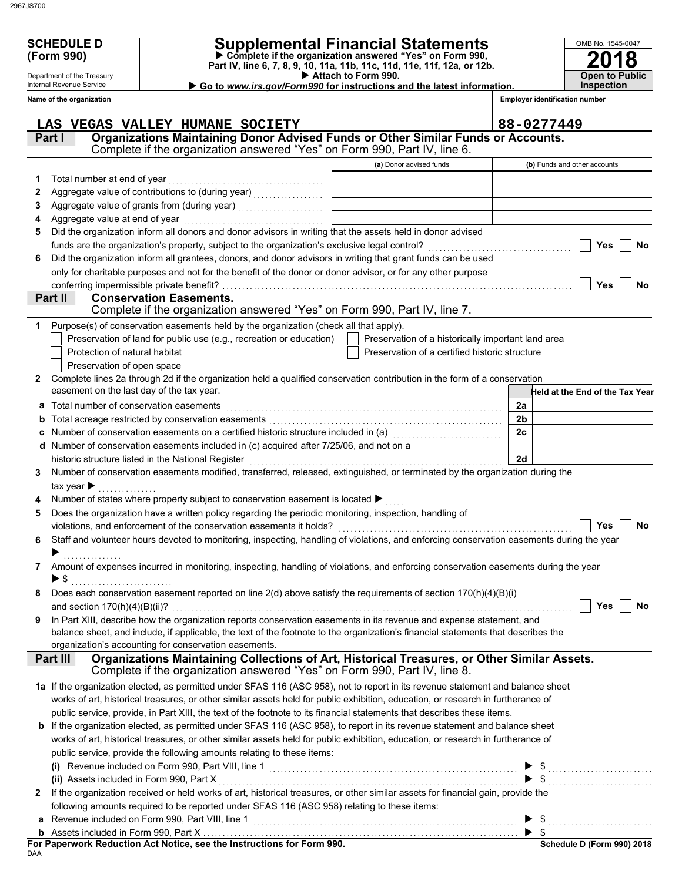| <b>SCHEDULE D</b> | <b>Supplemental Financial Statements</b> |
|-------------------|------------------------------------------|
|                   |                                          |

 **Attach to Form 990. (Form 990) Part IV, line 6, 7, 8, 9, 10, 11a, 11b, 11c, 11d, 11e, 11f, 12a, or 12b. Complete if the organization answered "Yes" on Form 990,**

 **Go to** *www.irs.gov/Form990* **for instructions and the latest information.**

|              | Name of the organization                                                                                                                                                 |                                                    | <b>Employer identification number</b> |
|--------------|--------------------------------------------------------------------------------------------------------------------------------------------------------------------------|----------------------------------------------------|---------------------------------------|
|              | LAS VEGAS VALLEY HUMANE SOCIETY                                                                                                                                          |                                                    | 88-0277449                            |
|              | Organizations Maintaining Donor Advised Funds or Other Similar Funds or Accounts.<br>Part I<br>Complete if the organization answered "Yes" on Form 990, Part IV, line 6. |                                                    |                                       |
|              |                                                                                                                                                                          | (a) Donor advised funds                            | (b) Funds and other accounts          |
| 1            | Total number at end of year                                                                                                                                              |                                                    |                                       |
| 2            |                                                                                                                                                                          |                                                    |                                       |
| 3            |                                                                                                                                                                          |                                                    |                                       |
|              | Aggregate value at end of year                                                                                                                                           |                                                    |                                       |
| 5            | Did the organization inform all donors and donor advisors in writing that the assets held in donor advised                                                               |                                                    |                                       |
|              | funds are the organization's property, subject to the organization's exclusive legal control?                                                                            |                                                    | Yes<br>No                             |
| 6            | Did the organization inform all grantees, donors, and donor advisors in writing that grant funds can be used                                                             |                                                    |                                       |
|              | only for charitable purposes and not for the benefit of the donor or donor advisor, or for any other purpose                                                             |                                                    |                                       |
|              | conferring impermissible private benefit?                                                                                                                                |                                                    | Yes<br><b>No</b>                      |
|              | Part II<br><b>Conservation Easements.</b>                                                                                                                                |                                                    |                                       |
|              | Complete if the organization answered "Yes" on Form 990, Part IV, line 7.                                                                                                |                                                    |                                       |
| 1            | Purpose(s) of conservation easements held by the organization (check all that apply).                                                                                    |                                                    |                                       |
|              | Preservation of land for public use (e.g., recreation or education)                                                                                                      | Preservation of a historically important land area |                                       |
|              | Protection of natural habitat                                                                                                                                            | Preservation of a certified historic structure     |                                       |
|              | Preservation of open space                                                                                                                                               |                                                    |                                       |
| $\mathbf{2}$ | Complete lines 2a through 2d if the organization held a qualified conservation contribution in the form of a conservation                                                |                                                    |                                       |
|              | easement on the last day of the tax year.                                                                                                                                |                                                    | Held at the End of the Tax Year       |
| a            | Total number of conservation easements                                                                                                                                   |                                                    | 2a                                    |
| b            |                                                                                                                                                                          |                                                    | 2 <sub>b</sub>                        |
|              | Number of conservation easements on a certified historic structure included in (a) [11] Number of conservation                                                           |                                                    | 2c                                    |
|              | Number of conservation easements included in (c) acquired after 7/25/06, and not on a                                                                                    |                                                    |                                       |
|              | historic structure listed in the National Register                                                                                                                       |                                                    | 2d                                    |
| 3            | Number of conservation easements modified, transferred, released, extinguished, or terminated by the organization during the                                             |                                                    |                                       |
|              | tax year $\blacktriangleright$                                                                                                                                           |                                                    |                                       |
|              | Number of states where property subject to conservation easement is located $\blacktriangleright$                                                                        |                                                    |                                       |
| 5            | Does the organization have a written policy regarding the periodic monitoring, inspection, handling of                                                                   |                                                    |                                       |
|              | violations, and enforcement of the conservation easements it holds?                                                                                                      |                                                    | No<br>Yes                             |
| 6            | Staff and volunteer hours devoted to monitoring, inspecting, handling of violations, and enforcing conservation easements during the year                                |                                                    |                                       |
|              |                                                                                                                                                                          |                                                    |                                       |
|              | Amount of expenses incurred in monitoring, inspecting, handling of violations, and enforcing conservation easements during the year                                      |                                                    |                                       |
|              | ▶ \$                                                                                                                                                                     |                                                    |                                       |
|              | Does each conservation easement reported on line 2(d) above satisfy the requirements of section 170(h)(4)(B)(i)                                                          |                                                    | Yes<br>No                             |
|              | In Part XIII, describe how the organization reports conservation easements in its revenue and expense statement, and                                                     |                                                    |                                       |
| 9            | balance sheet, and include, if applicable, the text of the footnote to the organization's financial statements that describes the                                        |                                                    |                                       |
|              | organization's accounting for conservation easements.                                                                                                                    |                                                    |                                       |
|              | Organizations Maintaining Collections of Art, Historical Treasures, or Other Similar Assets.<br>Part III                                                                 |                                                    |                                       |
|              | Complete if the organization answered "Yes" on Form 990, Part IV, line 8.                                                                                                |                                                    |                                       |
|              | 1a If the organization elected, as permitted under SFAS 116 (ASC 958), not to report in its revenue statement and balance sheet                                          |                                                    |                                       |
|              | works of art, historical treasures, or other similar assets held for public exhibition, education, or research in furtherance of                                         |                                                    |                                       |
|              | public service, provide, in Part XIII, the text of the footnote to its financial statements that describes these items.                                                  |                                                    |                                       |
|              | b If the organization elected, as permitted under SFAS 116 (ASC 958), to report in its revenue statement and balance sheet                                               |                                                    |                                       |
|              | works of art, historical treasures, or other similar assets held for public exhibition, education, or research in furtherance of                                         |                                                    |                                       |
|              | public service, provide the following amounts relating to these items:                                                                                                   |                                                    |                                       |
|              |                                                                                                                                                                          |                                                    | $\triangleright$ \$                   |
|              |                                                                                                                                                                          |                                                    | $\frac{1}{2}$                         |
| 2            | If the organization received or held works of art, historical treasures, or other similar assets for financial gain, provide the                                         |                                                    |                                       |
|              | following amounts required to be reported under SFAS 116 (ASC 958) relating to these items:                                                                              |                                                    |                                       |
|              |                                                                                                                                                                          |                                                    |                                       |
|              |                                                                                                                                                                          |                                                    | $\blacktriangleright$ s               |



| <u> 991169966 P</u><br>(Form 990) |
|-----------------------------------|
| Department of the Treasury        |

Internal Revenue Service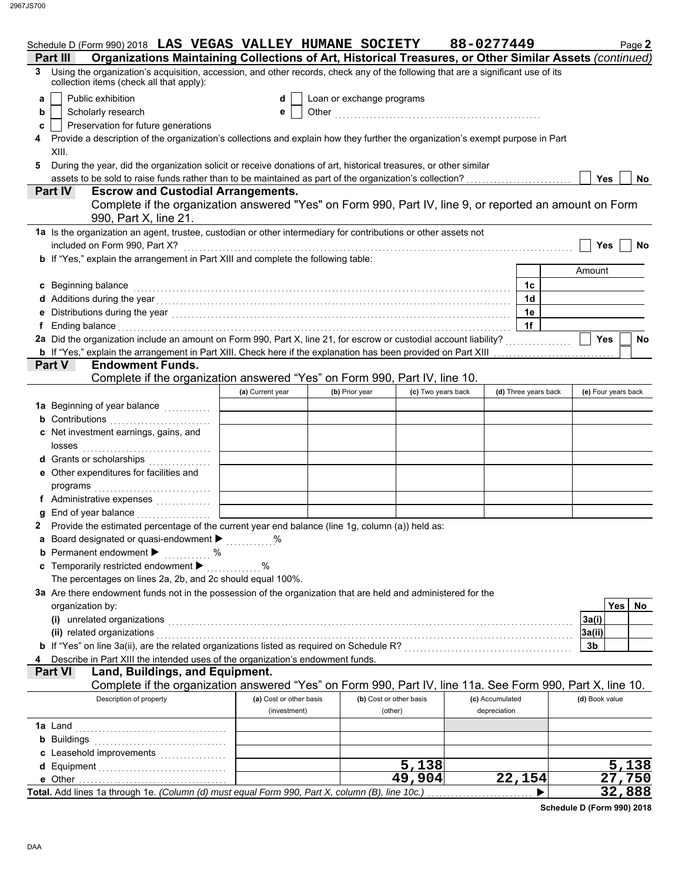|   | Schedule D (Form 990) 2018 LAS VEGAS VALLEY HUMANE SOCIETY                                                                                                                                                                     |                         |                           |                         | 88-0277449      |              |                      |                     |            | Page 2 |
|---|--------------------------------------------------------------------------------------------------------------------------------------------------------------------------------------------------------------------------------|-------------------------|---------------------------|-------------------------|-----------------|--------------|----------------------|---------------------|------------|--------|
|   | Organizations Maintaining Collections of Art, Historical Treasures, or Other Similar Assets (continued)<br>Part III                                                                                                            |                         |                           |                         |                 |              |                      |                     |            |        |
| 3 | Using the organization's acquisition, accession, and other records, check any of the following that are a significant use of its<br>collection items (check all that apply):                                                   |                         |                           |                         |                 |              |                      |                     |            |        |
| a | Public exhibition                                                                                                                                                                                                              | d                       | Loan or exchange programs |                         |                 |              |                      |                     |            |        |
| b | Scholarly research                                                                                                                                                                                                             | е                       |                           |                         |                 |              |                      |                     |            |        |
| c | Preservation for future generations                                                                                                                                                                                            |                         |                           |                         |                 |              |                      |                     |            |        |
| 4 | Provide a description of the organization's collections and explain how they further the organization's exempt purpose in Part<br>XIII.                                                                                        |                         |                           |                         |                 |              |                      |                     |            |        |
| 5 | During the year, did the organization solicit or receive donations of art, historical treasures, or other similar                                                                                                              |                         |                           |                         |                 |              |                      |                     |            |        |
|   | assets to be sold to raise funds rather than to be maintained as part of the organization's collection?                                                                                                                        |                         |                           |                         |                 |              |                      | Yes                 |            | No     |
|   | <b>Part IV</b><br><b>Escrow and Custodial Arrangements.</b>                                                                                                                                                                    |                         |                           |                         |                 |              |                      |                     |            |        |
|   | Complete if the organization answered "Yes" on Form 990, Part IV, line 9, or reported an amount on Form<br>990, Part X, line 21.                                                                                               |                         |                           |                         |                 |              |                      |                     |            |        |
|   | 1a Is the organization an agent, trustee, custodian or other intermediary for contributions or other assets not                                                                                                                |                         |                           |                         |                 |              |                      |                     |            |        |
|   | included on Form 990, Part X?                                                                                                                                                                                                  |                         |                           |                         |                 |              |                      | Yes                 |            | No     |
|   | b If "Yes," explain the arrangement in Part XIII and complete the following table:                                                                                                                                             |                         |                           |                         |                 |              |                      |                     |            |        |
|   |                                                                                                                                                                                                                                |                         |                           |                         |                 |              |                      | Amount              |            |        |
|   | c Beginning balance                                                                                                                                                                                                            |                         |                           |                         |                 |              | 1c                   |                     |            |        |
|   | d Additions during the year with the contract of the set of the set of the set of the set of the set of the set of the set of the set of the set of the set of the set of the set of the set of the set of the set of the set  |                         |                           |                         |                 |              | 1d                   |                     |            |        |
|   |                                                                                                                                                                                                                                |                         |                           |                         |                 |              | 1e                   |                     |            |        |
| f | Ending balance continuous contract to the contract of the contract of the contract of the contract of the contract of the contract of the contract of the contract of the contract of the contract of the contract of the cont |                         |                           |                         |                 |              | 1f                   |                     |            |        |
|   |                                                                                                                                                                                                                                |                         |                           |                         |                 |              |                      | <b>Yes</b>          |            | No     |
|   | <b>b</b> If "Yes," explain the arrangement in Part XIII. Check here if the explanation has been provided on Part XIII                                                                                                          |                         |                           |                         |                 |              |                      |                     |            |        |
|   | <b>Part V</b><br><b>Endowment Funds.</b><br>Complete if the organization answered "Yes" on Form 990, Part IV, line 10.                                                                                                         |                         |                           |                         |                 |              |                      |                     |            |        |
|   |                                                                                                                                                                                                                                | (a) Current year        | (b) Prior year            | (c) Two years back      |                 |              | (d) Three years back | (e) Four years back |            |        |
|   |                                                                                                                                                                                                                                |                         |                           |                         |                 |              |                      |                     |            |        |
|   | 1a Beginning of year balance                                                                                                                                                                                                   |                         |                           |                         |                 |              |                      |                     |            |        |
|   | <b>b</b> Contributions <b>contributions</b><br>c Net investment earnings, gains, and                                                                                                                                           |                         |                           |                         |                 |              |                      |                     |            |        |
|   |                                                                                                                                                                                                                                |                         |                           |                         |                 |              |                      |                     |            |        |
|   | d Grants or scholarships                                                                                                                                                                                                       |                         |                           |                         |                 |              |                      |                     |            |        |
|   | e Other expenditures for facilities and                                                                                                                                                                                        |                         |                           |                         |                 |              |                      |                     |            |        |
|   | programs with the contract of the contract of the contract of the contract of the contract of the contract of the contract of the contract of the contract of the contract of the contract of the contract of the contract of  |                         |                           |                         |                 |              |                      |                     |            |        |
|   |                                                                                                                                                                                                                                |                         |                           |                         |                 |              |                      |                     |            |        |
|   |                                                                                                                                                                                                                                |                         |                           |                         |                 |              |                      |                     |            |        |
| 2 | Provide the estimated percentage of the current year end balance (line 1g, column (a)) held as:                                                                                                                                |                         |                           |                         |                 |              |                      |                     |            |        |
|   | a Board designated or quasi-endowment $\blacktriangleright$                                                                                                                                                                    |                         |                           |                         |                 |              |                      |                     |            |        |
|   | <b>b</b> Permanent endowment $\blacktriangleright$<br>. %                                                                                                                                                                      |                         |                           |                         |                 |              |                      |                     |            |        |
|   | c Temporarily restricted endowment >                                                                                                                                                                                           | $\%$                    |                           |                         |                 |              |                      |                     |            |        |
|   | The percentages on lines 2a, 2b, and 2c should equal 100%.                                                                                                                                                                     |                         |                           |                         |                 |              |                      |                     |            |        |
|   | 3a Are there endowment funds not in the possession of the organization that are held and administered for the                                                                                                                  |                         |                           |                         |                 |              |                      |                     |            |        |
|   | organization by:                                                                                                                                                                                                               |                         |                           |                         |                 |              |                      |                     | <b>Yes</b> | No.    |
|   | (i) unrelated organizations entertainment and all the contract of the contract of the contract of the contract or contract or contract or contract or contract or contract or contract or contract or contract or contract or  |                         |                           |                         |                 |              |                      | 3a(i)               |            |        |
|   | (ii) related organizations with an account of the contract of the contract of the contract of the contract of                                                                                                                  |                         |                           |                         |                 |              |                      | 3a(ii)              |            |        |
|   |                                                                                                                                                                                                                                |                         |                           |                         |                 |              |                      | 3b                  |            |        |
|   | Describe in Part XIII the intended uses of the organization's endowment funds.<br>Land, Buildings, and Equipment.<br><b>Part VI</b>                                                                                            |                         |                           |                         |                 |              |                      |                     |            |        |
|   | Complete if the organization answered "Yes" on Form 990, Part IV, line 11a. See Form 990, Part X, line 10.                                                                                                                     |                         |                           |                         |                 |              |                      |                     |            |        |
|   | Description of property                                                                                                                                                                                                        | (a) Cost or other basis |                           | (b) Cost or other basis | (c) Accumulated |              |                      | (d) Book value      |            |        |
|   |                                                                                                                                                                                                                                | (investment)            |                           | (other)                 |                 | depreciation |                      |                     |            |        |
|   |                                                                                                                                                                                                                                |                         |                           |                         |                 |              |                      |                     |            |        |
|   | <b>b</b> Buildings <b>Multiples b</b>                                                                                                                                                                                          |                         |                           |                         |                 |              |                      |                     |            |        |
|   | c Leasehold improvements                                                                                                                                                                                                       |                         |                           |                         |                 |              |                      |                     |            |        |
|   |                                                                                                                                                                                                                                |                         |                           | 5,138                   |                 |              |                      |                     | 5,138      |        |
|   |                                                                                                                                                                                                                                |                         |                           | 49,904                  |                 |              | 22,154               |                     |            | ,750   |
|   | Total. Add lines 1a through 1e. (Column (d) must equal Form 990, Part X, column (B), line 10c.)                                                                                                                                |                         |                           |                         |                 |              |                      |                     | 32,888     |        |

**Schedule D (Form 990) 2018**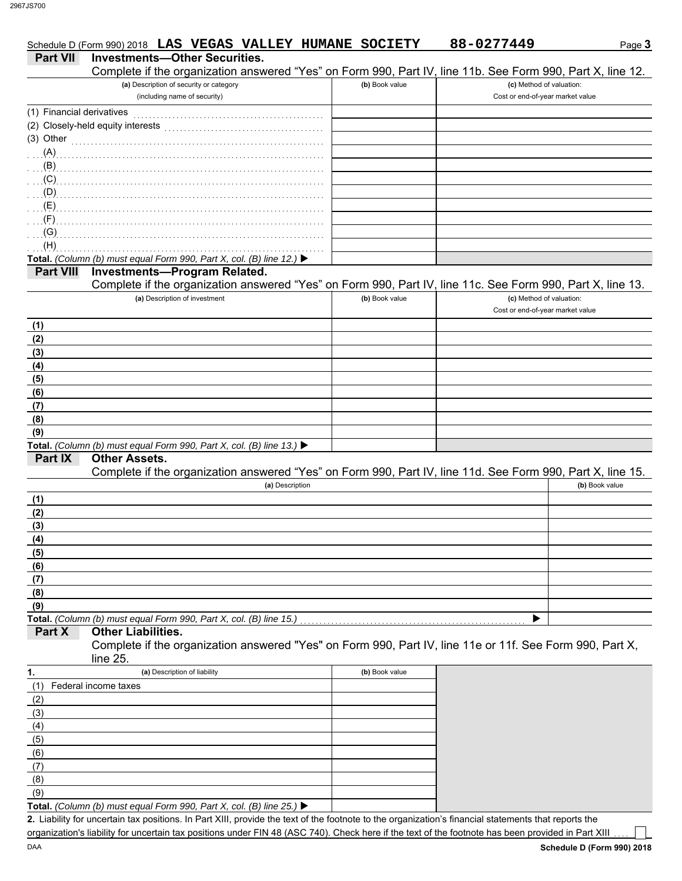DAA

|                           | Schedule D (Form 990) 2018 LAS VEGAS VALLEY HUMANE SOCIETY                                                                                                                                                                          |                 |                | 88-0277449                                                   | Page 3         |
|---------------------------|-------------------------------------------------------------------------------------------------------------------------------------------------------------------------------------------------------------------------------------|-----------------|----------------|--------------------------------------------------------------|----------------|
| <b>Part VII</b>           | <b>Investments-Other Securities.</b>                                                                                                                                                                                                |                 |                |                                                              |                |
|                           | Complete if the organization answered "Yes" on Form 990, Part IV, line 11b. See Form 990, Part X, line 12.                                                                                                                          |                 |                |                                                              |                |
|                           | (a) Description of security or category<br>(including name of security)                                                                                                                                                             |                 | (b) Book value | (c) Method of valuation:<br>Cost or end-of-year market value |                |
| (1) Financial derivatives |                                                                                                                                                                                                                                     |                 |                |                                                              |                |
|                           | (2) Closely-held equity interests                                                                                                                                                                                                   |                 |                |                                                              |                |
| $(3)$ Other               |                                                                                                                                                                                                                                     |                 |                |                                                              |                |
|                           |                                                                                                                                                                                                                                     |                 |                |                                                              |                |
|                           |                                                                                                                                                                                                                                     |                 |                |                                                              |                |
|                           | $\overline{a}$ (C) and the continuum continuum continuum continuum continuum continuum continuum continuum continuum continuum continuum continuum continuum continuum continuum continuum continuum continuum continuum continuum  |                 |                |                                                              |                |
|                           |                                                                                                                                                                                                                                     |                 |                |                                                              |                |
|                           | $\overline{E}$ (E) and the contract of the contract of the contract of the contract of the contract of the contract of the contract of the contract of the contract of the contract of the contract of the contract of the contract |                 |                |                                                              |                |
| (G)                       |                                                                                                                                                                                                                                     |                 |                |                                                              |                |
| (H)                       |                                                                                                                                                                                                                                     |                 |                |                                                              |                |
|                           | Total. (Column (b) must equal Form 990, Part X, col. (B) line 12.) ▶                                                                                                                                                                |                 |                |                                                              |                |
| Part VIII                 | <b>Investments-Program Related.</b>                                                                                                                                                                                                 |                 |                |                                                              |                |
|                           | Complete if the organization answered "Yes" on Form 990, Part IV, line 11c. See Form 990, Part X, line 13.                                                                                                                          |                 |                |                                                              |                |
|                           | (a) Description of investment                                                                                                                                                                                                       |                 | (b) Book value | (c) Method of valuation:                                     |                |
|                           |                                                                                                                                                                                                                                     |                 |                | Cost or end-of-year market value                             |                |
| (1)<br>(2)                |                                                                                                                                                                                                                                     |                 |                |                                                              |                |
| (3)                       |                                                                                                                                                                                                                                     |                 |                |                                                              |                |
| (4)                       |                                                                                                                                                                                                                                     |                 |                |                                                              |                |
| (5)                       |                                                                                                                                                                                                                                     |                 |                |                                                              |                |
| (6)                       |                                                                                                                                                                                                                                     |                 |                |                                                              |                |
| (7)                       |                                                                                                                                                                                                                                     |                 |                |                                                              |                |
| (8)                       |                                                                                                                                                                                                                                     |                 |                |                                                              |                |
| (9)                       |                                                                                                                                                                                                                                     |                 |                |                                                              |                |
| Part IX                   | Total. (Column (b) must equal Form 990, Part X, col. (B) line 13.) ▶<br><b>Other Assets.</b>                                                                                                                                        |                 |                |                                                              |                |
|                           | Complete if the organization answered "Yes" on Form 990, Part IV, line 11d. See Form 990, Part X, line 15.                                                                                                                          |                 |                |                                                              |                |
|                           |                                                                                                                                                                                                                                     | (a) Description |                |                                                              | (b) Book value |
| (1)                       |                                                                                                                                                                                                                                     |                 |                |                                                              |                |
| (2)                       |                                                                                                                                                                                                                                     |                 |                |                                                              |                |
| (3)                       |                                                                                                                                                                                                                                     |                 |                |                                                              |                |
| (4)                       |                                                                                                                                                                                                                                     |                 |                |                                                              |                |
| (5)                       |                                                                                                                                                                                                                                     |                 |                |                                                              |                |
| (6)                       |                                                                                                                                                                                                                                     |                 |                |                                                              |                |
| (7)                       |                                                                                                                                                                                                                                     |                 |                |                                                              |                |
| (8)<br>(9)                |                                                                                                                                                                                                                                     |                 |                |                                                              |                |
|                           | Total. (Column (b) must equal Form 990, Part X, col. (B) line 15.)                                                                                                                                                                  |                 |                |                                                              |                |
| Part X                    | <b>Other Liabilities.</b>                                                                                                                                                                                                           |                 |                |                                                              |                |
|                           | Complete if the organization answered "Yes" on Form 990, Part IV, line 11e or 11f. See Form 990, Part X,                                                                                                                            |                 |                |                                                              |                |
|                           | line 25.                                                                                                                                                                                                                            |                 |                |                                                              |                |
| 1.                        | (a) Description of liability                                                                                                                                                                                                        |                 | (b) Book value |                                                              |                |
| (1)                       | Federal income taxes                                                                                                                                                                                                                |                 |                |                                                              |                |
| (2)                       |                                                                                                                                                                                                                                     |                 |                |                                                              |                |
| (3)                       |                                                                                                                                                                                                                                     |                 |                |                                                              |                |
| (4)<br>(5)                |                                                                                                                                                                                                                                     |                 |                |                                                              |                |
| (6)                       |                                                                                                                                                                                                                                     |                 |                |                                                              |                |
| (7)                       |                                                                                                                                                                                                                                     |                 |                |                                                              |                |
| (8)                       |                                                                                                                                                                                                                                     |                 |                |                                                              |                |
| (9)                       |                                                                                                                                                                                                                                     |                 |                |                                                              |                |
|                           | Total. (Column (b) must equal Form 990, Part X, col. (B) line 25.) ▶                                                                                                                                                                |                 |                |                                                              |                |

Liability for uncertain tax positions. In Part XIII, provide the text of the footnote to the organization's financial statements that reports the **2.** organization's liability for uncertain tax positions under FIN 48 (ASC 740). Check here if the text of the footnote has been provided in Part XIII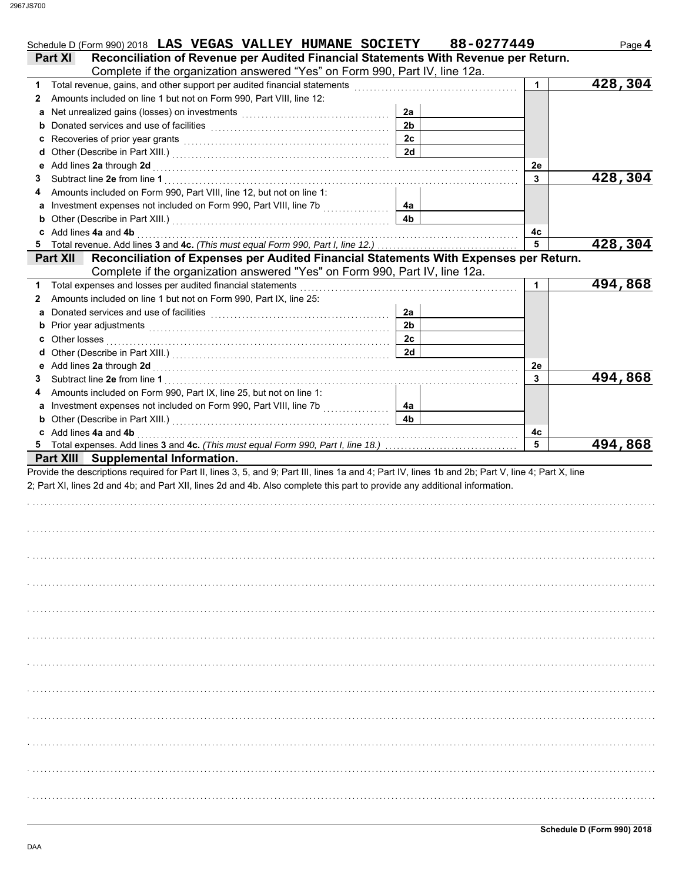| Schedule D (Form 990) 2018 LAS VEGAS VALLEY HUMANE SOCIETY                                                                                                                                                                               |                      | 88-0277449 |              | Page 4  |
|------------------------------------------------------------------------------------------------------------------------------------------------------------------------------------------------------------------------------------------|----------------------|------------|--------------|---------|
| Reconciliation of Revenue per Audited Financial Statements With Revenue per Return.<br><b>Part XI</b>                                                                                                                                    |                      |            |              |         |
| Complete if the organization answered "Yes" on Form 990, Part IV, line 12a.                                                                                                                                                              |                      |            |              |         |
| Total revenue, gains, and other support per audited financial statements<br>1                                                                                                                                                            |                      |            | 1            | 428,304 |
| Amounts included on line 1 but not on Form 990, Part VIII, line 12:<br>2                                                                                                                                                                 |                      |            |              |         |
| Net unrealized gains (losses) on investments [111] [11] Net unrealised and was also have the unrealised gains<br>а                                                                                                                       | 2a<br>2 <sub>b</sub> |            |              |         |
| <b>b</b> Donated services and use of facilities <b>constants</b> and the service of the service of the service of the service of the service of the service of the service of the service of the service of the service of the service o | 2c                   |            |              |         |
|                                                                                                                                                                                                                                          |                      |            |              |         |
| d<br>e Add lines 2a through 2d                                                                                                                                                                                                           | 2d                   |            |              |         |
| 3                                                                                                                                                                                                                                        |                      |            | 2e<br>3      | 428,304 |
| Amounts included on Form 990, Part VIII, line 12, but not on line 1:                                                                                                                                                                     |                      |            |              |         |
| a Investment expenses not included on Form 990, Part VIII, line 7b [[[[[[[[[[[[[[[[[[[[[[[[[[[[[[[[[                                                                                                                                     | 4а                   |            |              |         |
| <b>b</b> Other (Describe in Part XIII.) <b>CONSIDENT DESCRIPTION</b>                                                                                                                                                                     | 4 <sub>b</sub>       |            |              |         |
| c Add lines 4a and 4b                                                                                                                                                                                                                    |                      |            | 4c           |         |
| Total revenue. Add lines 3 and 4c. (This must equal Form 990, Part I, line 12.)<br>5.                                                                                                                                                    |                      |            | 5            | 428,304 |
| Reconciliation of Expenses per Audited Financial Statements With Expenses per Return.<br><b>Part XII</b>                                                                                                                                 |                      |            |              |         |
| Complete if the organization answered "Yes" on Form 990, Part IV, line 12a.                                                                                                                                                              |                      |            |              |         |
| Total expenses and losses per audited financial statements<br>1                                                                                                                                                                          |                      |            | 1            | 494,868 |
| Amounts included on line 1 but not on Form 990, Part IX, line 25:<br>2                                                                                                                                                                   |                      |            |              |         |
| а                                                                                                                                                                                                                                        | 2a                   |            |              |         |
|                                                                                                                                                                                                                                          | 2 <sub>b</sub>       |            |              |         |
|                                                                                                                                                                                                                                          | 2c                   |            |              |         |
|                                                                                                                                                                                                                                          | 2d                   |            |              |         |
|                                                                                                                                                                                                                                          |                      |            | 2e           |         |
| Subtract line 2e from line 1<br>3                                                                                                                                                                                                        |                      |            | $\mathbf{3}$ | 494,868 |
| Amounts included on Form 990, Part IX, line 25, but not on line 1:                                                                                                                                                                       |                      |            |              |         |
| a Investment expenses not included on Form 990, Part VIII, line 7b                                                                                                                                                                       | 4а                   |            |              |         |
| <b>b</b> Other (Describe in Part XIII.) <b>CONSIDENT DESCRIPTION DESCRIPTION DESCRIPTION DESCRIPTION DESCRIPTION DESCRIPTION DESCRIPTION DESCRIPTION DESCRIPTION DESCRIPTION DESCRIPTION DESCRIPTION DESCRI</b>                          | 4 <sub>b</sub>       |            |              |         |
| c Add lines 4a and 4b                                                                                                                                                                                                                    |                      |            | 4с<br>5      | 494,868 |
| Part XIII Supplemental Information.                                                                                                                                                                                                      |                      |            |              |         |
| Provide the descriptions required for Part II, lines 3, 5, and 9; Part III, lines 1a and 4; Part IV, lines 1b and 2b; Part V, line 4; Part X, line                                                                                       |                      |            |              |         |
| 2; Part XI, lines 2d and 4b; and Part XII, lines 2d and 4b. Also complete this part to provide any additional information.                                                                                                               |                      |            |              |         |
|                                                                                                                                                                                                                                          |                      |            |              |         |
|                                                                                                                                                                                                                                          |                      |            |              |         |
|                                                                                                                                                                                                                                          |                      |            |              |         |
|                                                                                                                                                                                                                                          |                      |            |              |         |
|                                                                                                                                                                                                                                          |                      |            |              |         |
|                                                                                                                                                                                                                                          |                      |            |              |         |
|                                                                                                                                                                                                                                          |                      |            |              |         |
|                                                                                                                                                                                                                                          |                      |            |              |         |
|                                                                                                                                                                                                                                          |                      |            |              |         |
|                                                                                                                                                                                                                                          |                      |            |              |         |
|                                                                                                                                                                                                                                          |                      |            |              |         |
|                                                                                                                                                                                                                                          |                      |            |              |         |
|                                                                                                                                                                                                                                          |                      |            |              |         |
|                                                                                                                                                                                                                                          |                      |            |              |         |
|                                                                                                                                                                                                                                          |                      |            |              |         |
|                                                                                                                                                                                                                                          |                      |            |              |         |
|                                                                                                                                                                                                                                          |                      |            |              |         |
|                                                                                                                                                                                                                                          |                      |            |              |         |
|                                                                                                                                                                                                                                          |                      |            |              |         |
|                                                                                                                                                                                                                                          |                      |            |              |         |
|                                                                                                                                                                                                                                          |                      |            |              |         |
|                                                                                                                                                                                                                                          |                      |            |              |         |
|                                                                                                                                                                                                                                          |                      |            |              |         |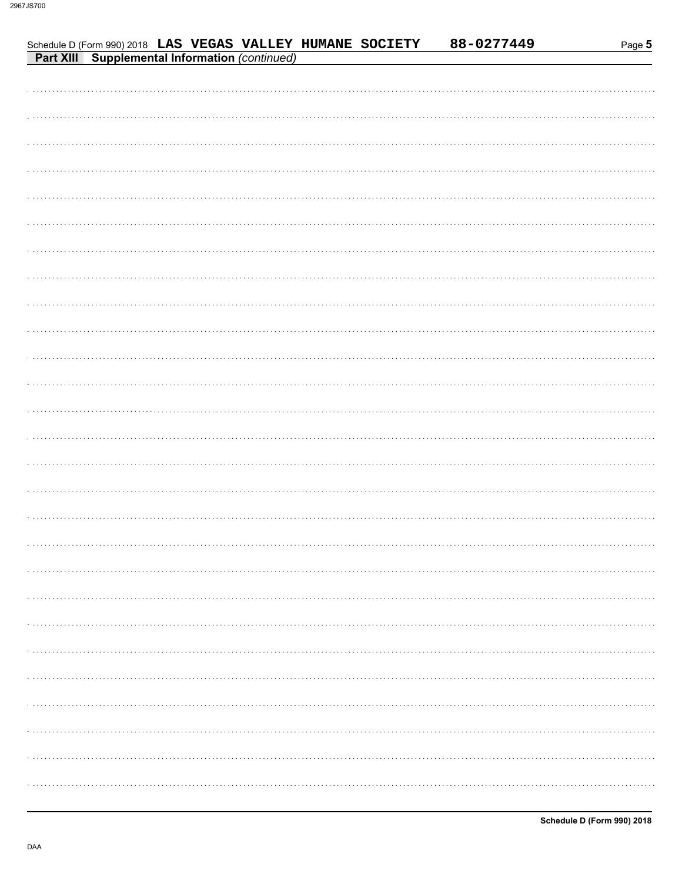|  | Schedule D (Form 990) 2018 LAS VEGAS VALLEY HUMANE SOCIETY<br>Part XIII Supplemental Information (continued) |  | 88-0277449 | Page 5 |
|--|--------------------------------------------------------------------------------------------------------------|--|------------|--------|
|  |                                                                                                              |  |            |        |
|  |                                                                                                              |  |            |        |
|  |                                                                                                              |  |            |        |
|  |                                                                                                              |  |            |        |
|  |                                                                                                              |  |            |        |
|  |                                                                                                              |  |            |        |
|  |                                                                                                              |  |            |        |
|  |                                                                                                              |  |            |        |
|  |                                                                                                              |  |            |        |
|  |                                                                                                              |  |            |        |
|  |                                                                                                              |  |            |        |
|  |                                                                                                              |  |            |        |
|  |                                                                                                              |  |            |        |
|  |                                                                                                              |  |            |        |
|  |                                                                                                              |  |            |        |
|  |                                                                                                              |  |            |        |
|  |                                                                                                              |  |            |        |
|  |                                                                                                              |  |            |        |
|  |                                                                                                              |  |            |        |
|  |                                                                                                              |  |            |        |
|  |                                                                                                              |  |            |        |
|  |                                                                                                              |  |            |        |
|  |                                                                                                              |  |            |        |
|  |                                                                                                              |  |            |        |
|  |                                                                                                              |  |            |        |
|  |                                                                                                              |  |            |        |
|  |                                                                                                              |  |            |        |
|  |                                                                                                              |  |            |        |
|  |                                                                                                              |  |            |        |
|  |                                                                                                              |  |            |        |
|  |                                                                                                              |  |            |        |
|  |                                                                                                              |  |            |        |
|  |                                                                                                              |  |            |        |
|  |                                                                                                              |  |            |        |
|  |                                                                                                              |  |            |        |
|  |                                                                                                              |  |            |        |
|  |                                                                                                              |  |            |        |
|  |                                                                                                              |  |            |        |
|  |                                                                                                              |  |            |        |
|  |                                                                                                              |  |            |        |
|  |                                                                                                              |  |            |        |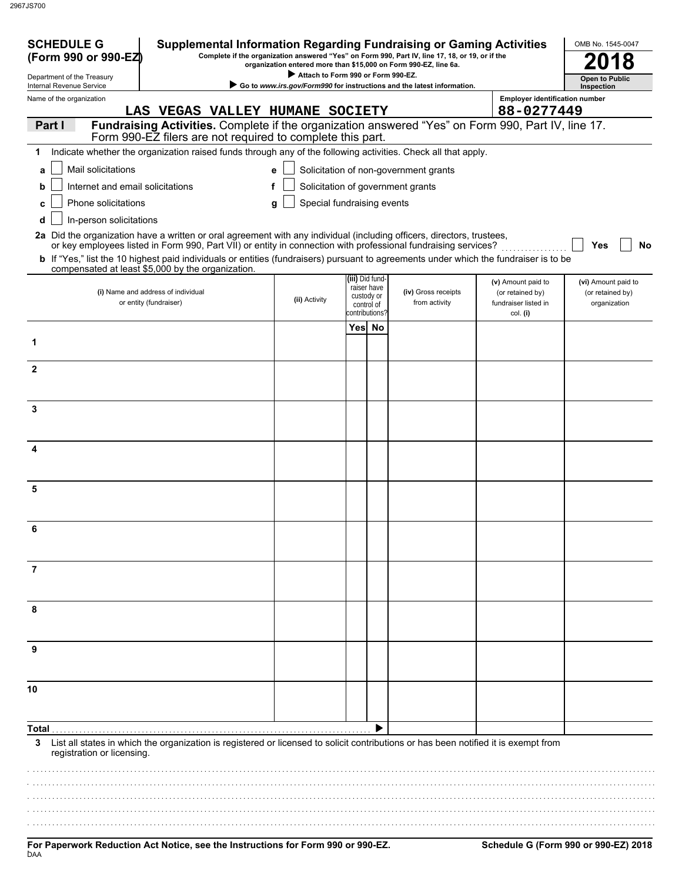| <b>SCHEDULE G</b><br>(Form 990 or 990-EZ)              | Supplemental Information Regarding Fundraising or Gaming Activities                                                                                                                                                                      |                                    |                          |             | Complete if the organization answered "Yes" on Form 990, Part IV, line 17, 18, or 19, or if the<br>organization entered more than \$15,000 on Form 990-EZ, line 6a. |                                                     | OMB No. 1545-0047                |
|--------------------------------------------------------|------------------------------------------------------------------------------------------------------------------------------------------------------------------------------------------------------------------------------------------|------------------------------------|--------------------------|-------------|---------------------------------------------------------------------------------------------------------------------------------------------------------------------|-----------------------------------------------------|----------------------------------|
| Department of the Treasury<br>Internal Revenue Service |                                                                                                                                                                                                                                          | Attach to Form 990 or Form 990-EZ. |                          |             | Go to www.irs.gov/Form990 for instructions and the latest information.                                                                                              |                                                     | <b>Open to Public</b>            |
| Name of the organization                               | LAS VEGAS VALLEY HUMANE SOCIETY                                                                                                                                                                                                          |                                    |                          |             |                                                                                                                                                                     | <b>Employer identification number</b><br>88-0277449 | Inspection                       |
| Part I                                                 | Fundraising Activities. Complete if the organization answered "Yes" on Form 990, Part IV, line 17.                                                                                                                                       |                                    |                          |             |                                                                                                                                                                     |                                                     |                                  |
|                                                        | Form 990-EZ filers are not required to complete this part.                                                                                                                                                                               |                                    |                          |             |                                                                                                                                                                     |                                                     |                                  |
| 1                                                      | Indicate whether the organization raised funds through any of the following activities. Check all that apply.                                                                                                                            |                                    |                          |             |                                                                                                                                                                     |                                                     |                                  |
| Mail solicitations<br>a                                |                                                                                                                                                                                                                                          | e                                  |                          |             | Solicitation of non-government grants                                                                                                                               |                                                     |                                  |
| Internet and email solicitations<br>b                  |                                                                                                                                                                                                                                          | f                                  |                          |             | Solicitation of government grants                                                                                                                                   |                                                     |                                  |
| Phone solicitations<br>c                               |                                                                                                                                                                                                                                          | Special fundraising events<br>g    |                          |             |                                                                                                                                                                     |                                                     |                                  |
| In-person solicitations<br>d                           |                                                                                                                                                                                                                                          |                                    |                          |             |                                                                                                                                                                     |                                                     |                                  |
|                                                        | 2a Did the organization have a written or oral agreement with any individual (including officers, directors, trustees,<br>or key employees listed in Form 990, Part VII) or entity in connection with professional fundraising services? |                                    |                          |             |                                                                                                                                                                     |                                                     | Yes<br>No                        |
|                                                        | b If "Yes," list the 10 highest paid individuals or entities (fundraisers) pursuant to agreements under which the fundraiser is to be<br>compensated at least \$5,000 by the organization.                                               |                                    |                          |             |                                                                                                                                                                     |                                                     |                                  |
|                                                        |                                                                                                                                                                                                                                          |                                    | (iii) Did fund-          | raiser have |                                                                                                                                                                     | (v) Amount paid to                                  | (vi) Amount paid to              |
|                                                        | (i) Name and address of individual<br>or entity (fundraiser)                                                                                                                                                                             | (ii) Activity                      | custody or<br>control of |             | (iv) Gross receipts<br>from activity                                                                                                                                | (or retained by)<br>fundraiser listed in            | (or retained by)<br>organization |
|                                                        |                                                                                                                                                                                                                                          |                                    | :contributions           |             |                                                                                                                                                                     | col. (i)                                            |                                  |
|                                                        |                                                                                                                                                                                                                                          |                                    | Yes No                   |             |                                                                                                                                                                     |                                                     |                                  |
| 1                                                      |                                                                                                                                                                                                                                          |                                    |                          |             |                                                                                                                                                                     |                                                     |                                  |
| $\mathbf{2}$                                           |                                                                                                                                                                                                                                          |                                    |                          |             |                                                                                                                                                                     |                                                     |                                  |
|                                                        |                                                                                                                                                                                                                                          |                                    |                          |             |                                                                                                                                                                     |                                                     |                                  |
|                                                        |                                                                                                                                                                                                                                          |                                    |                          |             |                                                                                                                                                                     |                                                     |                                  |
| 3                                                      |                                                                                                                                                                                                                                          |                                    |                          |             |                                                                                                                                                                     |                                                     |                                  |
|                                                        |                                                                                                                                                                                                                                          |                                    |                          |             |                                                                                                                                                                     |                                                     |                                  |
| 4                                                      |                                                                                                                                                                                                                                          |                                    |                          |             |                                                                                                                                                                     |                                                     |                                  |
|                                                        |                                                                                                                                                                                                                                          |                                    |                          |             |                                                                                                                                                                     |                                                     |                                  |
|                                                        |                                                                                                                                                                                                                                          |                                    |                          |             |                                                                                                                                                                     |                                                     |                                  |
| 5                                                      |                                                                                                                                                                                                                                          |                                    |                          |             |                                                                                                                                                                     |                                                     |                                  |
|                                                        |                                                                                                                                                                                                                                          |                                    |                          |             |                                                                                                                                                                     |                                                     |                                  |
|                                                        |                                                                                                                                                                                                                                          |                                    |                          |             |                                                                                                                                                                     |                                                     |                                  |
|                                                        |                                                                                                                                                                                                                                          |                                    |                          |             |                                                                                                                                                                     |                                                     |                                  |
|                                                        |                                                                                                                                                                                                                                          |                                    |                          |             |                                                                                                                                                                     |                                                     |                                  |
| 7                                                      |                                                                                                                                                                                                                                          |                                    |                          |             |                                                                                                                                                                     |                                                     |                                  |
|                                                        |                                                                                                                                                                                                                                          |                                    |                          |             |                                                                                                                                                                     |                                                     |                                  |
| 8                                                      |                                                                                                                                                                                                                                          |                                    |                          |             |                                                                                                                                                                     |                                                     |                                  |
|                                                        |                                                                                                                                                                                                                                          |                                    |                          |             |                                                                                                                                                                     |                                                     |                                  |
|                                                        |                                                                                                                                                                                                                                          |                                    |                          |             |                                                                                                                                                                     |                                                     |                                  |
| 9                                                      |                                                                                                                                                                                                                                          |                                    |                          |             |                                                                                                                                                                     |                                                     |                                  |
|                                                        |                                                                                                                                                                                                                                          |                                    |                          |             |                                                                                                                                                                     |                                                     |                                  |
| 10                                                     |                                                                                                                                                                                                                                          |                                    |                          |             |                                                                                                                                                                     |                                                     |                                  |
|                                                        |                                                                                                                                                                                                                                          |                                    |                          |             |                                                                                                                                                                     |                                                     |                                  |
| Total                                                  |                                                                                                                                                                                                                                          |                                    |                          |             |                                                                                                                                                                     |                                                     |                                  |
| 3                                                      | List all states in which the organization is registered or licensed to solicit contributions or has been notified it is exempt from                                                                                                      |                                    |                          |             |                                                                                                                                                                     |                                                     |                                  |
| registration or licensing.                             |                                                                                                                                                                                                                                          |                                    |                          |             |                                                                                                                                                                     |                                                     |                                  |
|                                                        |                                                                                                                                                                                                                                          |                                    |                          |             |                                                                                                                                                                     |                                                     |                                  |
|                                                        |                                                                                                                                                                                                                                          |                                    |                          |             |                                                                                                                                                                     |                                                     |                                  |
|                                                        |                                                                                                                                                                                                                                          |                                    |                          |             |                                                                                                                                                                     |                                                     |                                  |
|                                                        |                                                                                                                                                                                                                                          |                                    |                          |             |                                                                                                                                                                     |                                                     |                                  |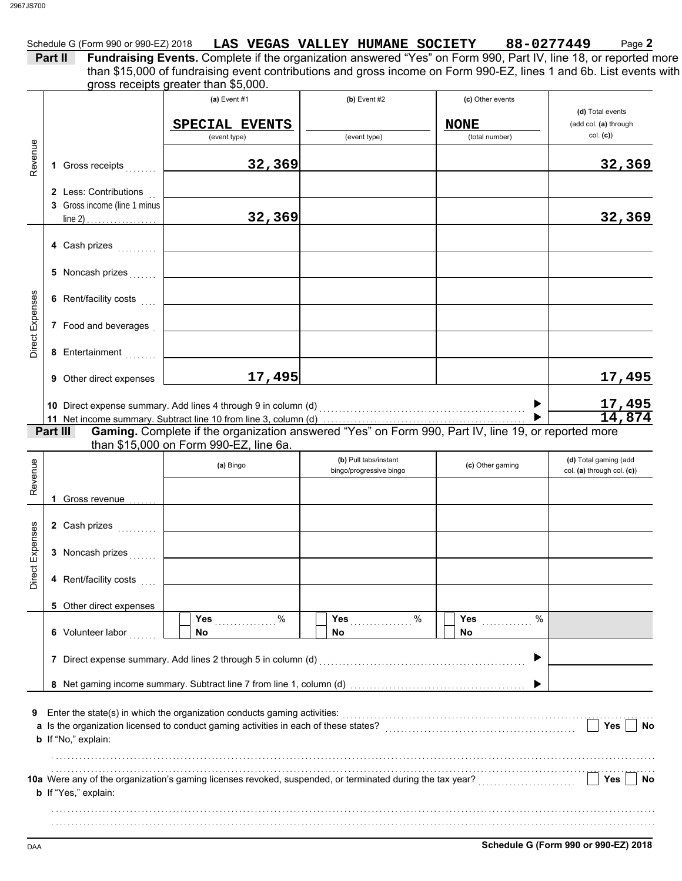|         |                                                       | (a) Event $#1$                                                                                                                                                                            | $(b)$ Event #2                                   | (c) Other events        |                                                                         |  |
|---------|-------------------------------------------------------|-------------------------------------------------------------------------------------------------------------------------------------------------------------------------------------------|--------------------------------------------------|-------------------------|-------------------------------------------------------------------------|--|
|         |                                                       | SPECIAL EVENTS                                                                                                                                                                            |                                                  | <b>NONE</b>             | (d) Total events<br>(add col. (a) through                               |  |
| Revenue |                                                       | (event type)                                                                                                                                                                              | (event type)                                     | (total number)          | col. (c)                                                                |  |
|         | 1 Gross receipts                                      | 32,369                                                                                                                                                                                    |                                                  |                         | 32,369                                                                  |  |
|         | 2 Less: Contributions<br>3 Gross income (line 1 minus |                                                                                                                                                                                           |                                                  |                         |                                                                         |  |
|         | line 2) $\ldots$ $\ldots$ $\ldots$                    | 32,369                                                                                                                                                                                    |                                                  |                         | 32,369                                                                  |  |
|         | 4 Cash prizes                                         |                                                                                                                                                                                           |                                                  |                         |                                                                         |  |
|         | 5 Noncash prizes                                      |                                                                                                                                                                                           |                                                  |                         |                                                                         |  |
|         | 6 Rent/facility costs [11]                            |                                                                                                                                                                                           |                                                  |                         |                                                                         |  |
|         | 7 Food and beverages<br>8 Entertainment               |                                                                                                                                                                                           |                                                  |                         |                                                                         |  |
|         | 9 Other direct expenses                               | 17,495                                                                                                                                                                                    |                                                  |                         | 17,495                                                                  |  |
|         |                                                       |                                                                                                                                                                                           |                                                  | $\blacktriangleright$   |                                                                         |  |
|         | Part III                                              | Gaming. Complete if the organization answered "Yes" on Form 990, Part IV, line 19, or reported more<br>than \$15,000 on Form 990-EZ, line 6a.<br>(a) Bingo                                | (b) Pull tabs/instant<br>bingo/progressive bingo | (c) Other gaming        | 17,495<br>14,874<br>(d) Total gaming (add<br>col. (a) through col. (c)) |  |
|         | 1 Gross revenue                                       |                                                                                                                                                                                           |                                                  |                         |                                                                         |  |
|         | 2 Cash prizes                                         |                                                                                                                                                                                           |                                                  |                         |                                                                         |  |
|         | 3 Noncash prizes<br>$\mathbb{R}^2$ .                  |                                                                                                                                                                                           |                                                  |                         |                                                                         |  |
|         | 4 Rent/facility costs                                 |                                                                                                                                                                                           |                                                  |                         |                                                                         |  |
|         | 5 Other direct expenses                               |                                                                                                                                                                                           |                                                  | $\frac{0}{0}$           |                                                                         |  |
|         | 6 Volunteer labor                                     | Yes 9%<br><b>No</b>                                                                                                                                                                       | Yes 9%<br>No.                                    | <b>Yes</b><br><b>No</b> |                                                                         |  |
|         |                                                       | 7 Direct expense summary. Add lines 2 through 5 in column (d)                                                                                                                             |                                                  | ▶                       |                                                                         |  |
|         |                                                       |                                                                                                                                                                                           |                                                  |                         |                                                                         |  |
|         | b If "No," explain:                                   | Enter the state(s) in which the organization conducts gaming activities:<br>[[[CORDITER STATE STATE STATE STATE STATE STATE STATE STATE STATE STATE STATE STATE STATE STATE STATE STATE S |                                                  |                         | Yes                                                                     |  |
|         |                                                       |                                                                                                                                                                                           |                                                  |                         | No                                                                      |  |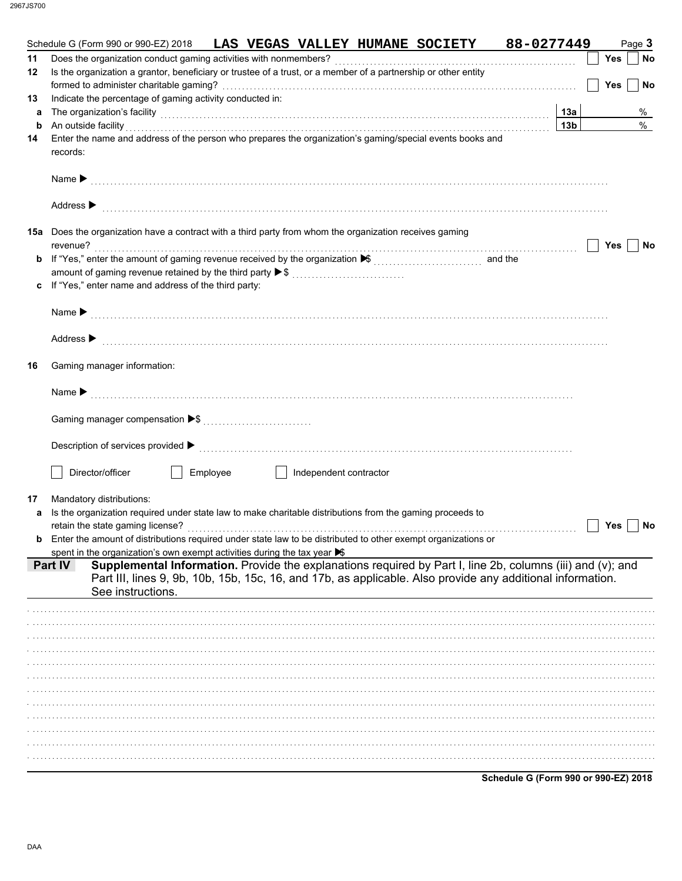|    | Schedule G (Form 990 or 990-EZ) 2018 LAS VEGAS VALLEY HUMANE SOCIETY 88-0277449                                                                                                                                                                                                                                                                                |                 |            | Page 3 |
|----|----------------------------------------------------------------------------------------------------------------------------------------------------------------------------------------------------------------------------------------------------------------------------------------------------------------------------------------------------------------|-----------------|------------|--------|
| 11 |                                                                                                                                                                                                                                                                                                                                                                |                 | Yes        | No     |
| 12 | Is the organization a grantor, beneficiary or trustee of a trust, or a member of a partnership or other entity                                                                                                                                                                                                                                                 |                 |            |        |
|    |                                                                                                                                                                                                                                                                                                                                                                |                 | <b>Yes</b> | No     |
| 13 | Indicate the percentage of gaming activity conducted in:                                                                                                                                                                                                                                                                                                       |                 |            |        |
| а  | The organization's facility [13a] <b>13a</b>                                                                                                                                                                                                                                                                                                                   |                 |            | %      |
| b  | An outside facility encourance and the contract of the contract of the contract of the contract of the contract of the contract of the contract of the contract of the contract of the contract of the contract of the contrac                                                                                                                                 | 13 <sub>b</sub> |            | $\%$   |
| 14 | Enter the name and address of the person who prepares the organization's gaming/special events books and<br>records:                                                                                                                                                                                                                                           |                 |            |        |
|    |                                                                                                                                                                                                                                                                                                                                                                |                 |            |        |
|    | Address $\blacktriangleright$                                                                                                                                                                                                                                                                                                                                  |                 |            |        |
|    | 15a Does the organization have a contract with a third party from whom the organization receives gaming                                                                                                                                                                                                                                                        |                 | Yes        | No     |
|    |                                                                                                                                                                                                                                                                                                                                                                |                 |            |        |
|    | amount of gaming revenue retained by the third party ▶ \$                                                                                                                                                                                                                                                                                                      |                 |            |        |
|    | c If "Yes," enter name and address of the third party:                                                                                                                                                                                                                                                                                                         |                 |            |        |
|    |                                                                                                                                                                                                                                                                                                                                                                |                 |            |        |
|    | Address $\blacktriangleright$                                                                                                                                                                                                                                                                                                                                  |                 |            |        |
| 16 | Gaming manager information:                                                                                                                                                                                                                                                                                                                                    |                 |            |        |
|    |                                                                                                                                                                                                                                                                                                                                                                |                 |            |        |
|    |                                                                                                                                                                                                                                                                                                                                                                |                 |            |        |
|    |                                                                                                                                                                                                                                                                                                                                                                |                 |            |        |
|    | Director/officer<br>Employee<br>and the state of the state<br>Independent contractor                                                                                                                                                                                                                                                                           |                 |            |        |
| 17 | Mandatory distributions:                                                                                                                                                                                                                                                                                                                                       |                 |            |        |
| a  | Is the organization required under state law to make charitable distributions from the gaming proceeds to                                                                                                                                                                                                                                                      |                 |            |        |
|    |                                                                                                                                                                                                                                                                                                                                                                |                 | Yes        | No     |
| b  | Enter the amount of distributions required under state law to be distributed to other exempt organizations or                                                                                                                                                                                                                                                  |                 |            |        |
|    | spent in the organization's own exempt activities during the tax year $\blacktriangleright$<br>Supplemental Information. Provide the explanations required by Part I, line 2b, columns (iii) and (v); and<br><b>Part IV</b><br>Part III, lines 9, 9b, 10b, 15b, 15c, 16, and 17b, as applicable. Also provide any additional information.<br>See instructions. |                 |            |        |
|    |                                                                                                                                                                                                                                                                                                                                                                |                 |            |        |
|    |                                                                                                                                                                                                                                                                                                                                                                |                 |            |        |
|    |                                                                                                                                                                                                                                                                                                                                                                |                 |            |        |
|    |                                                                                                                                                                                                                                                                                                                                                                |                 |            |        |
|    |                                                                                                                                                                                                                                                                                                                                                                |                 |            |        |
|    |                                                                                                                                                                                                                                                                                                                                                                |                 |            |        |
|    |                                                                                                                                                                                                                                                                                                                                                                |                 |            |        |
|    |                                                                                                                                                                                                                                                                                                                                                                |                 |            |        |
|    |                                                                                                                                                                                                                                                                                                                                                                |                 |            |        |
|    |                                                                                                                                                                                                                                                                                                                                                                |                 |            |        |
|    |                                                                                                                                                                                                                                                                                                                                                                |                 |            |        |
|    |                                                                                                                                                                                                                                                                                                                                                                |                 |            |        |

Schedule G (Form 990 or 990-EZ) 2018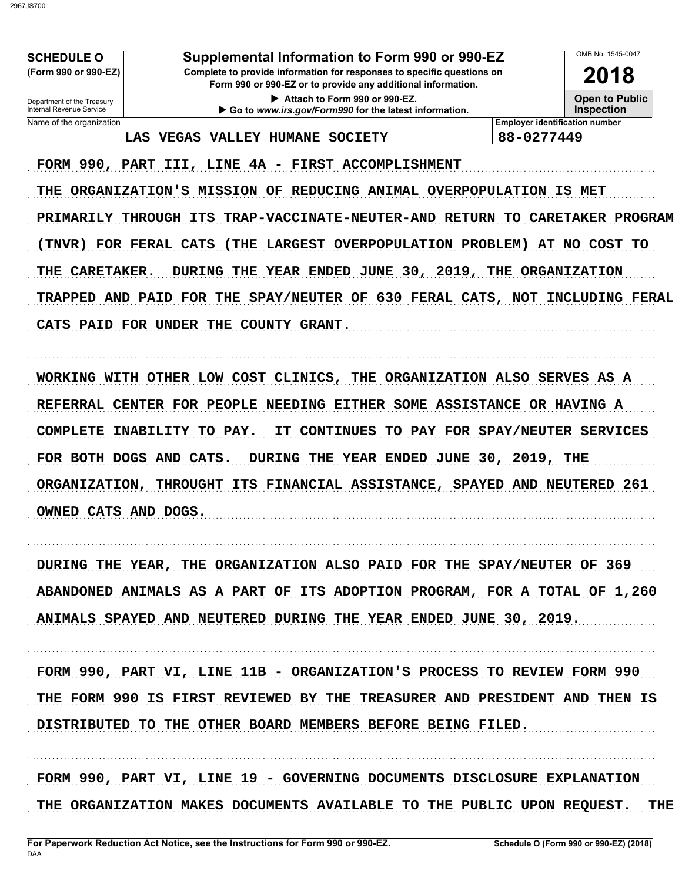2967JS700

#### Supplemental Information to Form 990 or 990-EZ **SCHEDULE O** (Form 990 or 990-EZ)

Complete to provide information for responses to specific questions on Form 990 or 990-EZ or to provide any additional information.

> Attach to Form 990 or 990-EZ. Go to www.irs.gov/Form990 for the latest information.

OMB No. 1545-0047

2018 **Open to Public** 

**Inspection** 

Department of the Treasury<br>Internal Revenue Service Name of the organization

**Employer identification number** 88-0277449

LAS VEGAS VALLEY HUMANE SOCIETY

FORM 990, PART III, LINE 4A - FIRST ACCOMPLISHMENT

THE ORGANIZATION'S MISSION OF REDUCING ANIMAL OVERPOPULATION IS MET PRIMARILY THROUGH ITS TRAP-VACCINATE-NEUTER-AND RETURN TO CARETAKER PROGRAM (TNVR) FOR FERAL CATS (THE LARGEST OVERPOPULATION PROBLEM) AT NO COST TO DURING THE YEAR ENDED JUNE 30, 2019, THE ORGANIZATION THE CARETAKER. TRAPPED AND PAID FOR THE SPAY/NEUTER OF 630 FERAL CATS, NOT INCLUDING FERAL CATS PAID FOR UNDER THE COUNTY GRANT.

WORKING WITH OTHER LOW COST CLINICS, THE ORGANIZATION ALSO SERVES AS A REFERRAL CENTER FOR PEOPLE NEEDING EITHER SOME ASSISTANCE OR HAVING A COMPLETE INABILITY TO PAY. IT CONTINUES TO PAY FOR SPAY/NEUTER SERVICES FOR BOTH DOGS AND CATS. DURING THE YEAR ENDED JUNE 30, 2019, THE ORGANIZATION, THROUGHT ITS FINANCIAL ASSISTANCE, SPAYED AND NEUTERED 261 OWNED CATS AND DOGS.

DURING THE YEAR, THE ORGANIZATION ALSO PAID FOR THE SPAY/NEUTER OF 369 ABANDONED ANIMALS AS A PART OF ITS ADOPTION PROGRAM, FOR A TOTAL OF 1,260 ANIMALS SPAYED AND NEUTERED DURING THE YEAR ENDED JUNE 30, 2019.

FORM 990, PART VI, LINE 11B - ORGANIZATION'S PROCESS TO REVIEW FORM 990 THE FORM 990 IS FIRST REVIEWED BY THE TREASURER AND PRESIDENT AND THEN IS DISTRIBUTED TO THE OTHER BOARD MEMBERS BEFORE BEING FILED.

FORM 990, PART VI, LINE 19 - GOVERNING DOCUMENTS DISCLOSURE EXPLANATION THE ORGANIZATION MAKES DOCUMENTS AVAILABLE TO THE PUBLIC UPON REQUEST. THE